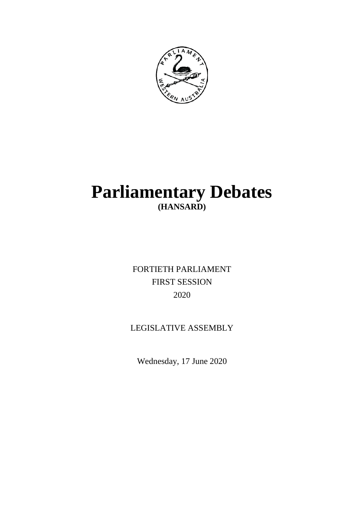

# **Parliamentary Debates (HANSARD)**

FORTIETH PARLIAMENT FIRST SESSION 2020

# LEGISLATIVE ASSEMBLY

Wednesday, 17 June 2020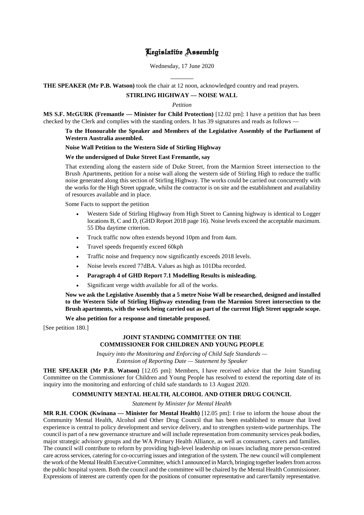# Legislative Assembly

Wednesday, 17 June 2020

 $\overline{a}$ **THE SPEAKER (Mr P.B. Watson)** took the chair at 12 noon, acknowledged country and read prayers.

# **STIRLING HIGHWAY — NOISE WALL**

*Petition*

**MS S.F. McGURK (Fremantle — Minister for Child Protection)** [12.02 pm]: I have a petition that has been checked by the Clerk and complies with the standing orders. It has 39 signatures and reads as follows —

# **To the Honourable the Speaker and Members of the Legislative Assembly of the Parliament of Western Australia assembled.**

# **Noise Wall Petition to the Western Side of Stirling Highway**

# **We the undersigned of Duke Street East Fremantle, say**

That extending along the eastern side of Duke Street, from the Marmion Street intersection to the Brush Apartments, petition for a noise wall along the western side of Stirling High to reduce the traffic noise generated along this section of Stirling Highway. The works could be carried out concurrently with the works for the High Street upgrade, whilst the contractor is on site and the establishment and availability of resources available and in place.

Some Facts to support the petition

- Western Side of Stirling Highway from High Street to Canning highway is identical to Logger locations B, C and D, (GHD Report 2018 page 16). Noise levels exceed the acceptable maximum. 55 Dba daytime criterion.
- Truck traffic now often extends beyond 10pm and from 4am.
- Travel speeds frequently exceed 60kph
- Traffic noise and frequency now significantly exceeds 2018 levels.
- Noise levels exceed 77dBA. Values as high as 101Dba recorded.
- **Paragraph 4 of GHD Report 7.1 Modelling Results is misleading.**
- Significant verge width available for all of the works.

**Now we ask the Legislative Assembly that a 5 metre Noise Wall be researched, designed and installed to the Western Side of Stirling Highway extending from the Marmion Street intersection to the Brush apartments, with the work being carried out as part of the current High Street upgrade scope.**

# **We also petition for a response and timetable proposed.**

[See petition 180.]

# **JOINT STANDING COMMITTEE ON THE COMMISSIONER FOR CHILDREN AND YOUNG PEOPLE**

*Inquiry into the Monitoring and Enforcing of Child Safe Standards — Extension of Reporting Date — Statement by Speaker*

**THE SPEAKER (Mr P.B. Watson)** [12.05 pm]: Members, I have received advice that the Joint Standing Committee on the Commissioner for Children and Young People has resolved to extend the reporting date of its inquiry into the monitoring and enforcing of child safe standards to 13 August 2020.

# **COMMUNITY MENTAL HEALTH, ALCOHOL AND OTHER DRUG COUNCIL**

*Statement by Minister for Mental Health*

**MR R.H. COOK (Kwinana — Minister for Mental Health)** [12.05 pm]: I rise to inform the house about the Community Mental Health, Alcohol and Other Drug Council that has been established to ensure that lived experience is central to policy development and service delivery, and to strengthen system-wide partnerships. The council is part of a new governance structure and will include representation from community services peak bodies, major strategic advisory groups and the WA Primary Health Alliance, as well as consumers, carers and families. The council will contribute to reform by providing high-level leadership on issues including more person-centred care across services, catering for co-occurring issues and integration of the system. The new council will complement the work of the Mental Health Executive Committee, which I announced in March, bringing together leaders from across the public hospital system. Both the council and the committee will be chaired by the Mental Health Commissioner. Expressions of interest are currently open for the positions of consumer representative and carer/family representative.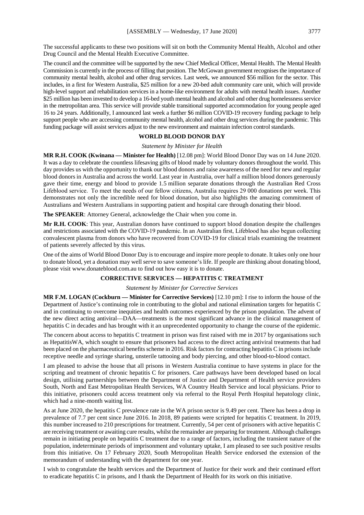The successful applicants to these two positions will sit on both the Community Mental Health, Alcohol and other Drug Council and the Mental Health Executive Committee.

The council and the committee will be supported by the new Chief Medical Officer, Mental Health. The Mental Health Commission is currently in the process of filling that position. The McGowan government recognises the importance of community mental health, alcohol and other drug services. Last week, we announced \$56 million for the sector. This includes, in a first for Western Australia, \$25 million for a new 20-bed adult community care unit, which will provide high-level support and rehabilitation services in a home-like environment for adults with mental health issues. Another \$25 million has been invested to develop a 16-bed youth mental health and alcohol and other drug homelessness service in the metropolitan area. This service will provide stable transitional supported accommodation for young people aged 16 to 24 years. Additionally, I announced last week a further \$6 million COVID-19 recovery funding package to help support people who are accessing community mental health, alcohol and other drug services during the pandemic. This funding package will assist services adjust to the new environment and maintain infection control standards.

# **WORLD BLOOD DONOR DAY**

*Statement by Minister for Health*

**MR R.H. COOK (Kwinana — Minister for Health)** [12.08 pm]: World Blood Donor Day was on 14 June 2020. It was a day to celebrate the countless lifesaving gifts of blood made by voluntary donors throughout the world. This day provides us with the opportunity to thank our blood donors and raise awareness of the need for new and regular blood donors in Australia and across the world. Last year in Australia, over half a million blood donors generously gave their time, energy and blood to provide 1.5 million separate donations through the Australian Red Cross Lifeblood service.  To meet the needs of our fellow citizens, Australia requires 29 000 donations per week. This demonstrates not only the incredible need for blood donation, but also highlights the amazing commitment of Australians and Western Australians in supporting patient and hospital care through donating their blood.

**The SPEAKER**: Attorney General, acknowledge the Chair when you come in.

**Mr R.H. COOK**: This year, Australian donors have continued to support blood donation despite the challenges and restrictions associated with the COVID-19 pandemic. In an Australian first, Lifeblood has also begun collecting convalescent plasma from donors who have recovered from COVID-19 for clinical trials examining the treatment of patients severely affected by this virus.

One of the aims of World Blood Donor Day is to encourage and inspire more people to donate. It takes only one hour to donate blood, yet a donation may well serve to save someone's life. If people are thinking about donating blood, please visit www.donateblood.com.au to find out how easy it is to donate.

# **CORRECTIVE SERVICES — HEPATITIS C TREATMENT**

*Statement by Minister for Corrective Services*

**MR F.M. LOGAN (Cockburn — Minister for Corrective Services)** [12.10 pm]: I rise to inform the house of the Department of Justice's continuing role in contributing to the global and national elimination targets for hepatitis C and in continuing to overcome inequities and health outcomes experienced by the prison population. The advent of the new direct acting antiviral—DAA—treatments is the most significant advance in the clinical management of hepatitis C in decades and has brought with it an unprecedented opportunity to change the course of the epidemic.

The concern about access to hepatitis C treatment in prison was first raised with me in 2017 by organisations such as HepatitisWA, which sought to ensure that prisoners had access to the direct acting antiviral treatments that had been placed on the pharmaceutical benefits scheme in 2016. Risk factors for contracting hepatitis C in prisons include receptive needle and syringe sharing, unsterile tattooing and body piercing, and other blood-to-blood contact.

I am pleased to advise the house that all prisons in Western Australia continue to have systems in place for the scripting and treatment of chronic hepatitis C for prisoners. Care pathways have been developed based on local design, utilising partnerships between the Department of Justice and Department of Health service providers South, North and East Metropolitan Health Services, WA Country Health Service and local physicians. Prior to this initiative, prisoners could access treatment only via referral to the Royal Perth Hospital hepatology clinic, which had a nine-month waiting list.

As at June 2020, the hepatitis C prevalence rate in the WA prison sector is 9.49 per cent. There has been a drop in prevalence of 7.7 per cent since June 2016. In 2018, 89 patients were scripted for hepatitis C treatment. In 2019, this number increased to 210 prescriptions for treatment. Currently, 54 per cent of prisoners with active hepatitis C are receiving treatment or awaiting cure results, whilst the remainder are preparing for treatment. Although challenges remain in initiating people on hepatitis C treatment due to a range of factors, including the transient nature of the population, indeterminate periods of imprisonment and voluntary uptake, I am pleased to see such positive results from this initiative. On 17 February 2020, South Metropolitan Health Service endorsed the extension of the memorandum of understanding with the department for one year.

I wish to congratulate the health services and the Department of Justice for their work and their continued effort to eradicate hepatitis C in prisons, and I thank the Department of Health for its work on this initiative.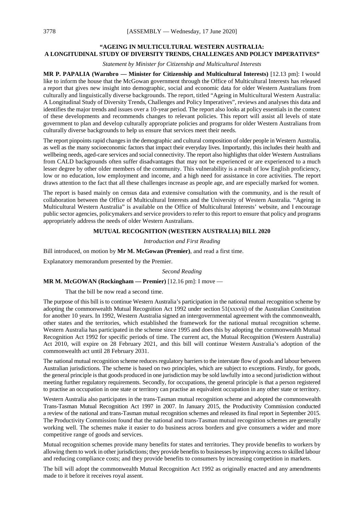# **"AGEING IN MULTICULTURAL WESTERN AUSTRALIA: A LONGITUDINAL STUDY OF DIVERSITY TRENDS, CHALLENGES AND POLICY IMPERATIVES"**

*Statement by Minister for Citizenship and Multicultural Interests*

**MR P. PAPALIA (Warnbro — Minister for Citizenship and Multicultural Interests)** [12.13 pm]: I would like to inform the house that the McGowan government through the Office of Multicultural Interests has released a report that gives new insight into demographic, social and economic data for older Western Australians from culturally and linguistically diverse backgrounds. The report, titled "Ageing in Multicultural Western Australia: A Longitudinal Study of Diversity Trends, Challenges and Policy Imperatives", reviews and analyses this data and identifies the major trends and issues over a 10-year period. The report also looks at policy essentials in the context of these developments and recommends changes to relevant policies. This report will assist all levels of state government to plan and develop culturally appropriate policies and programs for older Western Australians from culturally diverse backgrounds to help us ensure that services meet their needs.

The report pinpoints rapid changes in the demographic and cultural composition of older people in Western Australia, as well as the many socioeconomic factors that impact their everyday lives. Importantly, this includes their health and wellbeing needs, aged-care services and social connectivity. The report also highlights that older Western Australians from CALD backgrounds often suffer disadvantages that may not be experienced or are experienced to a much lesser degree by other older members of the community. This vulnerability is a result of low English proficiency, low or no education, low employment and income, and a high need for assistance in core activities. The report draws attention to the fact that all these challenges increase as people age, and are especially marked for women.

The report is based mainly on census data and extensive consultation with the community, and is the result of collaboration between the Office of Multicultural Interests and the University of Western Australia. "Ageing in Multicultural Western Australia" is available on the Office of Multicultural Interests' website, and I encourage public sector agencies, policymakers and service providers to refer to this report to ensure that policy and programs appropriately address the needs of older Western Australians.

# **MUTUAL RECOGNITION (WESTERN AUSTRALIA) BILL 2020**

#### *Introduction and First Reading*

Bill introduced, on motion by **Mr M. McGowan (Premier)**, and read a first time.

Explanatory memorandum presented by the Premier.

*Second Reading*

#### **MR M. McGOWAN (Rockingham — Premier)** [12.16 pm]: I move —

That the bill be now read a second time.

The purpose of this bill is to continue Western Australia's participation in the national mutual recognition scheme by adopting the commonwealth Mutual Recognition Act 1992 under section 51(xxxvii) of the Australian Constitution for another 10 years. In 1992, Western Australia signed an intergovernmental agreement with the commonwealth, other states and the territories, which established the framework for the national mutual recognition scheme. Western Australia has participated in the scheme since 1995 and does this by adopting the commonwealth Mutual Recognition Act 1992 for specific periods of time. The current act, the Mutual Recognition (Western Australia) Act 2010, will expire on 28 February 2021, and this bill will continue Western Australia's adoption of the commonwealth act until 28 February 2031.

The national mutual recognition scheme reduces regulatory barriers to the interstate flow of goods and labour between Australian jurisdictions. The scheme is based on two principles, which are subject to exceptions. Firstly, for goods, the general principle is that goods produced in one jurisdiction may be sold lawfully into a second jurisdiction without meeting further regulatory requirements. Secondly, for occupations, the general principle is that a person registered to practise an occupation in one state or territory can practise an equivalent occupation in any other state or territory.

Western Australia also participates in the trans-Tasman mutual recognition scheme and adopted the commonwealth Trans-Tasman Mutual Recognition Act 1997 in 2007. In January 2015, the Productivity Commission conducted a review of the national and trans-Tasman mutual recognition schemes and released its final report in September 2015. The Productivity Commission found that the national and trans-Tasman mutual recognition schemes are generally working well. The schemes make it easier to do business across borders and give consumers a wider and more competitive range of goods and services.

Mutual recognition schemes provide many benefits for states and territories. They provide benefits to workers by allowing them to work in other jurisdictions; they provide benefits to businesses by improving access to skilled labour and reducing compliance costs; and they provide benefits to consumers by increasing competition in markets.

The bill will adopt the commonwealth Mutual Recognition Act 1992 as originally enacted and any amendments made to it before it receives royal assent.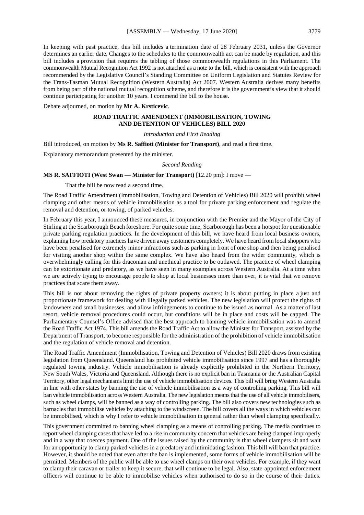In keeping with past practice, this bill includes a termination date of 28 February 2031, unless the Governor determines an earlier date. Changes to the schedules to the commonwealth act can be made by regulation, and this bill includes a provision that requires the tabling of those commonwealth regulations in this Parliament. The commonwealth Mutual Recognition Act 1992 is not attached as a note to the bill, which is consistent with the approach recommended by the Legislative Council's Standing Committee on Uniform Legislation and Statutes Review for the Trans-Tasman Mutual Recognition (Western Australia) Act 2007. Western Australia derives many benefits from being part of the national mutual recognition scheme, and therefore it is the government's view that it should continue participating for another 10 years. I commend the bill to the house.

Debate adjourned, on motion by **Mr A. Krsticevic**.

# **ROAD TRAFFIC AMENDMENT (IMMOBILISATION, TOWING AND DETENTION OF VEHICLES) BILL 2020**

#### *Introduction and First Reading*

Bill introduced, on motion by **Ms R. Saffioti (Minister for Transport)**, and read a first time.

Explanatory memorandum presented by the minister.

#### *Second Reading*

#### **MS R. SAFFIOTI (West Swan — Minister for Transport)** [12.20 pm]: I move —

That the bill be now read a second time.

The Road Traffic Amendment (Immobilisation, Towing and Detention of Vehicles) Bill 2020 will prohibit wheel clamping and other means of vehicle immobilisation as a tool for private parking enforcement and regulate the removal and detention, or towing, of parked vehicles.

In February this year, I announced these measures, in conjunction with the Premier and the Mayor of the City of Stirling at the Scarborough Beach foreshore. For quite some time, Scarborough has been a hotspot for questionable private parking regulation practices. In the development of this bill, we have heard from local business owners, explaining how predatory practices have driven away customers completely. We have heard from local shoppers who have been penalised for extremely minor infractions such as parking in front of one shop and then being penalised for visiting another shop within the same complex. We have also heard from the wider community, which is overwhelmingly calling for this draconian and unethical practice to be outlawed. The practice of wheel clamping can be extortionate and predatory, as we have seen in many examples across Western Australia. At a time when we are actively trying to encourage people to shop at local businesses more than ever, it is vital that we remove practices that scare them away.

This bill is not about removing the rights of private property owners; it is about putting in place a just and proportionate framework for dealing with illegally parked vehicles. The new legislation will protect the rights of landowners and small businesses, and allow infringements to continue to be issued as normal. As a matter of last resort, vehicle removal procedures could occur, but conditions will be in place and costs will be capped. The Parliamentary Counsel's Office advised that the best approach to banning vehicle immobilisation was to amend the Road Traffic Act 1974. This bill amends the Road Traffic Act to allow the Minister for Transport, assisted by the Department of Transport, to become responsible for the administration of the prohibition of vehicle immobilisation and the regulation of vehicle removal and detention.

The Road Traffic Amendment (Immobilisation, Towing and Detention of Vehicles) Bill 2020 draws from existing legislation from Queensland. Queensland has prohibited vehicle immobilisation since 1997 and has a thoroughly regulated towing industry. Vehicle immobilisation is already explicitly prohibited in the Northern Territory, New South Wales, Victoria and Queensland. Although there is no explicit ban in Tasmania or the Australian Capital Territory, other legal mechanisms limit the use of vehicle immobilisation devices. This bill will bring Western Australia in line with other states by banning the use of vehicle immobilisation as a way of controlling parking. This bill will ban vehicle immobilisation across Western Australia. The new legislation means that the use of all vehicle immobilisers, such as wheel clamps, will be banned as a way of controlling parking. The bill also covers new technologies such as barnacles that immobilise vehicles by attaching to the windscreen. The bill covers all the ways in which vehicles can be immobilised, which is why I refer to vehicle immobilisation in general rather than wheel clamping specifically.

This government committed to banning wheel clamping as a means of controlling parking. The media continues to report wheel clamping cases that have led to a rise in community concern that vehicles are being clamped improperly and in a way that coerces payment. One of the issues raised by the community is that wheel clampers sit and wait for an opportunity to clamp parked vehicles in a predatory and intimidating fashion. This bill will ban that practice. However, it should be noted that even after the ban is implemented, some forms of vehicle immobilisation will be permitted. Members of the public will be able to use wheel clamps on their own vehicles. For example, if they want to clamp their caravan or trailer to keep it secure, that will continue to be legal. Also, state-appointed enforcement officers will continue to be able to immobilise vehicles when authorised to do so in the course of their duties.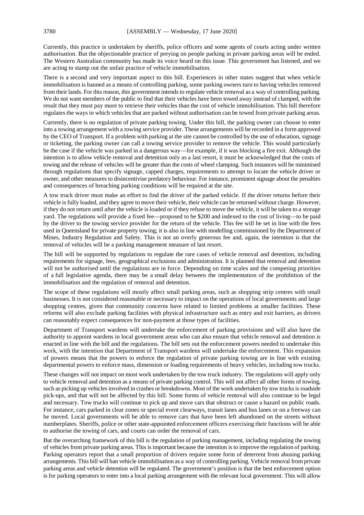Currently, this practice is undertaken by sheriffs, police officers and some agents of courts acting under written authorisation. But the objectionable practice of preying on people parking in private parking areas will be ended. The Western Australian community has made its voice heard on this issue. This government has listened, and we are acting to stamp out the unfair practice of vehicle immobilisation.

There is a second and very important aspect to this bill. Experiences in other states suggest that when vehicle immobilisation is banned as a means of controlling parking, some parking owners turn to having vehicles removed from their lands. For this reason, this government intends to regulate vehicle removal as a way of controlling parking. We do not want members of the public to find that their vehicles have been towed away instead of clamped, with the result that they must pay more to retrieve their vehicles than the cost of vehicle immobilisation. This bill therefore regulates the ways in which vehicles that are parked without authorisation can be towed from private parking areas.

Currently, there is no regulation of private parking towing. Under this bill, the parking owner can choose to enter into a towing arrangement with a towing service provider. These arrangements will be recorded in a form approved by the CEO of Transport. If a problem with parking at the site cannot be controlled by the use of education, signage or ticketing, the parking owner can call a towing service provider to remove the vehicle. This would particularly be the case if the vehicle was parked in a dangerous way—for example, if it was blocking a fire exit. Although the intention is to allow vehicle removal and detention only as a last resort, it must be acknowledged that the costs of towing and the release of vehicles will be greater than the costs of wheel clamping. Such instances will be minimised through regulations that specify signage, capped charges, requirements to attempt to locate the vehicle driver or owner, and other measures to disincentivise predatory behaviour. For instance, prominent signage about the penalties and consequences of breaching parking conditions will be required at the site.

A tow truck driver must make an effort to find the driver of the parked vehicle. If the driver returns before their vehicle is fully loaded, and they agree to move their vehicle, their vehicle can be returned without charge. However, if they do not return until after the vehicle is loaded or if they refuse to move the vehicle, it will be taken to a storage yard. The regulations will provide a fixed fee—proposed to be \$200 and indexed to the cost of living—to be paid by the driver to the towing service provider for the return of the vehicle. This fee will be set in line with the fees used in Queensland for private property towing; it is also in line with modelling commissioned by the Department of Mines, Industry Regulation and Safety. This is not an overly generous fee and, again, the intention is that the removal of vehicles will be a parking management measure of last resort.

The bill will be supported by regulations to regulate the rare cases of vehicle removal and detention, including requirements for signage, fees, geographical exclusions and administration. It is planned that removal and detention will not be authorised until the regulations are in force. Depending on time scales and the competing priorities of a full legislative agenda, there may be a small delay between the implementation of the prohibition of the immobilisation and the regulation of removal and detention.

The scope of these regulations will mostly affect small parking areas, such as shopping strip centres with small businesses. It is not considered reasonable or necessary to impact on the operations of local governments and large shopping centres, given that community concerns have related to limited problems at smaller facilities. These reforms will also exclude parking facilities with physical infrastructure such as entry and exit barriers, as drivers can reasonably expect consequences for non-payment at those types of facilities.

Department of Transport wardens will undertake the enforcement of parking provisions and will also have the authority to appoint wardens in local government areas who can also ensure that vehicle removal and detention is enacted in line with the bill and the regulations. The bill sets out the enforcement powers needed to undertake this work, with the intention that Department of Transport wardens will undertake the enforcement. This expansion of powers means that the powers to enforce the regulation of private parking towing are in line with existing departmental powers to enforce mass, dimension or loading requirements of heavy vehicles, including tow trucks.

These changes will not impact on most work undertaken by the tow truck industry. The regulations will apply only to vehicle removal and detention as a means of private parking control. This will not affect all other forms of towing, such as picking up vehicles involved in crashes or breakdowns. Most of the work undertaken by tow trucks is roadside pick-ups, and that will not be affected by this bill. Some forms of vehicle removal will also continue to be legal and necessary. Tow trucks will continue to pick up and move cars that obstruct or cause a hazard on public roads. For instance, cars parked in clear zones or special event clearways, transit lanes and bus lanes or on a freeway can be moved. Local governments will be able to remove cars that have been left abandoned on the streets without numberplates. Sheriffs, police or other state-appointed enforcement officers exercising their functions will be able to authorise the towing of cars, and courts can order the removal of cars.

But the overarching framework of this bill is the regulation of parking management, including regulating the towing of vehicles from private parking areas. This is important because the intention is to improve the regulation of parking. Parking operators report that a small proportion of drivers require some form of deterrent from abusing parking arrangements. This bill will ban vehicle immobilisation as a way of controlling parking. Vehicle removal from private parking areas and vehicle detention will be regulated. The government's position is that the best enforcement option is for parking operators to enter into a local parking arrangement with the relevant local government. This will allow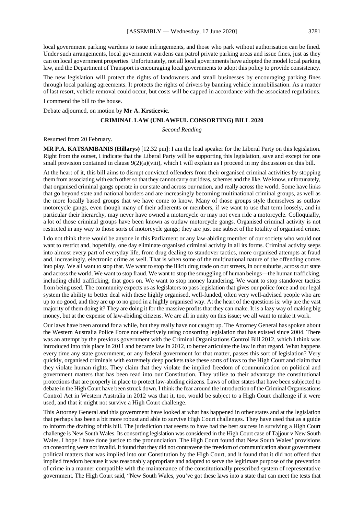local government parking wardens to issue infringements, and those who park without authorisation can be fined. Under such arrangements, local government wardens can patrol private parking areas and issue fines, just as they can on local government properties. Unfortunately, not all local governments have adopted the model local parking law, and the Department of Transport is encouraging local governments to adopt this policy to provide consistency.

The new legislation will protect the rights of landowners and small businesses by encouraging parking fines through local parking agreements. It protects the rights of drivers by banning vehicle immobilisation. As a matter of last resort, vehicle removal could occur, but costs will be capped in accordance with the associated regulations.

I commend the bill to the house.

Debate adjourned, on motion by **Mr A. Krsticevic**.

#### **CRIMINAL LAW (UNLAWFUL CONSORTING) BILL 2020**

*Second Reading*

Resumed from 20 February.

**MR P.A. KATSAMBANIS (Hillarys)** [12.32 pm]: I am the lead speaker for the Liberal Party on this legislation. Right from the outset, I indicate that the Liberal Party will be supporting this legislation, save and except for one small provision contained in clause  $9(2)(a)(viii)$ , which I will explain as I proceed in my discussion on this bill.

At the heart of it, this bill aims to disrupt convicted offenders from their organised criminal activities by stopping them from associating with each other so that they cannot carry out ideas, schemes and the like. We know, unfortunately, that organised criminal gangs operate in our state and across our nation, and really across the world. Some have links that go beyond state and national borders and are increasingly becoming multinational criminal groups, as well as the more locally based groups that we have come to know. Many of those groups style themselves as outlaw motorcycle gangs, even though many of their adherents or members, if we want to use that term loosely, and in particular their hierarchy, may never have owned a motorcycle or may not even ride a motorcycle. Colloquially, a lot of those criminal groups have been known as outlaw motorcycle gangs. Organised criminal activity is not restricted in any way to those sorts of motorcycle gangs; they are just one subset of the totality of organised crime.

I do not think there would be anyone in this Parliament or any law-abiding member of our society who would not want to restrict and, hopefully, one day eliminate organised criminal activity in all its forms. Criminal activity seeps into almost every part of everyday life, from drug dealing to standover tactics, more organised attempts at fraud and, increasingly, electronic crime as well. That is when some of the multinational nature of the offending comes into play. We all want to stop that. We want to stop the illicit drug trade on our streets, in our suburbs, across our state and across the world. We want to stop fraud. We want to stop the smuggling of human beings—the human trafficking, including child trafficking, that goes on. We want to stop money laundering. We want to stop standover tactics from being used. The community expects us as legislators to pass legislation that gives our police force and our legal system the ability to better deal with these highly organised, well-funded, often very well-advised people who are up to no good, and they are up to no good in a highly organised way. At the heart of the questions is: why are the vast majority of them doing it? They are doing it for the massive profits that they can make. It is a lazy way of making big money, but at the expense of law-abiding citizens. We are all in unity on this issue; we all want to make it work.

Our laws have been around for a while, but they really have not caught up. The Attorney General has spoken about the Western Australia Police Force not effectively using consorting legislation that has existed since 2004. There was an attempt by the previous government with the Criminal Organisations Control Bill 2012, which I think was introduced into this place in 2011 and became law in 2012, to better articulate the law in that regard. What happens every time any state government, or any federal government for that matter, passes this sort of legislation? Very quickly, organised criminals with extremely deep pockets take these sorts of laws to the High Court and claim that they violate human rights. They claim that they violate the implied freedom of communication on political and government matters that has been read into our Constitution. They utilise to their advantage the constitutional protections that are properly in place to protect law-abiding citizens. Laws of other states that have been subjected to debate in the High Court have been struck down. I think the fear around the introduction of the Criminal Organisations Control Act in Western Australia in 2012 was that it, too, would be subject to a High Court challenge if it were used, and that it might not survive a High Court challenge.

This Attorney General and this government have looked at what has happened in other states and at the legislation that perhaps has been a bit more robust and able to survive High Court challenges. They have used that as a guide to inform the drafting of this bill. The jurisdiction that seems to have had the best success in surviving a High Court challenge is New South Wales. Its consorting legislation was considered in the High Court case of Tajjour v New South Wales. I hope I have done justice to the pronunciation. The High Court found that New South Wales' provisions on consorting were not invalid. It found that they did not contravene the freedom of communication about government political matters that was implied into our Constitution by the High Court, and it found that it did not offend that implied freedom because it was reasonably appropriate and adapted to serve the legitimate purpose of the prevention of crime in a manner compatible with the maintenance of the constitutionally prescribed system of representative government. The High Court said, "New South Wales, you've got these laws into a state that can meet the tests that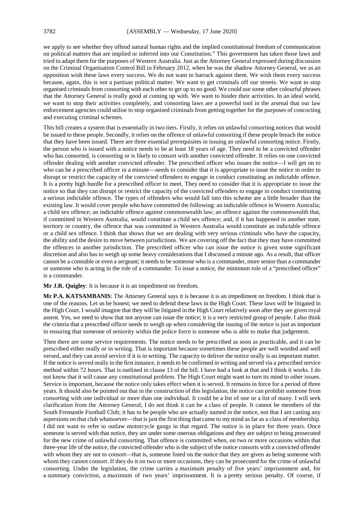we apply to see whether they offend natural human rights and the implied constitutional freedom of communication on political matters that are implied or inferred into our Constitution." This government has taken those laws and tried to adapt them for the purposes of Western Australia. Just as the Attorney General expressed during discussion on the Criminal Organisation Control Bill in February 2012, when he was the shadow Attorney General, we as an opposition wish these laws every success. We do not want to barrack against them. We wish them every success because, again, this is not a partisan political matter. We want to get criminals off our streets. We want to stop organised criminals from consorting with each other to get up to no good. We could use some other colourful phrases that the Attorney General is really good at coming up with. We want to hinder their activities. In an ideal world, we want to stop their activities completely, and consorting laws are a powerful tool in the arsenal that our law enforcement agencies could utilise to stop organised criminals from getting together for the purposes of concocting and executing criminal schemes.

This bill creates a system that is essentially in two tiers. Firstly, it relies on unlawful consorting notices that would be issued to these people. Secondly, it relies on the offence of unlawful consorting if these people breach the notice that they have been issued. There are three essential prerequisites in issuing an unlawful consorting notice. Firstly, the person who is issued with a notice needs to be at least 18 years of age. They need to be a convicted offender who has consorted, is consorting or is likely to consort with another convicted offender. It relies on one convicted offender dealing with another convicted offender. The prescribed officer who issues the notice—I will get on to who can be a prescribed officer in a minute—needs to consider that it is appropriate to issue the notice in order to disrupt or restrict the capacity of the convicted offenders to engage in conduct constituting an indictable offence. It is a pretty high hurdle for a prescribed officer to meet. They need to consider that it is appropriate to issue the notice so that they can disrupt or restrict the capacity of the convicted offenders to engage in conduct constituting a serious indictable offence. The types of offenders who would fall into this scheme are a little broader than the existing law. It would cover people who have committed the following: an indictable offence in Western Australia; a child sex offence; an indictable offence against commonwealth law; an offence against the commonwealth that, if committed in Western Australia, would constitute a child sex offence; and, if it has happened in another state, territory or country, the offence that was committed in Western Australia would constitute an indictable offence or a child sex offence. I think that shows that we are dealing with very serious criminals who have the capacity, the ability and the desire to move between jurisdictions. We are covering off the fact that they may have committed the offences in another jurisdiction. The prescribed officer who can issue the notice is given some significant discretion and also has to weigh up some heavy considerations that I discussed a minute ago. As a result, that officer cannot be a constable or even a sergeant; it needs to be someone who is a commander, more senior than a commander or someone who is acting in the role of a commander. To issue a notice, the minimum role of a "prescribed officer" is a commander.

#### **Mr J.R. Quigley**: It is because it is an impediment on freedom.

**Mr P.A. KATSAMBANIS**: The Attorney General says it is because it is an impediment on freedom. I think that is one of the reasons. Let us be honest; we need to defend these laws in the High Court. These laws will be litigated in the High Court. I would imagine that they will be litigated in the High Court relatively soon after they are given royal assent. Yes, we need to show that not anyone can issue the notice; it is a very restricted group of people. I also think the criteria that a prescribed officer needs to weigh up when considering the issuing of the notice is just as important in ensuring that someone of seniority within the police force is someone who is able to make that judgement.

Then there are some service requirements. The notice needs to be prescribed as soon as practicable, and it can be prescribed either orally or in writing. That is important because sometimes these people are well worded and well versed, and they can avoid service if it is in writing. The capacity to deliver the notice orally is an important matter. If the notice is served orally in the first instance, it needs to be confirmed in writing and served via a prescribed service method within 72 hours. That is outlined in clause 13 of the bill. I have had a look at that and I think it works. I do not know that it will cause any constitutional problem. The High Court might want to turn its mind to other issues. Service is important, because the notice only takes effect when it is served. It remains in force for a period of three years. It should also be pointed out that in the construction of this legislation, the notice can prohibit someone from consorting with one individual or more than one individual. It could be a list of one or a list of many. I will seek clarification from the Attorney General; I do not think it can be a class of people. It cannot be members of the South Fremantle Football Club; it has to be people who are actually named in the notice, not that I am casting any aspersions on that club whatsoever—that is just the first thing that came to my mind as far as a class of membership. I did not want to refer to outlaw motorcycle gangs in that regard. The notice is in place for three years. Once someone is served with that notice, they are under some onerous obligations and they are subject to being prosecuted for the new crime of unlawful consorting. That offence is committed when, on two or more occasions within that three-year life of the notice, the convicted offender who is the subject of the notice consorts with a convicted offender with whom they are not to consort—that is, someone listed on the notice that they are given as being someone with whom they cannot consort. If they do it on two or more occasions, they can be prosecuted for the crime of unlawful consorting. Under the legislation, the crime carries a maximum penalty of five years' imprisonment and, for a summary conviction, a maximum of two years' imprisonment. It is a pretty serious penalty. Of course, if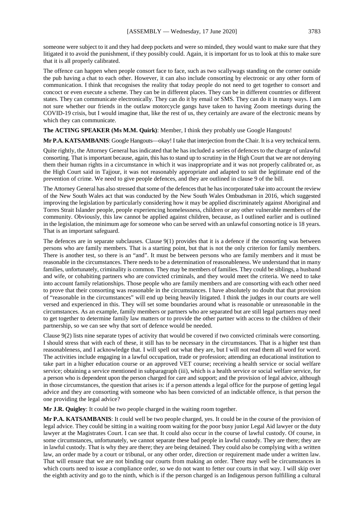someone were subject to it and they had deep pockets and were so minded, they would want to make sure that they litigated it to avoid the punishment, if they possibly could. Again, it is important for us to look at this to make sure that it is all properly calibrated.

The offence can happen when people consort face to face, such as two scallywags standing on the corner outside the pub having a chat to each other. However, it can also include consorting by electronic or any other form of communication. I think that recognises the reality that today people do not need to get together to consort and concoct or even execute a scheme. They can be in different places. They can be in different countries or different states. They can communicate electronically. They can do it by email or SMS. They can do it in many ways. I am not sure whether our friends in the outlaw motorcycle gangs have taken to having Zoom meetings during the COVID-19 crisis, but I would imagine that, like the rest of us, they certainly are aware of the electronic means by which they can communicate.

# **The ACTING SPEAKER (Ms M.M. Quirk)**: Member, I think they probably use Google Hangouts!

**Mr P.A. KATSAMBANIS**: Google Hangouts—okay! I take that interjection from the Chair. It is a very technical term.

Quite rightly, the Attorney General has indicated that he has included a series of defences to the charge of unlawful consorting. That is important because, again, this has to stand up to scrutiny in the High Court that we are not denying them their human rights in a circumstance in which it was inappropriate and it was not properly calibrated or, as the High Court said in Tajjour, it was not reasonably appropriate and adapted to suit the legitimate end of the prevention of crime. We need to give people defences, and they are outlined in clause 9 of the bill.

The Attorney General has also stressed that some of the defences that he has incorporated take into account the review of the New South Wales act that was conducted by the New South Wales Ombudsman in 2016, which suggested improving the legislation by particularly considering how it may be applied discriminately against Aboriginal and Torres Strait Islander people, people experiencing homelessness, children or any other vulnerable members of the community. Obviously, this law cannot be applied against children, because, as I outlined earlier and is outlined in the legislation, the minimum age for someone who can be served with an unlawful consorting notice is 18 years. That is an important safeguard.

The defences are in separate subclauses. Clause 9(1) provides that it is a defence if the consorting was between persons who are family members. That is a starting point, but that is not the only criterion for family members. There is another test, so there is an "and". It must be between persons who are family members and it must be reasonable in the circumstances. There needs to be a determination of reasonableness. We understand that in many families, unfortunately, criminality is common. They may be members of families. They could be siblings, a husband and wife, or cohabiting partners who are convicted criminals, and they would meet the criteria. We need to take into account family relationships. Those people who are family members and are consorting with each other need to prove that their consorting was reasonable in the circumstances. I have absolutely no doubt that that provision of "reasonable in the circumstances" will end up being heavily litigated. I think the judges in our courts are well versed and experienced in this. They will set some boundaries around what is reasonable or unreasonable in the circumstances. As an example, family members or partners who are separated but are still legal partners may need to get together to determine family law matters or to provide the other partner with access to the children of their partnership, so we can see why that sort of defence would be needed.

Clause 9(2) lists nine separate types of activity that would be covered if two convicted criminals were consorting. I should stress that with each of these, it still has to be necessary in the circumstances. That is a higher test than reasonableness, and I acknowledge that. I will spell out what they are, but I will not read them all word for word. The activities include engaging in a lawful occupation, trade or profession; attending an educational institution to take part in a higher education course or an approved VET course; receiving a health service or social welfare service; obtaining a service mentioned in subparagraph (iii), which is a health service or social welfare service, for a person who is dependent upon the person charged for care and support; and the provision of legal advice, although in those circumstances, the question that arises is: if a person attends a legal office for the purpose of getting legal advice and they are consorting with someone who has been convicted of an indictable offence, is that person the one providing the legal advice?

**Mr J.R. Quigley**: It could be two people charged in the waiting room together.

**Mr P.A. KATSAMBANIS**: It could well be two people charged, yes. It could be in the course of the provision of legal advice. They could be sitting in a waiting room waiting for the poor busy junior Legal Aid lawyer or the duty lawyer at the Magistrates Court. I can see that. It could also occur in the course of lawful custody. Of course, in some circumstances, unfortunately, we cannot separate these bad people in lawful custody. They are there; they are in lawful custody. That is why they are there; they are being detained. They could also be complying with a written law, an order made by a court or tribunal, or any other order, direction or requirement made under a written law. That will ensure that we are not binding our courts from making an order. There may well be circumstances in which courts need to issue a compliance order, so we do not want to fetter our courts in that way. I will skip over the eighth activity and go to the ninth, which is if the person charged is an Indigenous person fulfilling a cultural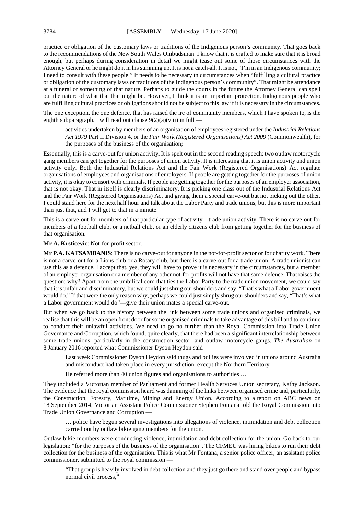practice or obligation of the customary laws or traditions of the Indigenous person's community. That goes back to the recommendations of the New South Wales Ombudsman. I know that it is crafted to make sure that it is broad enough, but perhaps during consideration in detail we might tease out some of those circumstances with the Attorney General or he might do it in his summing up. It is not a catch-all. It is not, "I'm in an Indigenous community; I need to consult with these people." It needs to be necessary in circumstances when "fulfilling a cultural practice or obligation of the customary laws or traditions of the Indigenous person's community". That might be attendance at a funeral or something of that nature. Perhaps to guide the courts in the future the Attorney General can spell out the nature of what that that might be. However, I think it is an important protection. Indigenous people who are fulfilling cultural practices or obligations should not be subject to this law if it is necessary in the circumstances.

The one exception, the one defence, that has raised the ire of community members, which I have spoken to, is the eighth subparagraph. I will read out clause  $9(2)(a)(viii)$  in full —

activities undertaken by members of an organisation of employees registered under the *Industrial Relations Act 1979* Part II Division 4, or the *Fair Work (Registered Organisations) Act 2009* (Commonwealth), for the purposes of the business of the organisation;

Essentially, this is a carve-out for union activity. It is spelt out in the second reading speech: two outlaw motorcycle gang members can get together for the purposes of union activity. It is interesting that it is union activity and union activity only. Both the Industrial Relations Act and the Fair Work (Registered Organisations) Act regulate organisations of employees and organisations of employers. If people are getting together for the purposes of union activity, it is okay to consort with criminals. If people are getting together for the purposes of an employer association, that is not okay. That in itself is clearly discriminatory. It is picking one class out of the Industrial Relations Act and the Fair Work (Registered Organisations) Act and giving them a special carve-out but not picking out the other. I could stand here for the next half hour and talk about the Labor Party and trade unions, but this is more important than just that, and I will get to that in a minute.

This is a carve-out for members of that particular type of activity—trade union activity. There is no carve-out for members of a football club, or a netball club, or an elderly citizens club from getting together for the business of that organisation.

**Mr A. Krsticevic**: Not-for-profit sector.

**Mr P.A. KATSAMBANIS**: There is no carve-out for anyone in the not-for-profit sector or for charity work. There is not a carve-out for a Lions club or a Rotary club, but there is a carve-out for a trade union. A trade unionist can use this as a defence. I accept that, yes, they will have to prove it is necessary in the circumstances, but a member of an employer organisation or a member of any other not-for-profits will not have that same defence. That raises the question: why? Apart from the umbilical cord that ties the Labor Party to the trade union movement, we could say that it is unfair and discriminatory, but we could just shrug our shoulders and say, "That's what a Labor government would do." If that were the only reason why, perhaps we could just simply shrug our shoulders and say, "That's what a Labor government would do"—give their union mates a special carve-out.

But when we go back to the history between the link between some trade unions and organised criminals, we realise that this will be an open front door for some organised criminals to take advantage of this bill and to continue to conduct their unlawful activities. We need to go no further than the Royal Commission into Trade Union Governance and Corruption, which found, quite clearly, that there had been a significant interrelationship between some trade unions, particularly in the construction sector, and outlaw motorcycle gangs. *The Australian* on 8 January 2016 reported what Commissioner Dyson Heydon said —

Last week Commissioner Dyson Heydon said thugs and bullies were involved in unions around Australia and misconduct had taken place in every jurisdiction, except the Northern Territory.

He referred more than 40 union figures and organisations to authorities …

They included a Victorian member of Parliament and former Health Services Union secretary, Kathy Jackson. The evidence that the royal commission heard was damning of the links between organised crime and, particularly, the Construction, Forestry, Maritime, Mining and Energy Union. According to a report on ABC news on 18 September 2014, Victorian Assistant Police Commissioner Stephen Fontana told the Royal Commission into Trade Union Governance and Corruption —

… police have begun several investigations into allegations of violence, intimidation and debt collection carried out by outlaw bikie gang members for the union.

Outlaw bikie members were conducting violence, intimidation and debt collection for the union. Go back to our legislation: "for the purposes of the business of the organisation". The CFMEU was hiring bikies to run their debt collection for the business of the organisation. This is what Mr Fontana, a senior police officer, an assistant police commissioner, submitted to the royal commission —

"That group is heavily involved in debt collection and they just go there and stand over people and bypass normal civil process,"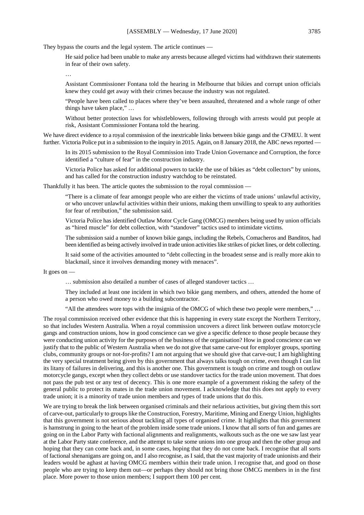They bypass the courts and the legal system. The article continues —

He said police had been unable to make any arrests because alleged victims had withdrawn their statements in fear of their own safety.

…

Assistant Commissioner Fontana told the hearing in Melbourne that bikies and corrupt union officials knew they could get away with their crimes because the industry was not regulated.

"People have been called to places where they've been assaulted, threatened and a whole range of other things have taken place," …

Without better protection laws for whistleblowers, following through with arrests would put people at risk, Assistant Commissioner Fontana told the hearing.

We have direct evidence to a royal commission of the inextricable links between bikie gangs and the CFMEU. It went further. Victoria Police put in a submission to the inquiry in 2015. Again, on 8 January 2018, the ABC news reported

In its 2015 submission to the Royal Commission into Trade Union Governance and Corruption, the force identified a "culture of fear" in the construction industry.

Victoria Police has asked for additional powers to tackle the use of bikies as "debt collectors" by unions, and has called for the construction industry watchdog to be reinstated.

Thankfully it has been. The article quotes the submission to the royal commission —

"There is a climate of fear amongst people who are either the victims of trade unions' unlawful activity, or who uncover unlawful activities within their unions, making them unwilling to speak to any authorities for fear of retribution," the submission said.

Victoria Police has identified Outlaw Motor Cycle Gang (OMCG) members being used by union officials as "hired muscle" for debt collection, with "standover" tactics used to intimidate victims.

The submission said a number of known bikie gangs, including the Rebels, Comacheros and Banditos, had been identified as being actively involved in trade union activities like strikes of picket lines, or debt collecting.

It said some of the activities amounted to "debt collecting in the broadest sense and is really more akin to blackmail, since it involves demanding money with menaces".

It goes on —

… submission also detailed a number of cases of alleged standover tactics …

They included at least one incident in which two bikie gang members, and others, attended the home of a person who owed money to a building subcontractor.

"All the attendees wore tops with the insignia of the OMCG of which these two people were members," …

The royal commission received other evidence that this is happening in every state except the Northern Territory, so that includes Western Australia. When a royal commission uncovers a direct link between outlaw motorcycle gangs and construction unions, how in good conscience can we give a specific defence to those people because they were conducting union activity for the purposes of the business of the organisation? How in good conscience can we justify that to the public of Western Australia when we do not give that same carve-out for employer groups, sporting clubs, community groups or not-for-profits? I am not arguing that we should give that carve-out; I am highlighting the very special treatment being given by this government that always talks tough on crime, even though I can list its litany of failures in delivering, and this is another one. This government is tough on crime and tough on outlaw motorcycle gangs, except when they collect debts or use standover tactics for the trade union movement. That does not pass the pub test or any test of decency. This is one more example of a government risking the safety of the general public to protect its mates in the trade union movement. I acknowledge that this does not apply to every trade union; it is a minority of trade union members and types of trade unions that do this.

We are trying to break the link between organised criminals and their nefarious activities, but giving them this sort of carve-out, particularly to groups like the Construction, Forestry, Maritime, Mining and Energy Union, highlights that this government is not serious about tackling all types of organised crime. It highlights that this government is hamstrung in going to the heart of the problem inside some trade unions. I know that all sorts of fun and games are going on in the Labor Party with factional alignments and realignments, walkouts such as the one we saw last year at the Labor Party state conference, and the attempt to take some unions into one group and then the other group and hoping that they can come back and, in some cases, hoping that they do not come back. I recognise that all sorts of factional shenanigans are going on, and I also recognise, as I said, that the vast majority of trade unionists and their leaders would be aghast at having OMCG members within their trade union. I recognise that, and good on those people who are trying to keep them out—or perhaps they should not bring those OMCG members in in the first place. More power to those union members; I support them 100 per cent.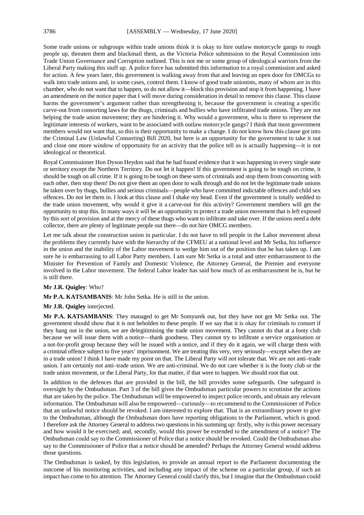Some trade unions or subgroups within trade unions think it is okay to hire outlaw motorcycle gangs to rough people up, threaten them and blackmail them, as the Victoria Police submission to the Royal Commission into Trade Union Governance and Corruption outlined. This is not me or some group of ideological warriors from the Liberal Party making this stuff up. A police force has submitted this information to a royal commission and asked for action. A few years later, this government is walking away from that and leaving an open door for OMCGs to walk into trade unions and, in some cases, control them. I know of good trade unionists, many of whom are in this chamber, who do not want that to happen, so do not allow it—block this provision and stop it from happening. I have an amendment on the notice paper that I will move during consideration in detail to remove this clause. This clause harms the government's argument rather than strengthening it, because the government is creating a specific carve-out from consorting laws for the thugs, criminals and bullies who have infiltrated trade unions. They are not helping the trade union movement; they are hindering it. Why would a government, who is there to represent the legitimate interests of workers, want to be associated with outlaw motorcycle gangs? I think that most government members would not want that, so this is their opportunity to make a change. I do not know how this clause got into the Criminal Law (Unlawful Consorting) Bill 2020, but here is an opportunity for the government to take it out and close one more window of opportunity for an activity that the police tell us is actually happening—it is not ideological or theoretical.

Royal Commissioner Hon Dyson Heydon said that he had found evidence that it was happening in every single state or territory except the Northern Territory. Do not let it happen! If this government is going to be tough on crime, it should be tough on all crime. If it is going to be tough on these sorts of criminals and stop them from consorting with each other, then stop them! Do not give them an open door to walk through and do not let the legitimate trade unions be taken over by thugs, bullies and serious criminals—people who have committed indictable offences and child sex offences. Do not let them in. I look at this clause and I shake my head. Even if the government is totally wedded to the trade union movement, why would it give it a carve-out for this activity? Government members will get the opportunity to stop this. In many ways it will be an opportunity to protect a trade union movement that is left exposed by this sort of provision and at the mercy of these thugs who want to infiltrate and take over. If the unions need a debt collector, there are plenty of legitimate people out there—do not hire OMCG members.

Let me talk about the construction union in particular. I do not have to tell people in the Labor movement about the problems they currently have with the hierarchy of the CFMEU at a national level and Mr Setka, his influence in the union and the inability of the Labor movement to wedge him out of the position that he has taken up. I am sure he is embarrassing to all Labor Party members. I am sure Mr Setka is a total and utter embarrassment to the Minister for Prevention of Family and Domestic Violence, the Attorney General, the Premier and everyone involved in the Labor movement. The federal Labor leader has said how much of an embarrassment he is, but he is still there.

# **Mr J.R. Quigley**: Who?

**Mr P.A. KATSAMBANIS**: Mr John Setka. He is still in the union.

#### **Mr J.R. Quigley** interjected.

**Mr P.A. KATSAMBANIS**: They managed to get Mr Somyurek out, but they have not got Mr Setka out. The government should show that it is not beholden to these people. If we say that it is okay for criminals to consort if they hang out in the union, we are delegitimising the trade union movement. They cannot do that at a footy club because we will issue them with a notice—thank goodness. They cannot try to infiltrate a service organisation or a not-for-profit group because they will be issued with a notice, and if they do it again, we will charge them with a criminal offence subject to five years' imprisonment. We are treating this very, very seriously—except when they are in a trade union! I think I have made my point on that. The Liberal Party will not tolerate that. We are not anti–trade union. I am certainly not anti–trade union. We are anti-criminal. We do not care whether it is the footy club or the trade union movement, or the Liberal Party, for that matter, if that were to happen. We should root that out.

In addition to the defences that are provided in the bill, the bill provides some safeguards. One safeguard is oversight by the Ombudsman. Part 3 of the bill gives the Ombudsman particular powers to scrutinise the actions that are taken by the police. The Ombudsman will be empowered to inspect police records, and obtain any relevant information. The Ombudsman will also be empowered—curiously—to recommend to the Commissioner of Police that an unlawful notice should be revoked. I am interested to explore that. That is an extraordinary power to give to the Ombudsman, although the Ombudsman does have reporting obligations to the Parliament, which is good. I therefore ask the Attorney General to address two questions in his summing up: firstly, why is this power necessary and how would it be exercised; and, secondly, would this power be extended to the amendment of a notice? The Ombudsman could say to the Commissioner of Police that a notice should be revoked. Could the Ombudsman also say to the Commissioner of Police that a notice should be amended? Perhaps the Attorney General would address those questions.

The Ombudsman is tasked, by this legislation, to provide an annual report to the Parliament documenting the outcome of his monitoring activities, and including any impact of the scheme on a particular group, if such an impact has come to his attention. The Attorney General could clarify this, but I imagine that the Ombudsman could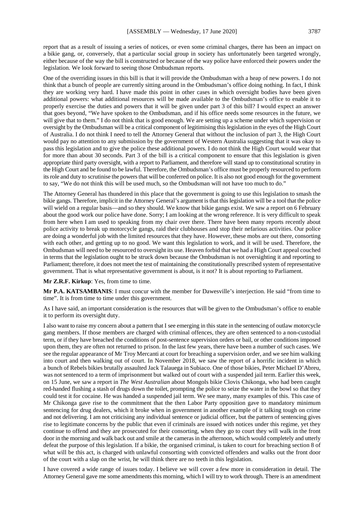report that as a result of issuing a series of notices, or even some criminal charges, there has been an impact on a bikie gang, or, conversely, that a particular social group in society has unfortunately been targeted wrongly, either because of the way the bill is constructed or because of the way police have enforced their powers under the legislation. We look forward to seeing those Ombudsman reports.

One of the overriding issues in this bill is that it will provide the Ombudsman with a heap of new powers. I do not think that a bunch of people are currently sitting around in the Ombudsman's office doing nothing. In fact, I think they are working very hard. I have made this point in other cases in which oversight bodies have been given additional powers: what additional resources will be made available to the Ombudsman's office to enable it to properly exercise the duties and powers that it will be given under part 3 of this bill? I would expect an answer that goes beyond, "We have spoken to the Ombudsman, and if his office needs some resources in the future, we will give that to them." I do not think that is good enough. We are setting up a scheme under which supervision or oversight by the Ombudsman will be a critical component of legitimising this legislation in the eyes of the High Court of Australia. I do not think I need to tell the Attorney General that without the inclusion of part 3, the High Court would pay no attention to any submission by the government of Western Australia suggesting that it was okay to pass this legislation and to give the police these additional powers. I do not think the High Court would wear that for more than about 30 seconds. Part 3 of the bill is a critical component to ensure that this legislation is given appropriate third party oversight, with a report to Parliament, and therefore will stand up to constitutional scrutiny in the High Court and be found to be lawful. Therefore, the Ombudsman's office must be properly resourced to perform its role and duty to scrutinise the powers that will be conferred on police. It is also not good enough for the government to say, "We do not think this will be used much, so the Ombudsman will not have too much to do."

The Attorney General has thundered in this place that the government is going to use this legislation to smash the bikie gangs. Therefore, implicit in the Attorney General's argument is that this legislation will be a tool that the police will wield on a regular basis—and so they should. We know that bikie gangs exist. We saw a report on 6 February about the good work our police have done. Sorry; I am looking at the wrong reference. It is very difficult to speak from here when I am used to speaking from my chair over there. There have been many reports recently about police activity to break up motorcycle gangs, raid their clubhouses and stop their nefarious activities. Our police are doing a wonderful job with the limited resources that they have. However, these mobs are out there, consorting with each other, and getting up to no good. We want this legislation to work, and it will be used. Therefore, the Ombudsman will need to be resourced to oversight its use. Heaven forbid that we had a High Court appeal couched in terms that the legislation ought to be struck down because the Ombudsman is not oversighting it and reporting to Parliament; therefore, it does not meet the test of maintaining the constitutionally prescribed system of representative government. That is what representative government is about, is it not? It is about reporting to Parliament.

#### **Mr Z.R.F. Kirkup**: Yes, from time to time.

**Mr P.A. KATSAMBANIS**: I must concur with the member for Dawesville's interjection. He said "from time to time". It is from time to time under this government.

As I have said, an important consideration is the resources that will be given to the Ombudsman's office to enable it to perform its oversight duty.

I also want to raise my concern about a pattern that I see emerging in this state in the sentencing of outlaw motorcycle gang members. If those members are charged with criminal offences, they are often sentenced to a non-custodial term, or if they have breached the conditions of post-sentence supervision orders or bail, or other conditions imposed upon them, they are often not returned to prison. In the last few years, there have been a number of such cases. We see the regular appearance of Mr Troy Mercanti at court for breaching a supervision order, and we see him walking into court and then walking out of court. In November 2018, we saw the report of a horrific incident in which a bunch of Rebels bikies brutally assaulted Jack Talauega in Subiaco. One of those bikies, Peter Michael D'Abreu, was not sentenced to a term of imprisonment but walked out of court with a suspended jail term. Earlier this week, on 15 June, we saw a report in *The West Australian* about Mongols bikie Clovis Chikonga, who had been caught red-handed flushing a stash of drugs down the toilet, prompting the police to seize the water in the bowl so that they could test it for cocaine. He was handed a suspended jail term. We see many, many examples of this. This case of Mr Chikonga gave rise to the commitment that the then Labor Party opposition gave to mandatory minimum sentencing for drug dealers, which it broke when in government in another example of it talking tough on crime and not delivering. I am not criticising any individual sentence or judicial officer, but the pattern of sentencing gives rise to legitimate concerns by the public that even if criminals are issued with notices under this regime, yet they continue to offend and they are prosecuted for their consorting, when they go to court they will walk in the front door in the morning and walk back out and smile at the cameras in the afternoon, which would completely and utterly defeat the purpose of this legislation. If a bikie, the organised criminal, is taken to court for breaching section 8 of what will be this act, is charged with unlawful consorting with convicted offenders and walks out the front door of the court with a slap on the wrist, he will think there are no teeth in this legislation.

I have covered a wide range of issues today. I believe we will cover a few more in consideration in detail. The Attorney General gave me some amendments this morning, which I will try to work through. There is an amendment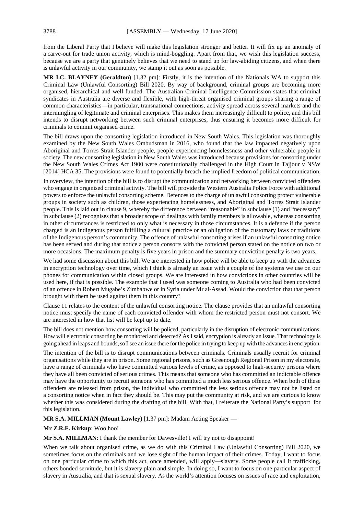from the Liberal Party that I believe will make this legislation stronger and better. It will fix up an anomaly of a carve-out for trade union activity, which is mind-boggling. Apart from that, we wish this legislation success, because we are a party that genuinely believes that we need to stand up for law-abiding citizens, and when there is unlawful activity in our community, we stamp it out as soon as possible.

**MR I.C. BLAYNEY (Geraldton)** [1.32 pm]: Firstly, it is the intention of the Nationals WA to support this Criminal Law (Unlawful Consorting) Bill 2020. By way of background, criminal groups are becoming more organised, hierarchical and well funded. The Australian Criminal Intelligence Commission states that criminal syndicates in Australia are diverse and flexible, with high-threat organised criminal groups sharing a range of common characteristics—in particular, transnational connections, activity spread across several markets and the intermingling of legitimate and criminal enterprises. This makes them increasingly difficult to police, and this bill intends to disrupt networking between such criminal enterprises, thus ensuring it becomes more difficult for criminals to commit organised crime.

The bill draws upon the consorting legislation introduced in New South Wales. This legislation was thoroughly examined by the New South Wales Ombudsman in 2016, who found that the law impacted negatively upon Aboriginal and Torres Strait Islander people, people experiencing homelessness and other vulnerable people in society. The new consorting legislation in New South Wales was introduced because provisions for consorting under the New South Wales Crimes Act 1900 were constitutionally challenged in the High Court in Tajjour v NSW [2014] HCA 35. The provisions were found to potentially breach the implied freedom of political communication.

In overview, the intention of the bill is to disrupt the communication and networking between convicted offenders who engage in organised criminal activity. The bill will provide the Western Australia Police Force with additional powers to enforce the unlawful consorting scheme. Defences to the charge of unlawful consorting protect vulnerable groups in society such as children, those experiencing homelessness, and Aboriginal and Torres Strait Islander people. This is laid out in clause 9, whereby the difference between "reasonable" in subclause (1) and "necessary" in subclause (2) recognises that a broader scope of dealings with family members is allowable, whereas consorting in other circumstances is restricted to only what is necessary in those circumstances. It is a defence if the person charged is an Indigenous person fulfilling a cultural practice or an obligation of the customary laws or traditions of the Indigenous person's community. The offence of unlawful consorting arises if an unlawful consorting notice has been served and during that notice a person consorts with the convicted person stated on the notice on two or more occasions. The maximum penalty is five years in prison and the summary conviction penalty is two years.

We had some discussion about this bill. We are interested in how police will be able to keep up with the advances in encryption technology over time, which I think is already an issue with a couple of the systems we use on our phones for communication within closed groups. We are interested in how convictions in other countries will be used here, if that is possible. The example that I used was someone coming to Australia who had been convicted of an offence in Robert Mugabe's Zimbabwe or in Syria under Mr al-Assad. Would the conviction that that person brought with them be used against them in this country?

Clause 11 relates to the content of the unlawful consorting notice. The clause provides that an unlawful consorting notice must specify the name of each convicted offender with whom the restricted person must not consort. We are interested in how that list will be kept up to date.

The bill does not mention how consorting will be policed, particularly in the disruption of electronic communications. How will electronic consorting be monitored and detected? As I said, encryption is already an issue. That technology is going ahead in leaps and bounds, so I see an issue there for the police in trying to keep up with the advances in encryption.

The intention of the bill is to disrupt communications between criminals. Criminals usually recruit for criminal organisations while they are in prison. Some regional prisons, such as Greenough Regional Prison in my electorate, have a range of criminals who have committed various levels of crime, as opposed to high-security prisons where they have all been convicted of serious crimes. This means that someone who has committed an indictable offence may have the opportunity to recruit someone who has committed a much less serious offence. When both of these offenders are released from prison, the individual who committed the less serious offence may not be listed on a consorting notice when in fact they should be. This may put the community at risk, and we are curious to know whether this was considered during the drafting of the bill. With that, I reiterate the National Party's support for this legislation.

**MR S.A. MILLMAN (Mount Lawley)** [1.37 pm]: Madam Acting Speaker —

**Mr Z.R.F. Kirkup**: Woo hoo!

**Mr S.A. MILLMAN**: I thank the member for Dawesville! I will try not to disappoint!

When we talk about organised crime, as we do with this Criminal Law (Unlawful Consorting) Bill 2020, we sometimes focus on the criminals and we lose sight of the human impact of their crimes. Today, I want to focus on one particular crime to which this act, once amended, will apply—slavery. Some people call it trafficking, others bonded servitude, but it is slavery plain and simple. In doing so, I want to focus on one particular aspect of slavery in Australia, and that is sexual slavery. As the world's attention focuses on issues of race and exploitation,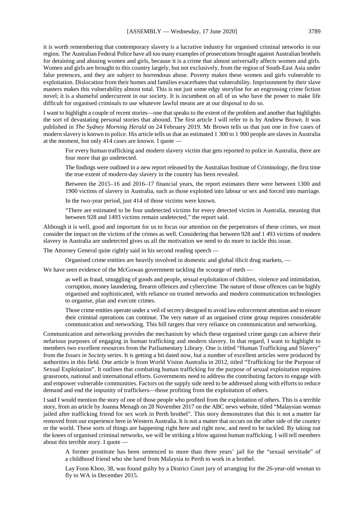it is worth remembering that contemporary slavery is a lucrative industry for organised criminal networks in our region. The Australian Federal Police have all too many examples of prosecutions brought against Australian brothels for detaining and abusing women and girls, because it is a crime that almost universally affects women and girls. Women and girls are brought to this country largely, but not exclusively, from the region of South-East Asia under false pretences, and they are subject to horrendous abuse. Poverty makes these women and girls vulnerable to exploitation. Dislocation from their homes and families exacerbates that vulnerability. Imprisonment by their slave masters makes this vulnerability almost total. This is not just some edgy storyline for an engrossing crime fiction novel; it is a shameful undercurrent in our society. It is incumbent on all of us who have the power to make life difficult for organised criminals to use whatever lawful means are at our disposal to do so.

I want to highlight a couple of recent stories—one that speaks to the extent of the problem and another that highlights the sort of devastating personal stories that abound. The first article I will refer to is by Andrew Brown. It was published in *The Sydney Morning Herald* on 24 February 2019. Mr Brown tells us that just one in five cases of modern slavery is known to police. His article tells us that an estimated 1 300 to 1 900 people are slaves in Australia at the moment, but only 414 cases are known. I quote —

For every human trafficking and modern slavery victim that gets reported to police in Australia, there are four more that go undetected.

The findings were outlined in a new report released by the Australian Institute of Criminology, the first time the true extent of modern-day slavery in the country has been revealed.

Between the 2015–16 and 2016–17 financial years, the report estimates there were between 1300 and 1900 victims of slavery in Australia, such as those exploited into labour or sex and forced into marriage.

In the two-year period, just 414 of those victims were known.

"There are estimated to be four undetected victims for every detected victim in Australia, meaning that between 928 and 1493 victims remain undetected," the report said.

Although it is well, good and important for us to focus our attention on the perpetrators of these crimes, we must consider the impact on the victims of the crimes as well. Considering that between 928 and 1 493 victims of modern slavery in Australia are undetected gives us all the motivation we need to do more to tackle this issue.

The Attorney General quite rightly said in his second reading speech —

Organised crime entities are heavily involved in domestic and global illicit drug markets, —

We have seen evidence of the McGowan government tackling the scourge of meth —

as well as fraud, smuggling of goods and people, sexual exploitation of children, violence and intimidation, corruption, money laundering, firearm offences and cybercrime. The nature of those offences can be highly organised and sophisticated, with reliance on trusted networks and modern communication technologies to organise, plan and execute crimes.

Those crime entities operate under a veil of secrecy designed to avoid law enforcement attention and to ensure their criminal operations can continue. The very nature of an organised crime group requires considerable communication and networking. This bill targets that very reliance on communication and networking.

Communication and networking provides the mechanism by which these organised crime gangs can achieve their nefarious purposes of engaging in human trafficking and modern slavery. In that regard, I want to highlight to members two excellent resources from the Parliamentary Library. One is titled "Human Trafficking and Slavery" from the *Issues in Society* series. It is getting a bit dated now, but a number of excellent articles were produced by authorities in this field. One article is from World Vision Australia in 2012, titled "Trafficking for the Purpose of Sexual Exploitation". It outlines that combating human trafficking for the purpose of sexual exploitation requires grassroots, national and international efforts. Governments need to address the contributing factors to engage with and empower vulnerable communities. Factors on the supply side need to be addressed along with efforts to reduce demand and end the impunity of traffickers—those profiting from the exploitation of others.

I said I would mention the story of one of those people who profited from the exploitation of others. This is a terrible story, from an article by Joanna Menagh on 28 November 2017 on the ABC news website, titled "Malaysian woman jailed after trafficking friend for sex work in Perth brothel". This story demonstrates that this is not a matter far removed from our experience here in Western Australia. It is not a matter that occurs on the other side of the country or the world. These sorts of things are happening right here and right now, and need to be tackled. By taking out the knees of organised criminal networks, we will be striking a blow against human trafficking. I will tell members about this terrible story. I quote —

A former prostitute has been sentenced to more than three years' jail for the "sexual servitude" of a childhood friend who she lured from Malaysia to Perth to work in a brothel.

Lay Foon Khoo, 38, was found guilty by a District Court jury of arranging for the 26-year-old woman to fly to WA in December 2015.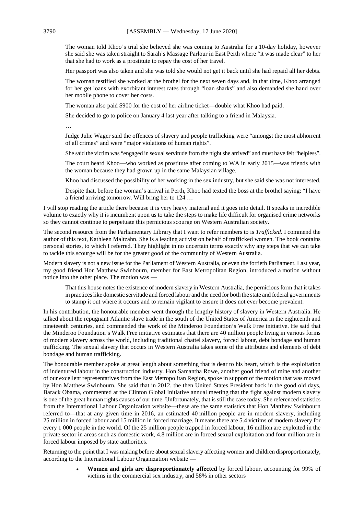The woman told Khoo's trial she believed she was coming to Australia for a 10-day holiday, however she said she was taken straight to Sarah's Massage Parlour in East Perth where "it was made clear" to her that she had to work as a prostitute to repay the cost of her travel.

Her passport was also taken and she was told she would not get it back until she had repaid all her debts.

The woman testified she worked at the brothel for the next seven days and, in that time, Khoo arranged for her get loans with exorbitant interest rates through "loan sharks" and also demanded she hand over her mobile phone to cover her costs.

The woman also paid \$900 for the cost of her airline ticket—double what Khoo had paid.

She decided to go to police on January 4 last year after talking to a friend in Malaysia.

…

Judge Julie Wager said the offences of slavery and people trafficking were "amongst the most abhorrent of all crimes" and were "major violations of human rights".

She said the victim was "engaged in sexual servitude from the night she arrived" and must have felt "helpless".

The court heard Khoo—who worked as prostitute after coming to WA in early 2015—was friends with the woman because they had grown up in the same Malaysian village.

Khoo had discussed the possibility of her working in the sex industry, but she said she was not interested.

Despite that, before the woman's arrival in Perth, Khoo had texted the boss at the brothel saying: "I have a friend arriving tomorrow. Will bring her to 124 …

I will stop reading the article there because it is very heavy material and it goes into detail. It speaks in incredible volume to exactly why it is incumbent upon us to take the steps to make life difficult for organised crime networks so they cannot continue to perpetuate this pernicious scourge on Western Australian society.

The second resource from the Parliamentary Library that I want to refer members to is *Trafficked*. I commend the author of this text, Kathleen Maltzahn. She is a leading activist on behalf of trafficked women. The book contains personal stories, to which I referred. They highlight in no uncertain terms exactly why any steps that we can take to tackle this scourge will be for the greater good of the community of Western Australia.

Modern slavery is not a new issue for the Parliament of Western Australia, or even the fortieth Parliament. Last year, my good friend Hon Matthew Swinbourn, member for East Metropolitan Region, introduced a motion without notice into the other place. The motion was —

That this house notes the existence of modern slavery in Western Australia, the pernicious form that it takes in practices like domestic servitude and forced labour and the need for both the state and federal governments to stamp it out where it occurs and to remain vigilant to ensure it does not ever become prevalent.

In his contribution, the honourable member went through the lengthy history of slavery in Western Australia. He talked about the repugnant Atlantic slave trade in the south of the United States of America in the eighteenth and nineteenth centuries, and commended the work of the Minderoo Foundation's Walk Free initiative. He said that the Minderoo Foundation's Walk Free initiative estimates that there are 40 million people living in various forms of modern slavery across the world, including traditional chattel slavery, forced labour, debt bondage and human trafficking. The sexual slavery that occurs in Western Australia takes some of the attributes and elements of debt bondage and human trafficking.

The honourable member spoke at great length about something that is dear to his heart, which is the exploitation of indentured labour in the construction industry. Hon Samantha Rowe, another good friend of mine and another of our excellent representatives from the East Metropolitan Region, spoke in support of the motion that was moved by Hon Matthew Swinbourn. She said that in 2012, the then United States President back in the good old days, Barack Obama, commented at the Clinton Global Initiative annual meeting that the fight against modern slavery is one of the great human rights causes of our time. Unfortunately, that is still the case today. She referenced statistics from the International Labour Organization website—these are the same statistics that Hon Matthew Swinbourn referred to—that at any given time in 2016, an estimated 40 million people are in modern slavery, including 25 million in forced labour and 15 million in forced marriage. It means there are 5.4 victims of modern slavery for every 1 000 people in the world. Of the 25 million people trapped in forced labour, 16 million are exploited in the private sector in areas such as domestic work, 4.8 million are in forced sexual exploitation and four million are in forced labour imposed by state authorities.

Returning to the point that I was making before about sexual slavery affecting women and children disproportionately, according to the International Labour Organization website —

> • **Women and girls are disproportionately affected** by forced labour, accounting for 99% of victims in the commercial sex industry, and 58% in other sectors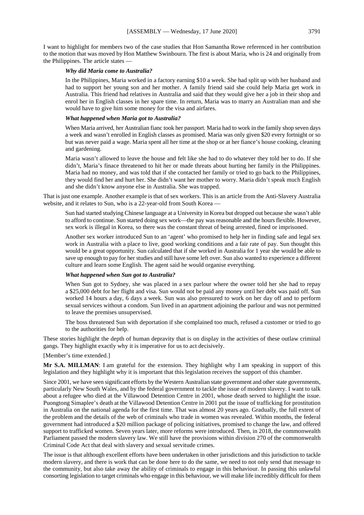I want to highlight for members two of the case studies that Hon Samantha Rowe referenced in her contribution to the motion that was moved by Hon Matthew Swinbourn. The first is about Maria, who is 24 and originally from the Philippines. The article states -

# *Why did Maria come to Australia?*

In the Philippines, Maria worked in a factory earning \$10 a week. She had split up with her husband and had to support her young son and her mother. A family friend said she could help Maria get work in Australia. This friend had relatives in Australia and said that they would give her a job in their shop and enrol her in English classes in her spare time. In return, Maria was to marry an Australian man and she would have to give him some money for the visa and airfares.

#### *What happened when Maria got to Australia?*

When Maria arrived, her Australian fianc took her passport. Maria had to work in the family shop seven days a week and wasn't enrolled in English classes as promised. Maria was only given \$20 every fortnight or so but was never paid a wage. Maria spent all her time at the shop or at her fiance's house cooking, cleaning and gardening.

Maria wasn't allowed to leave the house and felt like she had to do whatever they told her to do. If she didn't, Maria's finace threatened to hit her or made threats about hurting her family in the Philippines. Maria had no money, and was told that if she contacted her family or tried to go back to the Philippines, they would find her and hurt her. She didn't want her mother to worry. Maria didn't speak much English and she didn't know anyone else in Australia. She was trapped.

That is just one example. Another example is that of sex workers. This is an article from the Anti-Slavery Australia website, and it relates to Sun, who is a 22-year-old from South Korea —

Sun had started studying Chinese language at a University in Korea but dropped out because she wasn't able to afford to continue. Sun started doing sex work—the pay was reasonable and the hours flexible. However, sex work is illegal in Korea, so there was the constant threat of being arrested, fined or imprisoned.

Another sex worker introduced Sun to an 'agent' who promised to help her in finding safe and legal sex work in Australia with a place to live, good working conditions and a fair rate of pay. Sun thought this would be a great opportunity. Sun calculated that if she worked in Australia for 1 year she would be able to save up enough to pay for her studies and still have some left over. Sun also wanted to experience a different culture and learn some English. The agent said he would organise everything.

### *What happened when Sun got to Australia?*

When Sun got to Sydney, she was placed in a sex parlour where the owner told her she had to repay a \$25,000 debt for her flight and visa. Sun would not be paid any money until her debt was paid off. Sun worked 14 hours a day, 6 days a week. Sun was also pressured to work on her day off and to perform sexual services without a condom. Sun lived in an apartment adjoining the parlour and was not permitted to leave the premises unsupervised.

The boss threatened Sun with deportation if she complained too much, refused a customer or tried to go to the authorities for help.

These stories highlight the depth of human depravity that is on display in the activities of these outlaw criminal gangs. They highlight exactly why it is imperative for us to act decisively.

#### [Member's time extended.]

**Mr S.A. MILLMAN**: I am grateful for the extension. They highlight why I am speaking in support of this legislation and they highlight why it is important that this legislation receives the support of this chamber.

Since 2001, we have seen significant efforts by the Western Australian state government and other state governments, particularly New South Wales, and by the federal government to tackle the issue of modern slavery. I want to talk about a refugee who died at the Villawood Detention Centre in 2001, whose death served to highlight the issue. Puongtong Simaplee's death at the Villawood Detention Centre in 2001 put the issue of trafficking for prostitution in Australia on the national agenda for the first time. That was almost 20 years ago. Gradually, the full extent of the problem and the details of the web of criminals who trade in women was revealed. Within months, the federal government had introduced a \$20 million package of policing initiatives, promised to change the law, and offered support to trafficked women. Seven years later, more reforms were introduced. Then, in 2018, the commonwealth Parliament passed the modern slavery law. We still have the provisions within division 270 of the commonwealth Criminal Code Act that deal with slavery and sexual servitude crimes.

The issue is that although excellent efforts have been undertaken in other jurisdictions and this jurisdiction to tackle modern slavery, and there is work that can be done here to do the same, we need to not only send that message to the community, but also take away the ability of criminals to engage in this behaviour. In passing this unlawful consorting legislation to target criminals who engage in this behaviour, we will make life incredibly difficult for them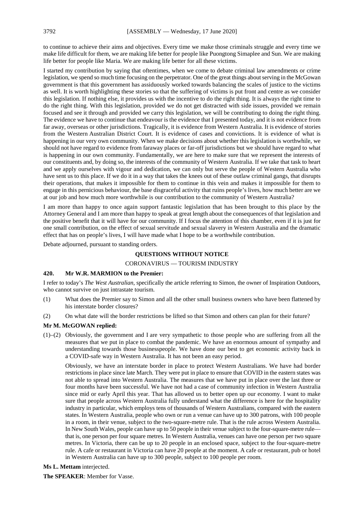to continue to achieve their aims and objectives. Every time we make those criminals struggle and every time we make life difficult for them, we are making life better for people like Puongtong Simaplee and Sun. We are making life better for people like Maria. We are making life better for all these victims.

I started my contribution by saying that oftentimes, when we come to debate criminal law amendments or crime legislation, we spend so much time focusing on the perpetrator. One of the great things about serving in the McGowan government is that this government has assiduously worked towards balancing the scales of justice to the victims as well. It is worth highlighting these stories so that the suffering of victims is put front and centre as we consider this legislation. If nothing else, it provides us with the incentive to do the right thing. It is always the right time to do the right thing. With this legislation, provided we do not get distracted with side issues, provided we remain focused and see it through and provided we carry this legislation, we will be contributing to doing the right thing. The evidence we have to continue that endeavour is the evidence that I presented today, and it is not evidence from far away, overseas or other jurisdictions. Tragically, it is evidence from Western Australia. It is evidence of stories from the Western Australian District Court. It is evidence of cases and convictions. It is evidence of what is happening in our very own community. When we make decisions about whether this legislation is worthwhile, we should not have regard to evidence from faraway places or far-off jurisdictions but we should have regard to what is happening in our own community. Fundamentally, we are here to make sure that we represent the interests of our constituents and, by doing so, the interests of the community of Western Australia. If we take that task to heart and we apply ourselves with vigour and dedication, we can only but serve the people of Western Australia who have sent us to this place. If we do it in a way that takes the knees out of these outlaw criminal gangs, that disrupts their operations, that makes it impossible for them to continue in this vein and makes it impossible for them to engage in this pernicious behaviour, the base disgraceful activity that ruins people's lives, how much better are we at our job and how much more worthwhile is our contribution to the community of Western Australia?

I am more than happy to once again support fantastic legislation that has been brought to this place by the Attorney General and I am more than happy to speak at great length about the consequences of that legislation and the positive benefit that it will have for our community. If I focus the attention of this chamber, even if it is just for one small contribution, on the effect of sexual servitude and sexual slavery in Western Australia and the dramatic effect that has on people's lives, I will have made what I hope to be a worthwhile contribution.

Debate adjourned, pursuant to standing orders.

# **QUESTIONS WITHOUT NOTICE**

# CORONAVIRUS — TOURISM INDUSTRY

# **420. Mr W.R. MARMION to the Premier:**

I refer to today's *The West Australian*, specifically the article referring to Simon, the owner of Inspiration Outdoors, who cannot survive on just intrastate tourism.

- (1) What does the Premier say to Simon and all the other small business owners who have been flattened by his interstate border closures?
- (2) On what date will the border restrictions be lifted so that Simon and others can plan for their future?

#### **Mr M. McGOWAN replied:**

(1)–(2) Obviously, the government and I are very sympathetic to those people who are suffering from all the measures that we put in place to combat the pandemic. We have an enormous amount of sympathy and understanding towards those businesspeople. We have done our best to get economic activity back in a COVID-safe way in Western Australia. It has not been an easy period.

Obviously, we have an interstate border in place to protect Western Australians. We have had border restrictions in place since late March. They were put in place to ensure that COVID in the eastern states was not able to spread into Western Australia. The measures that we have put in place over the last three or four months have been successful. We have not had a case of community infection in Western Australia since mid or early April this year. That has allowed us to better open up our economy. I want to make sure that people across Western Australia fully understand what the difference is here for the hospitality industry in particular, which employs tens of thousands of Western Australians, compared with the eastern states. In Western Australia, people who own or run a venue can have up to 300 patrons, with 100 people in a room, in their venue, subject to the two-square-metre rule. That is the rule across Western Australia. In New South Wales, people can have up to 50 people in their venue subject to the four-square-metre rule that is, one person per four square metres. In Western Australia, venues can have one person per two square metres. In Victoria, there can be up to 20 people in an enclosed space, subject to the four-square-metre rule. A cafe or restaurant in Victoria can have 20 people at the moment. A cafe or restaurant, pub or hotel in Western Australia can have up to 300 people, subject to 100 people per room.

#### **Ms L. Mettam** interjected.

**The SPEAKER**: Member for Vasse.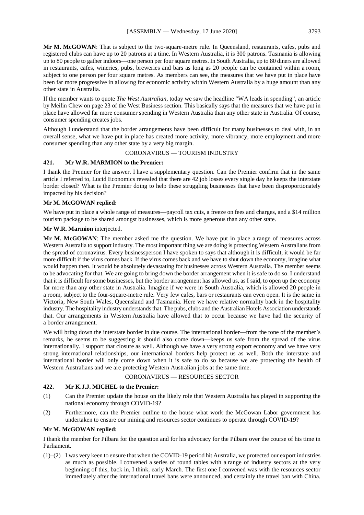Mr M. McGOWAN: That is subject to the two-square-metre rule. In Queensland, restaurants, cafes, pubs and registered clubs can have up to 20 patrons at a time. In Western Australia, it is 300 patrons. Tasmania is allowing up to 80 people to gather indoors—one person per four square metres. In South Australia, up to 80 diners are allowed in restaurants, cafes, wineries, pubs, breweries and bars as long as 20 people can be contained within a room, subject to one person per four square metres. As members can see, the measures that we have put in place have been far more progressive in allowing for economic activity within Western Australia by a huge amount than any other state in Australia.

If the member wants to quote *The West Australian*, today we saw the headline "WA leads in spending", an article by Meilin Chew on page 23 of the West Business section. This basically says that the measures that we have put in place have allowed far more consumer spending in Western Australia than any other state in Australia. Of course, consumer spending creates jobs.

Although I understand that the border arrangements have been difficult for many businesses to deal with, in an overall sense, what we have put in place has created more activity, more vibrancy, more employment and more consumer spending than any other state by a very big margin.

# CORONAVIRUS — TOURISM INDUSTRY

# **421. Mr W.R. MARMION to the Premier:**

I thank the Premier for the answer. I have a supplementary question. Can the Premier confirm that in the same article I referred to, Lucid Economics revealed that there are 42 job losses every single day he keeps the interstate border closed? What is the Premier doing to help these struggling businesses that have been disproportionately impacted by his decision?

# **Mr M. McGOWAN replied:**

We have put in place a whole range of measures—payroll tax cuts, a freeze on fees and charges, and a \$14 million tourism package to be shared amongst businesses, which is more generous than any other state.

#### **Mr W.R. Marmion** interjected.

**Mr M. McGOWAN**: The member asked me the question. We have put in place a range of measures across Western Australia to support industry. The most important thing we are doing is protecting Western Australians from the spread of coronavirus. Every businessperson I have spoken to says that although it is difficult, it would be far more difficult if the virus comes back. If the virus comes back and we have to shut down the economy, imagine what would happen then. It would be absolutely devastating for businesses across Western Australia. The member seems to be advocating for that. We are going to bring down the border arrangement when it is safe to do so. I understand that it is difficult for some businesses, but the border arrangement has allowed us, as I said, to open up the economy far more than any other state in Australia. Imagine if we were in South Australia, which is allowed 20 people in a room, subject to the four-square-metre rule. Very few cafes, bars or restaurants can even open. It is the same in Victoria, New South Wales, Queensland and Tasmania. Here we have relative normality back in the hospitality industry. The hospitality industry understands that. The pubs, clubs and the Australian Hotels Association understands that. Our arrangements in Western Australia have allowed that to occur because we have had the security of a border arrangement.

We will bring down the interstate border in due course. The international border—from the tone of the member's remarks, he seems to be suggesting it should also come down—keeps us safe from the spread of the virus internationally. I support that closure as well. Although we have a very strong export economy and we have very strong international relationships, our international borders help protect us as well. Both the interstate and international border will only come down when it is safe to do so because we are protecting the health of Western Australians and we are protecting Western Australian jobs at the same time.

# CORONAVIRUS — RESOURCES SECTOR

# **422. Mr K.J.J. MICHEL to the Premier:**

- (1) Can the Premier update the house on the likely role that Western Australia has played in supporting the national economy through COVID-19?
- (2) Furthermore, can the Premier outline to the house what work the McGowan Labor government has undertaken to ensure our mining and resources sector continues to operate through COVID-19?

#### **Mr M. McGOWAN replied:**

I thank the member for Pilbara for the question and for his advocacy for the Pilbara over the course of his time in Parliament.

(1)–(2) I was very keen to ensure that when the COVID-19 period hit Australia, we protected our export industries as much as possible. I convened a series of round tables with a range of industry sectors at the very beginning of this, back in, I think, early March. The first one I convened was with the resources sector immediately after the international travel bans were announced, and certainly the travel ban with China.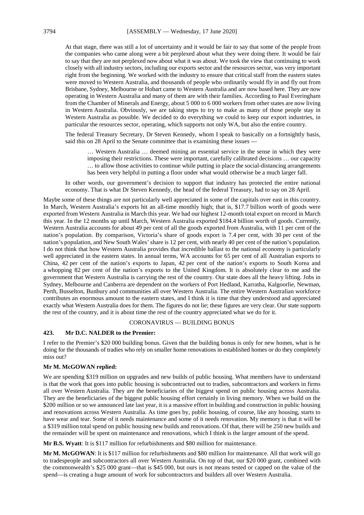At that stage, there was still a lot of uncertainty and it would be fair to say that some of the people from the companies who came along were a bit perplexed about what they were doing there. It would be fair to say that they are not perplexed now about what it was about. We took the view that continuing to work closely with all industry sectors, including our exports sector and the resources sector, was very important right from the beginning. We worked with the industry to ensure that critical staff from the eastern states were moved to Western Australia, and thousands of people who ordinarily would fly in and fly out from Brisbane, Sydney, Melbourne or Hobart came to Western Australia and are now based here. They are now operating in Western Australia and many of them are with their families. According to Paul Everingham from the Chamber of Minerals and Energy, about 5 000 to 6 000 workers from other states are now living in Western Australia. Obviously, we are taking steps to try to make as many of those people stay in Western Australia as possible. We decided to do everything we could to keep our export industries, in particular the resources sector, operating, which supports not only WA, but also the entire country.

The federal Treasury Secretary, Dr Steven Kennedy, whom I speak to basically on a fortnightly basis, said this on 28 April to the Senate committee that is examining these issues —

… Western Australia … deemed mining an essential service in the sense in which they were imposing their restrictions. These were important, carefully calibrated decisions … our capacity … to allow those activities to continue while putting in place the social-distancing arrangements has been very helpful in putting a floor under what would otherwise be a much larger fall.

In other words, our government's decision to support that industry has protected the entire national economy. That is what Dr Steven Kennedy, the head of the federal Treasury, had to say on 28 April.

Maybe some of these things are not particularly well appreciated in some of the capitals over east in this country. In March, Western Australia's exports hit an all-time monthly high; that is, \$17.7 billion worth of goods were exported from Western Australia in March this year. We had our highest 12-month total export on record in March this year. In the 12 months up until March, Western Australia exported \$184.4 billion worth of goods. Currently, Western Australia accounts for about 49 per cent of all the goods exported from Australia, with 11 per cent of the nation's population. By comparison, Victoria's share of goods export is 7.4 per cent, with 30 per cent of the nation's population, and New South Wales' share is 12 per cent, with nearly 40 per cent of the nation's population. I do not think that how Western Australia provides that incredible ballast to the national economy is particularly well appreciated in the eastern states. In annual terms, WA accounts for 65 per cent of all Australian exports to China, 42 per cent of the nation's exports to Japan, 42 per cent of the nation's exports to South Korea and a whopping 82 per cent of the nation's exports to the United Kingdom. It is absolutely clear to me and the government that Western Australia is carrying the rest of the country. Our state does all the heavy lifting. Jobs in Sydney, Melbourne and Canberra are dependent on the workers of Port Hedland, Karratha, Kalgoorlie, Newman, Perth, Busselton, Bunbury and communities all over Western Australia. The entire Western Australian workforce contributes an enormous amount to the eastern states, and I think it is time that they understood and appreciated exactly what Western Australia does for them. The figures do not lie; these figures are very clear. Our state supports the rest of the country, and it is about time the rest of the country appreciated what we do for it.

#### CORONAVIRUS — BUILDING BONUS

# **423. Mr D.C. NALDER to the Premier:**

I refer to the Premier's \$20 000 building bonus. Given that the building bonus is only for new homes, what is he doing for the thousands of tradies who rely on smaller home renovations in established homes or do they completely miss out?

#### **Mr M. McGOWAN replied:**

We are spending \$319 million on upgrades and new builds of public housing. What members have to understand is that the work that goes into public housing is subcontracted out to tradies, subcontractors and workers in firms all over Western Australia. They are the beneficiaries of the biggest spend on public housing across Australia. They are the beneficiaries of the biggest public housing effort certainly in living memory. When we build on the \$200 million or so we announced late last year, it is a massive effort in building and construction in public housing and renovations across Western Australia. As time goes by, public housing, of course, like any housing, starts to have wear and tear. Some of it needs maintenance and some of it needs renovation. My memory is that it will be a \$319 million total spend on public housing new builds and renovations. Of that, there will be 250 new builds and the remainder will be spent on maintenance and renovations, which I think is the larger amount of the spend.

**Mr B.S. Wyatt**: It is \$117 million for refurbishments and \$80 million for maintenance.

**Mr M. McGOWAN**: It is \$117 million for refurbishments and \$80 million for maintenance. All that work will go to tradespeople and subcontractors all over Western Australia. On top of that, our \$20 000 grant, combined with the commonwealth's \$25 000 grant—that is \$45 000, but ours is not means tested or capped on the value of the spend—is creating a huge amount of work for subcontractors and builders all over Western Australia.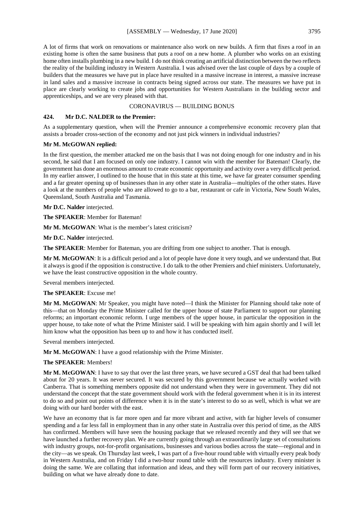A lot of firms that work on renovations or maintenance also work on new builds. A firm that fixes a roof in an existing home is often the same business that puts a roof on a new home. A plumber who works on an existing home often installs plumbing in a new build. I do not think creating an artificial distinction between the two reflects the reality of the building industry in Western Australia. I was advised over the last couple of days by a couple of builders that the measures we have put in place have resulted in a massive increase in interest, a massive increase in land sales and a massive increase in contracts being signed across our state. The measures we have put in place are clearly working to create jobs and opportunities for Western Australians in the building sector and apprenticeships, and we are very pleased with that.

# CORONAVIRUS — BUILDING BONUS

# **424. Mr D.C. NALDER to the Premier:**

As a supplementary question, when will the Premier announce a comprehensive economic recovery plan that assists a broader cross-section of the economy and not just pick winners in individual industries?

# **Mr M. McGOWAN replied:**

In the first question, the member attacked me on the basis that I was not doing enough for one industry and in his second, he said that I am focused on only one industry. I cannot win with the member for Bateman! Clearly, the government has done an enormous amount to create economic opportunity and activity over a very difficult period. In my earlier answer, I outlined to the house that in this state at this time, we have far greater consumer spending and a far greater opening up of businesses than in any other state in Australia—multiples of the other states. Have a look at the numbers of people who are allowed to go to a bar, restaurant or cafe in Victoria, New South Wales, Queensland, South Australia and Tasmania.

**Mr D.C. Nalder** interjected.

**The SPEAKER**: Member for Bateman!

**Mr M. McGOWAN**: What is the member's latest criticism?

**Mr D.C. Nalder** interjected.

**The SPEAKER**: Member for Bateman, you are drifting from one subject to another. That is enough.

**Mr M. McGOWAN**: It is a difficult period and a lot of people have done it very tough, and we understand that. But it always is good if the opposition is constructive. I do talk to the other Premiers and chief ministers. Unfortunately, we have the least constructive opposition in the whole country.

Several members interjected.

#### **The SPEAKER**: Excuse me!

**Mr M. McGOWAN**: Mr Speaker, you might have noted—I think the Minister for Planning should take note of this—that on Monday the Prime Minister called for the upper house of state Parliament to support our planning reforms; an important economic reform. I urge members of the upper house, in particular the opposition in the upper house, to take note of what the Prime Minister said. I will be speaking with him again shortly and I will let him know what the opposition has been up to and how it has conducted itself.

Several members interjected.

**Mr M. McGOWAN**: I have a good relationship with the Prime Minister.

# **The SPEAKER**: Members!

**Mr M. McGOWAN**: I have to say that over the last three years, we have secured a GST deal that had been talked about for 20 years. It was never secured. It was secured by this government because we actually worked with Canberra. That is something members opposite did not understand when they were in government. They did not understand the concept that the state government should work with the federal government when it is in its interest to do so and point out points of difference when it is in the state's interest to do so as well, which is what we are doing with our hard border with the east.

We have an economy that is far more open and far more vibrant and active, with far higher levels of consumer spending and a far less fall in employment than in any other state in Australia over this period of time, as the ABS has confirmed. Members will have seen the housing package that we released recently and they will see that we have launched a further recovery plan. We are currently going through an extraordinarily large set of consultations with industry groups, not-for-profit organisations, businesses and various bodies across the state—regional and in the city—as we speak. On Thursday last week, I was part of a five-hour round table with virtually every peak body in Western Australia, and on Friday I did a two-hour round table with the resources industry. Every minister is doing the same. We are collating that information and ideas, and they will form part of our recovery initiatives, building on what we have already done to date.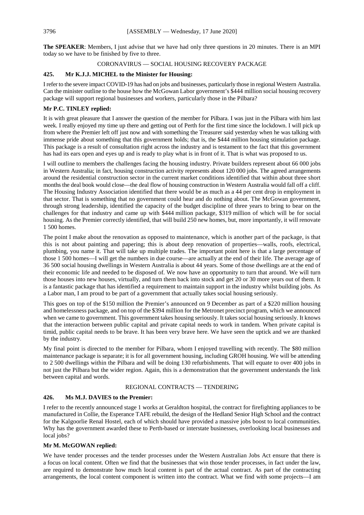**The SPEAKER**: Members, I just advise that we have had only three questions in 20 minutes. There is an MPI today so we have to be finished by five to three.

# CORONAVIRUS — SOCIAL HOUSING RECOVERY PACKAGE

# **425. Mr K.J.J. MICHEL to the Minister for Housing:**

I refer to the severe impact COVID-19 has had on jobs and businesses, particularly those in regional Western Australia. Can the minister outline to the house how the McGowan Labor government's \$444 million social housing recovery package will support regional businesses and workers, particularly those in the Pilbara?

# **Mr P.C. TINLEY replied:**

It is with great pleasure that I answer the question of the member for Pilbara. I was just in the Pilbara with him last week. I really enjoyed my time up there and getting out of Perth for the first time since the lockdown. I will pick up from where the Premier left off just now and with something the Treasurer said yesterday when he was talking with immense pride about something that this government holds; that is, the \$444 million housing stimulation package. This package is a result of consultation right across the industry and is testament to the fact that this government has had its ears open and eyes up and is ready to play what is in front of it. That is what was proposed to us.

I will outline to members the challenges facing the housing industry. Private builders represent about 66 000 jobs in Western Australia; in fact, housing construction activity represents about 120 000 jobs. The agreed arrangements around the residential construction sector in the current market conditions identified that within about three short months the deal book would close—the deal flow of housing construction in Western Australia would fall off a cliff. The Housing Industry Association identified that there would be as much as a 44 per cent drop in employment in that sector. That is something that no government could hear and do nothing about. The McGowan government, through strong leadership, identified the capacity of the budget discipline of three years to bring to bear on the challenges for that industry and came up with \$444 million package, \$319 million of which will be for social housing. As the Premier correctly identified, that will build 250 new homes, but, more importantly, it will renovate 1 500 homes.

The point I make about the renovation as opposed to maintenance, which is another part of the package, is that this is not about painting and papering; this is about deep renovation of properties—walls, roofs, electrical, plumbing, you name it. That will take up multiple trades. The important point here is that a large percentage of those 1 500 homes—I will get the numbers in due course—are actually at the end of their life. The average age of 36 500 social housing dwellings in Western Australia is about 44 years. Some of those dwellings are at the end of their economic life and needed to be disposed of. We now have an opportunity to turn that around. We will turn those houses into new houses, virtually, and turn them back into stock and get 20 or 30 more years out of them. It is a fantastic package that has identified a requirement to maintain support in the industry whilst building jobs. As a Labor man, I am proud to be part of a government that actually takes social housing seriously.

This goes on top of the \$150 million the Premier's announced on 9 December as part of a \$220 million housing and homelessness package, and on top of the \$394 million for the Metronet precinct program, which we announced when we came to government. This government takes housing seriously. It takes social housing seriously. It knows that the interaction between public capital and private capital needs to work in tandem. When private capital is timid, public capital needs to be brave. It has been very brave here. We have seen the uptick and we are thanked by the industry.

My final point is directed to the member for Pilbara, whom I enjoyed travelling with recently. The \$80 million maintenance package is separate; it is for all government housing, including GROH housing. We will be attending to 2 500 dwellings within the Pilbara and will be doing 130 refurbishments. That will equate to over 400 jobs in not just the Pilbara but the wider region. Again, this is a demonstration that the government understands the link between capital and words.

# REGIONAL CONTRACTS — TENDERING

# **426. Ms M.J. DAVIES to the Premier:**

I refer to the recently announced stage 1 works at Geraldton hospital, the contract for firefighting appliances to be manufactured in Collie, the Esperance TAFE rebuild, the design of the Hedland Senior High School and the contract for the Kalgoorlie Renal Hostel, each of which should have provided a massive jobs boost to local communities. Why has the government awarded these to Perth-based or interstate businesses, overlooking local businesses and local jobs?

# **Mr M. McGOWAN replied:**

We have tender processes and the tender processes under the Western Australian Jobs Act ensure that there is a focus on local content. Often we find that the businesses that win those tender processes, in fact under the law, are required to demonstrate how much local content is part of the actual contract. As part of the contracting arrangements, the local content component is written into the contract. What we find with some projects—I am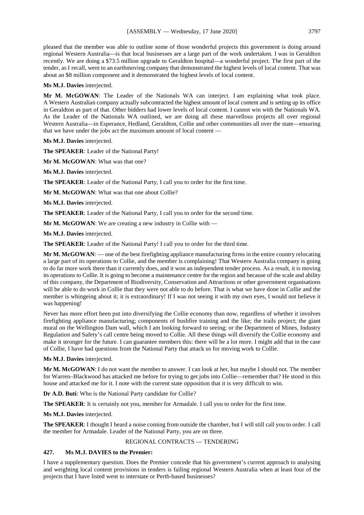pleased that the member was able to outline some of those wonderful projects this government is doing around regional Western Australia—is that local businesses are a large part of the work undertaken. I was in Geraldton recently. We are doing a \$73.5 million upgrade to Geraldton hospital—a wonderful project. The first part of the tender, as I recall, went to an earthmoving company that demonstrated the highest levels of local content. That was about an \$8 million component and it demonstrated the highest levels of local content.

#### **Ms M.J. Davies** interjected.

**Mr M. McGOWAN**: The Leader of the Nationals WA can interject. I am explaining what took place. A Western Australian company actually subcontracted the highest amount of local content and is setting up its office in Geraldton as part of that. Other bidders had lower levels of local content. I cannot win with the Nationals WA. As the Leader of the Nationals WA outlined, we are doing all these marvellous projects all over regional Western Australia—in Esperance, Hedland, Geraldton, Collie and other communities all over the state—ensuring that we have under the jobs act the maximum amount of local content —

**Ms M.J. Davies** interjected.

**The SPEAKER**: Leader of the National Party!

**Mr M. McGOWAN**: What was that one?

**Ms M.J. Davies** interjected.

**The SPEAKER**: Leader of the National Party, I call you to order for the first time.

**Mr M. McGOWAN**: What was that one about Collie?

**Ms M.J. Davies** interjected.

**The SPEAKER**: Leader of the National Party, I call you to order for the second time.

**Mr M. McGOWAN**: We are creating a new industry in Collie with —

**Ms M.J. Davies** interjected.

**The SPEAKER**: Leader of the National Party! I call you to order for the third time.

**Mr M. McGOWAN**: — one of the best firefighting appliance manufacturing firms in the entire country relocating a large part of its operations to Collie, and the member is complaining! That Western Australia company is going to do far more work there than it currently does, and it won an independent tender process. As a result, it is moving its operations to Collie. It is going to become a maintenance centre for the region and because of the scale and ability of this company, the Department of Biodiversity, Conservation and Attractions or other government organisations will be able to do work in Collie that they were not able to do before. That is what we have done in Collie and the member is whingeing about it; it is extraordinary! If I was not seeing it with my own eyes, I would not believe it was happening!

Never has more effort been put into diversifying the Collie economy than now, regardless of whether it involves firefighting appliance manufacturing; components of bushfire training and the like; the trails project; the giant mural on the Wellington Dam wall, which I am looking forward to seeing; or the Department of Mines, Industry Regulation and Safety's call centre being moved to Collie. All these things will diversify the Collie economy and make it stronger for the future. I can guarantee members this: there will be a lot more. I might add that in the case of Collie, I have had questions from the National Party that attack us for moving work to Collie.

**Ms M.J. Davies** interjected.

**Mr M. McGOWAN**: I do not want the member to answer. I can look at her, but maybe I should not. The member for Warren–Blackwood has attacked me before for trying to get jobs into Collie—remember that? He stood in this house and attacked me for it. I note with the current state opposition that it is very difficult to win.

**Dr A.D. Buti**: Who is the National Party candidate for Collie?

**The SPEAKER**: It is certainly not you, member for Armadale. I call you to order for the first time.

**Ms M.J. Davies** interjected.

**The SPEAKER**: I thought I heard a noise coming from outside the chamber, but I will still call you to order. I call the member for Armadale. Leader of the National Party, you are on three.

# REGIONAL CONTRACTS — TENDERING

# **427. Ms M.J. DAVIES to the Premier:**

I have a supplementary question. Does the Premier concede that his government's current approach to analysing and weighting local content provisions in tenders is failing regional Western Australia when at least four of the projects that I have listed went to interstate or Perth-based businesses?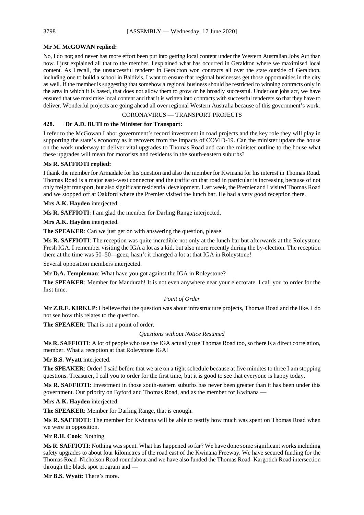# **Mr M. McGOWAN replied:**

No, I do not; and never has more effort been put into getting local content under the Western Australian Jobs Act than now. I just explained all that to the member. I explained what has occurred in Geraldton where we maximised local content. As I recall, the unsuccessful tenderer in Geraldton won contracts all over the state outside of Geraldton, including one to build a school in Baldivis. I want to ensure that regional businesses get those opportunities in the city as well. If the member is suggesting that somehow a regional business should be restricted to winning contracts only in the area in which it is based, that does not allow them to grow or be broadly successful. Under our jobs act, we have ensured that we maximise local content and that it is written into contracts with successful tenderers so that they have to deliver. Wonderful projects are going ahead all over regional Western Australia because of this government's work.

# CORONAVIRUS — TRANSPORT PROJECTS

# **428. Dr A.D. BUTI to the Minister for Transport:**

I refer to the McGowan Labor government's record investment in road projects and the key role they will play in supporting the state's economy as it recovers from the impacts of COVID-19. Can the minister update the house on the work underway to deliver vital upgrades to Thomas Road and can the minister outline to the house what these upgrades will mean for motorists and residents in the south-eastern suburbs?

# **Ms R. SAFFIOTI replied:**

I thank the member for Armadale for his question and also the member for Kwinana for his interest in Thomas Road. Thomas Road is a major east–west connector and the traffic on that road in particular is increasing because of not only freight transport, but also significant residential development. Last week, the Premier and I visited Thomas Road and we stopped off at Oakford where the Premier visited the lunch bar. He had a very good reception there.

**Mrs A.K. Hayden** interjected.

**Ms R. SAFFIOTI**: I am glad the member for Darling Range interjected.

**Mrs A.K. Hayden** interjected.

**The SPEAKER**: Can we just get on with answering the question, please.

**Ms R. SAFFIOTI**: The reception was quite incredible not only at the lunch bar but afterwards at the Roleystone Fresh IGA. I remember visiting the IGA a lot as a kid, but also more recently during the by-election. The reception there at the time was 50–50—geez, hasn't it changed a lot at that IGA in Roleystone!

Several opposition members interjected.

**Mr D.A. Templeman**: What have you got against the IGA in Roleystone?

**The SPEAKER**: Member for Mandurah! It is not even anywhere near your electorate. I call you to order for the first time.

# *Point of Order*

**Mr Z.R.F. KIRKUP**: I believe that the question was about infrastructure projects, Thomas Road and the like. I do not see how this relates to the question.

**The SPEAKER**: That is not a point of order.

# *Questions without Notice Resumed*

**Ms R. SAFFIOTI**: A lot of people who use the IGA actually use Thomas Road too, so there is a direct correlation, member. What a reception at that Roleystone IGA!

**Mr B.S. Wyatt** interjected.

**The SPEAKER**: Order! I said before that we are on a tight schedule because at five minutes to three I am stopping questions. Treasurer, I call you to order for the first time, but it is good to see that everyone is happy today.

**Ms R. SAFFIOTI**: Investment in those south-eastern suburbs has never been greater than it has been under this government. Our priority on Byford and Thomas Road, and as the member for Kwinana —

**Mrs A.K. Hayden** interjected.

**The SPEAKER**: Member for Darling Range, that is enough.

**Ms R. SAFFIOTI**: The member for Kwinana will be able to testify how much was spent on Thomas Road when we were in opposition.

**Mr R.H. Cook**: Nothing.

**Ms R. SAFFIOTI**: Nothing was spent. What has happened so far? We have done some significant works including safety upgrades to about four kilometres of the road east of the Kwinana Freeway. We have secured funding for the Thomas Road–Nicholson Road roundabout and we have also funded the Thomas Road–Kargotich Road intersection through the black spot program and —

**Mr B.S. Wyatt**: There's more.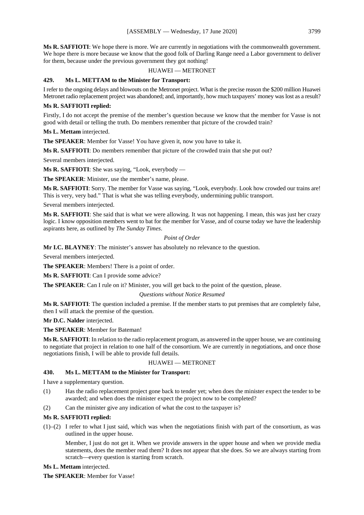**Ms R. SAFFIOTI**: We hope there is more. We are currently in negotiations with the commonwealth government. We hope there is more because we know that the good folk of Darling Range need a Labor government to deliver for them, because under the previous government they got nothing!

# HUAWEI — METRONET

# **429. Ms L. METTAM to the Minister for Transport:**

I refer to the ongoing delays and blowouts on the Metronet project. What is the precise reason the \$200 million Huawei Metronet radio replacement project was abandoned; and, importantly, how much taxpayers' money was lost as a result?

# **Ms R. SAFFIOTI replied:**

Firstly, I do not accept the premise of the member's question because we know that the member for Vasse is not good with detail or telling the truth. Do members remember that picture of the crowded train?

**Ms L. Mettam** interjected.

**The SPEAKER**: Member for Vasse! You have given it, now you have to take it.

**Ms R. SAFFIOTI**: Do members remember that picture of the crowded train that she put out?

Several members interjected.

**Ms R. SAFFIOTI**: She was saying, "Look, everybody —

**The SPEAKER**: Minister, use the member's name, please.

**Ms R. SAFFIOTI**: Sorry. The member for Vasse was saying, "Look, everybody. Look how crowded our trains are! This is very, very bad." That is what she was telling everybody, undermining public transport.

Several members interjected.

**Ms R. SAFFIOTI**: She said that is what we were allowing. It was not happening. I mean, this was just her crazy logic. I know opposition members went to bat for the member for Vasse, and of course today we have the leadership aspirants here, as outlined by *The Sunday Times*.

# *Point of Order*

**Mr I.C. BLAYNEY**: The minister's answer has absolutely no relevance to the question.

Several members interjected.

**The SPEAKER**: Members! There is a point of order.

**Ms R. SAFFIOTI**: Can I provide some advice?

**The SPEAKER**: Can I rule on it? Minister, you will get back to the point of the question, please.

#### *Questions without Notice Resumed*

**Ms R. SAFFIOTI**: The question included a premise. If the member starts to put premises that are completely false, then I will attack the premise of the question.

**Mr D.C. Nalder** interjected.

#### **The SPEAKER**: Member for Bateman!

**Ms R. SAFFIOTI**: In relation to the radio replacement program, as answered in the upper house, we are continuing to negotiate that project in relation to one half of the consortium. We are currently in negotiations, and once those negotiations finish, I will be able to provide full details.

#### HUAWEI — METRONET

# **430. Ms L. METTAM to the Minister for Transport:**

I have a supplementary question.

- (1) Has the radio replacement project gone back to tender yet; when does the minister expect the tender to be awarded; and when does the minister expect the project now to be completed?
- (2) Can the minister give any indication of what the cost to the taxpayer is?

# **Ms R. SAFFIOTI replied:**

(1)–(2) I refer to what I just said, which was when the negotiations finish with part of the consortium, as was outlined in the upper house.

Member, I just do not get it. When we provide answers in the upper house and when we provide media statements, does the member read them? It does not appear that she does. So we are always starting from scratch—every question is starting from scratch.

#### **Ms L. Mettam** interjected.

**The SPEAKER**: Member for Vasse!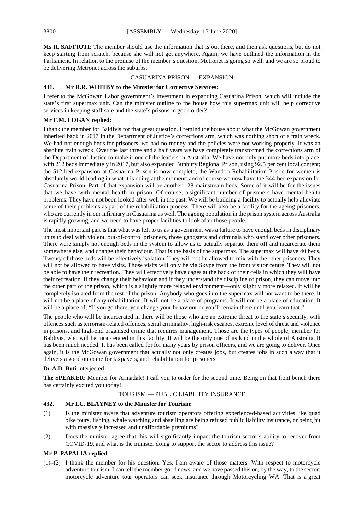**Ms R. SAFFIOTI**: The member should use the information that is out there, and then ask questions, but do not keep starting from scratch, because she will not get anywhere. Again, we have outlined the information in the Parliament. In relation to the premise of the member's question, Metronet is going so well, and we are so proud to be delivering Metronet across the suburbs.

CASUARINA PRISON — EXPANSION

# **431. Mr R.R. WHITBY to the Minister for Corrective Services:**

I refer to the McGowan Labor government's investment in expanding Casuarina Prison, which will include the state's first supermax unit. Can the minister outline to the house how this supermax unit will help corrective services in keeping staff safe and the state's prisons in good order?

# **Mr F.M. LOGAN replied:**

I thank the member for Baldivis for that great question. I remind the house about what the McGowan government inherited back in 2017 in the Department of Justice's corrections arm, which was nothing short of a train wreck. We had not enough beds for prisoners, we had no money and the policies were not working properly. It was an absolute train wreck. Over the last three and a half years we have completely transformed the corrections arm of the Department of Justice to make it one of the leaders in Australia. We have not only put more beds into place, with 212 beds immediately in 2017, but also expanded Bunbury Regional Prison, using 92.5 per cent local content; the 512-bed expansion at Casuarina Prison is now complete; the Wandoo Rehabilitation Prison for women is absolutely world-leading in what it is doing at the moment; and of course we now have the 344-bed expansion for Casuarina Prison. Part of that expansion will be another 128 mainstream beds. Some of it will be for the issues that we have with mental health in prison. Of course, a significant number of prisoners have mental health problems. They have not been looked after well in the past. We will be building a facility to actually help alleviate some of their problems as part of the rehabilitation process. There will also be a facility for the ageing prisoners, who are currently in our infirmary in Casuarina as well. The ageing population in the prison system across Australia is rapidly growing, and we need to have proper facilities to look after those people.

The most important part is that what was left to us as a government was a failure to have enough beds in disciplinary units to deal with violent, out-of-control prisoners, those gangsters and criminals who stand over other prisoners. There were simply not enough beds in the system to allow us to actually separate them off and incarcerate them somewhere else, and change their behaviour. That is the basis of the supermax. The supermax will have 40 beds. Twenty of those beds will be effectively isolation. They will not be allowed to mix with the other prisoners. They will not be allowed to have visits. Those visits will only be via Skype from the front visitor centre. They will not be able to have their recreation. They will effectively have cages at the back of their cells in which they will have their recreation. If they change their behaviour and if they understand the discipline of prison, they can move into the other part of the prison, which is a slightly more relaxed environment—only slightly more relaxed. It will be completely isolated from the rest of the prison. Anybody who goes into the supermax will not want to be there. It will not be a place of any rehabilitation. It will not be a place of programs. It will not be a place of education. It will be a place of, "If you go there, you change your behaviour or you'll remain there until you learn that."

The people who will be incarcerated in there will be those who are an extreme threat to the state's security, with offences such as terrorism-related offences, serial criminality, high-risk escapes, extreme level of threat and violence in prisons, and high-end organised crime that requires management. Those are the types of people, member for Baldivis, who will be incarcerated in this facility. It will be the only one of its kind in the whole of Australia. It has been much needed. It has been called for for many years by prison officers, and we are going to deliver. Once again, it is the McGowan government that actually not only creates jobs, but creates jobs in such a way that it delivers a good outcome for taxpayers, and rehabilitation for prisoners.

# **Dr A.D. Buti** interjected.

**The SPEAKER**: Member for Armadale! I call you to order for the second time. Being on that front bench there has certainly excited you today!

# TOURISM — PUBLIC LIABILITY INSURANCE

#### **432. Mr I.C. BLAYNEY to the Minister for Tourism:**

- (1) Is the minister aware that adventure tourism operators offering experienced-based activities like quad bike tours, fishing, whale watching and abseiling are being refused public liability insurance, or being hit with massively increased and unaffordable premiums?
- (2) Does the minister agree that this will significantly impact the tourism sector's ability to recover from COVID-19, and what is the minister doing to support the sector to address this issue?

#### **Mr P. PAPALIA replied:**

(1)–(2) I thank the member for his question. Yes, I am aware of those matters. With respect to motorcycle adventure tourism, I can tell the member good news, and we have passed this on, by the way, to the sector: motorcycle adventure tour operators can seek insurance through Motorcycling WA. That is a great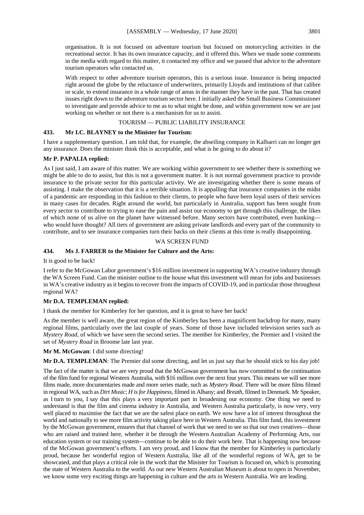organisation. It is not focused on adventure tourism but focused on motorcycling activities in the recreational sector. It has its own insurance capacity, and it offered this. When we made some comments in the media with regard to this matter, it contacted my office and we passed that advice to the adventure tourism operators who contacted us.

With respect to other adventure tourism operators, this is a serious issue. Insurance is being impacted right around the globe by the reluctance of underwriters, primarily Lloyds and institutions of that calibre or scale, to extend insurance in a whole range of areas in the manner they have in the past. That has created issues right down to the adventure tourism sector here. I initially asked the Small Business Commissioner to investigate and provide advice to me as to what might be done, and within government now we are just working on whether or not there is a mechanism for us to assist.

#### TOURISM — PUBLIC LIABILITY INSURANCE

# **433. Mr I.C. BLAYNEY to the Minister for Tourism:**

I have a supplementary question. I am told that, for example, the abseiling company in Kalbarri can no longer get any insurance. Does the minister think this is acceptable, and what is he going to do about it?

#### **Mr P. PAPALIA replied:**

As I just said, I am aware of this matter. We are working within government to see whether there is something we might be able to do to assist, but this is not a government matter. It is not normal government practice to provide insurance to the private sector for this particular activity. We are investigating whether there is some means of assisting. I make the observation that it is a terrible situation. It is appalling that insurance companies in the midst of a pandemic are responding in this fashion to their clients, to people who have been loyal users of their services in many cases for decades. Right around the world, but particularly in Australia, support has been sought from every sector to contribute to trying to ease the pain and assist our economy to get through this challenge, the likes of which none of us alive on the planet have witnessed before. Many sectors have contributed, even banking who would have thought? All tiers of government are asking private landlords and every part of the community to contribute, and to see insurance companies turn their backs on their clients at this time is really disappointing.

#### WA SCREEN FUND

# **434. Ms J. FARRER to the Minister for Culture and the Arts:**

It is good to be back!

I refer to the McGowan Labor government's \$16 million investment in supporting WA's creative industry through the WA Screen Fund. Can the minister outline to the house what this investment will mean for jobs and businesses in WA's creative industry as it begins to recover from the impacts of COVID-19, and in particular those throughout regional WA?

# **Mr D.A. TEMPLEMAN replied:**

I thank the member for Kimberley for her question, and it is great to have her back!

As the member is well aware, the great region of the Kimberley has been a magnificent backdrop for many, many regional films, particularly over the last couple of years. Some of those have included television series such as *Mystery Road*, of which we have seen the second series. The member for Kimberley, the Premier and I visited the set of *Mystery Road* in Broome late last year.

**Mr M. McGowan**: I did some directing!

**Mr D.A. TEMPLEMAN**: The Premier did some directing, and let us just say that he should stick to his day job!

The fact of the matter is that we are very proud that the McGowan government has now committed to the continuation of the film fund for regional Western Australia, with \$16 million over the next four years. This means we will see more films made, more documentaries made and more series made, such as *Mystery Road*. There will be more films filmed in regional WA, such as *Dirt Music*; *H is for Happiness*, filmed in Albany; and *Breath*, filmed in Denmark. Mr Speaker, as I turn to you, I say that this plays a very important part in broadening our economy. One thing we need to understand is that the film and cinema industry in Australia, and Western Australia particularly, is now very, very well placed to maximise the fact that we are the safest place on earth. We now have a lot of interest throughout the world and nationally to see more film activity taking place here in Western Australia. This film fund, this investment by the McGowan government, ensures that that channel of work that we need to see so that our own creatives—those who are raised and trained here, whether it be through the Western Australian Academy of Performing Arts, our education system or our training system—continue to be able to do their work here. That is happening now because of the McGowan government's efforts. I am very proud, and I know that the member for Kimberley is particularly proud, because her wonderful region of Western Australia, like all of the wonderful regions of WA, get to be showcased, and that plays a critical role in the work that the Minister for Tourism is focused on, which is promoting the state of Western Australia to the world. As our new Western Australian Museum is about to open in November, we know some very exciting things are happening in culture and the arts in Western Australia. We are leading.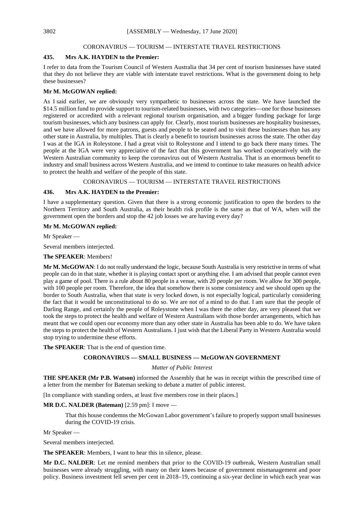# CORONAVIRUS — TOURISM — INTERSTATE TRAVEL RESTRICTIONS

#### **435. Mrs A.K. HAYDEN to the Premier:**

I refer to data from the Tourism Council of Western Australia that 34 per cent of tourism businesses have stated that they do not believe they are viable with interstate travel restrictions. What is the government doing to help these businesses?

# **Mr M. McGOWAN replied:**

As I said earlier, we are obviously very sympathetic to businesses across the state. We have launched the \$14.5 million fund to provide support to tourism-related businesses, with two categories—one for those businesses registered or accredited with a relevant regional tourism organisation, and a bigger funding package for large tourism businesses, which any business can apply for. Clearly, most tourism businesses are hospitality businesses, and we have allowed for more patrons, guests and people to be seated and to visit these businesses than has any other state in Australia, by multiples. That is clearly a benefit to tourism businesses across the state. The other day I was at the IGA in Roleystone. I had a great visit to Roleystone and I intend to go back there many times. The people at the IGA were very appreciative of the fact that this government has worked cooperatively with the Western Australian community to keep the coronavirus out of Western Australia. That is an enormous benefit to industry and small business across Western Australia, and we intend to continue to take measures on health advice to protect the health and welfare of the people of this state.

CORONAVIRUS — TOURISM — INTERSTATE TRAVEL RESTRICTIONS

# **436. Mrs A.K. HAYDEN to the Premier:**

I have a supplementary question. Given that there is a strong economic justification to open the borders to the Northern Territory and South Australia, as their health risk profile is the same as that of WA, when will the government open the borders and stop the 42 job losses we are having every day?

#### **Mr M. McGOWAN replied:**

Mr Speaker —

Several members interjected.

#### **The SPEAKER**: Members!

**Mr M. McGOWAN**: I do not really understand the logic, because South Australia is very restrictive in terms of what people can do in that state, whether it is playing contact sport or anything else. I am advised that people cannot even play a game of pool. There is a rule about 80 people in a venue, with 20 people per room. We allow for 300 people, with 100 people per room. Therefore, the idea that somehow there is some consistency and we should open up the border to South Australia, when that state is very locked down, is not especially logical, particularly considering the fact that it would be unconstitutional to do so. We are not of a mind to do that. I am sure that the people of Darling Range, and certainly the people of Roleystone when I was there the other day, are very pleased that we took the steps to protect the health and welfare of Western Australians with those border arrangements, which has meant that we could open our economy more than any other state in Australia has been able to do. We have taken the steps to protect the health of Western Australians. I just wish that the Liberal Party in Western Australia would stop trying to undermine these efforts.

**The SPEAKER**: That is the end of question time.

# **CORONAVIRUS — SMALL BUSINESS — McGOWAN GOVERNMENT**

#### *Matter of Public Interest*

**THE SPEAKER (Mr P.B. Watson)** informed the Assembly that he was in receipt within the prescribed time of a letter from the member for Bateman seeking to debate a matter of public interest.

[In compliance with standing orders, at least five members rose in their places.]

# **MR D.C. NALDER (Bateman)** [2.59 pm]: I move —

That this house condemns the McGowan Labor government's failure to properly support small businesses during the COVID-19 crisis.

Mr Speaker —

Several members interjected.

**The SPEAKER**: Members, I want to hear this in silence, please.

**Mr D.C. NALDER**: Let me remind members that prior to the COVID-19 outbreak, Western Australian small businesses were already struggling, with many on their knees because of government mismanagement and poor policy. Business investment fell seven per cent in 2018–19, continuing a six-year decline in which each year was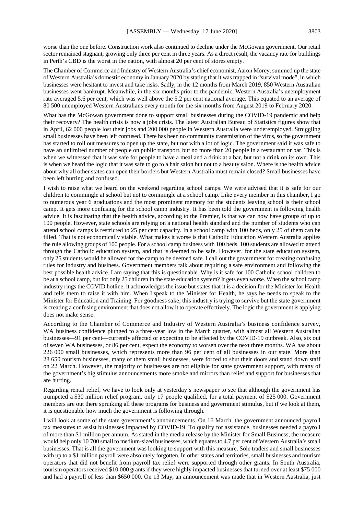worse than the one before. Construction work also continued to decline under the McGowan government. Our retail sector remained stagnant, growing only three per cent in three years. As a direct result, the vacancy rate for buildings in Perth's CBD is the worst in the nation, with almost 20 per cent of stores empty.

The Chamber of Commerce and Industry of Western Australia's chief economist, Aaron Morey, summed up the state of Western Australia's domestic economy in January 2020 by stating that it was trapped in "survival mode", in which businesses were hesitant to invest and take risks. Sadly, in the 12 months from March 2019, 850 Western Australian businesses went bankrupt. Meanwhile, in the six months prior to the pandemic, Western Australia's unemployment rate averaged 5.6 per cent, which was well above the 5.2 per cent national average. This equated to an average of 80 500 unemployed Western Australians every month for the six months from August 2019 to February 2020.

What has the McGowan government done to support small businesses during the COVID-19 pandemic and help their recovery? The health crisis is now a jobs crisis. The latest Australian Bureau of Statistics figures show that in April, 62 000 people lost their jobs and 200 000 people in Western Australia were underemployed. Struggling small businesses have been left confused. There has been no community transmission of the virus, so the government has started to roll out measures to open up the state, but not with a lot of logic. The government said it was safe to have an unlimited number of people on public transport, but no more than 20 people in a restaurant or bar. This is when we witnessed that it was safe for people to have a meal and a drink at a bar, but not a drink on its own. This is when we heard the logic that it was safe to go to a hair salon but not to a beauty salon. Where is the health advice about why all other states can open their borders but Western Australia must remain closed? Small businesses have been left hurting and confused.

I wish to raise what we heard on the weekend regarding school camps. We were advised that it is safe for our children to commingle at school but not to commingle at a school camp. Like every member in this chamber, I go to numerous year 6 graduations and the most prominent memory for the students leaving school is their school camp. It gets more confusing for the school camp industry. It has been told the government is following health advice. It is fascinating that the health advice, according to the Premier, is that we can now have groups of up to 100 people. However, state schools are relying on a national health standard and the number of students who can attend school camps is restricted to 25 per cent capacity. In a school camp with 100 beds, only 25 of them can be filled. That is not economically viable. What makes it worse is that Catholic Education Western Australia applies the rule allowing groups of 100 people. For a school camp business with 100 beds, 100 students are allowed to attend through the Catholic education system, and that is deemed to be safe. However, for the state education system, only 25 students would be allowed for the camp to be deemed safe. I call out the government for creating confusing rules for industry and business. Government members talk about requiring a safe environment and following the best possible health advice. I am saying that this is questionable. Why is it safe for 100 Catholic school children to be at a school camp, but for only 25 children in the state education system? It gets even worse. When the school camp industry rings the COVID hotline, it acknowledges the issue but states that it is a decision for the Minister for Health and tells them to raise it with him. When I speak to the Minister for Health, he says he needs to speak to the Minister for Education and Training. For goodness sake; this industry is trying to survive but the state government is creating a confusing environment that does not allow it to operate effectively. The logic the government is applying does not make sense.

According to the Chamber of Commerce and Industry of Western Australia's business confidence survey, WA business confidence plunged to a three-year low in the March quarter, with almost all Western Australian businesses—91 per cent—currently affected or expecting to be affected by the COVID-19 outbreak. Also, six out of seven WA businesses, or 86 per cent, expect the economy to worsen over the next three months. WA has about 226 000 small businesses, which represents more than 96 per cent of all businesses in our state. More than 28 650 tourism businesses, many of them small businesses, were forced to shut their doors and stand down staff on 22 March. However, the majority of businesses are not eligible for state government support, with many of the government's big stimulus announcements more smoke and mirrors than relief and support for businesses that are hurting.

Regarding rental relief, we have to look only at yesterday's newspaper to see that although the government has trumpeted a \$30 million relief program, only 17 people qualified, for a total payment of \$25 000. Government members are out there spruiking all these programs for business and government stimulus, but if we look at them, it is questionable how much the government is following through.

I will look at some of the state government's announcements. On 16 March, the government announced payroll tax measures to assist businesses impacted by COVID-19. To qualify for assistance, businesses needed a payroll of more than \$1 million per annum. As stated in the media release by the Minister for Small Business, the measure would help only 10 700 small to medium-sized businesses, which equates to 4.7 per cent of Western Australia's small businesses. That is all the government was looking to support with this measure. Sole traders and small businesses with up to a \$1 million payroll were absolutely forgotten. In other states and territories, small businesses and tourism operators that did not benefit from payroll tax relief were supported through other grants. In South Australia, tourism operators received \$10 000 grants if they were highly impacted businesses that turned over at least \$75 000 and had a payroll of less than \$650 000. On 13 May, an announcement was made that in Western Australia, just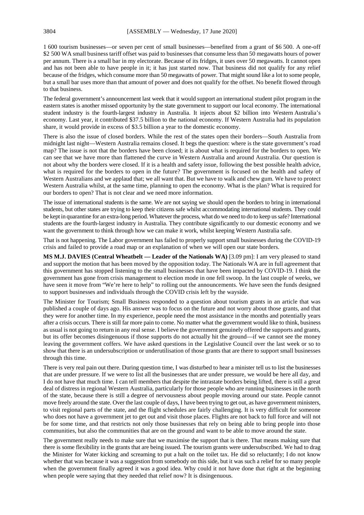1 600 tourism businesses—or seven per cent of small businesses—benefited from a grant of \$6 500. A one-off \$2 500 WA small business tariff offset was paid to businesses that consume less than 50 megawatts hours of power per annum. There is a small bar in my electorate. Because of its fridges, it uses over 50 megawatts. It cannot open and has not been able to have people in it; it has just started now. That business did not qualify for any relief because of the fridges, which consume more than 50 megawatts of power. That might sound like a lot to some people, but a small bar uses more than that amount of power and does not qualify for the offset. No benefit flowed through to that business.

The federal government's announcement last week that it would support an international student pilot program in the eastern states is another missed opportunity by the state government to support our local economy. The international student industry is the fourth-largest industry in Australia. It injects about \$2 billion into Western Australia's economy. Last year, it contributed \$37.5 billion to the national economy. If Western Australia had its population share, it would provide in excess of \$3.5 billion a year to the domestic economy.

There is also the issue of closed borders. While the rest of the states open their borders—South Australia from midnight last night—Western Australia remains closed. It begs the question: where is the state government's road map? The issue is not that the borders have been closed; it is about what is required for the borders to open. We can see that we have more than flattened the curve in Western Australia and around Australia. Our question is not about why the borders were closed. If it is a health and safety issue, following the best possible health advice, what is required for the borders to open in the future? The government is focused on the health and safety of Western Australians and we applaud that; we all want that. But we have to walk and chew gum. We have to protect Western Australia whilst, at the same time, planning to open the economy. What is the plan? What is required for our borders to open? That is not clear and we need more information.

The issue of international students is the same. We are not saying we should open the borders to bring in international students, but other states are trying to keep their citizens safe whilst accommodating international students. They could be kept in quarantine for an extra-long period. Whatever the process, what do we need to do to keep us safe? International students are the fourth-largest industry in Australia. They contribute significantly to our domestic economy and we want the government to think through how we can make it work, whilst keeping Western Australia safe.

That is not happening. The Labor government has failed to properly support small businesses during the COVID-19 crisis and failed to provide a road map or an explanation of when we will open our state borders.

**MS M.J. DAVIES (Central Wheatbelt — Leader of the Nationals WA)** [3.09 pm]: I am very pleased to stand and support the motion that has been moved by the opposition today. The Nationals WA are in full agreement that this government has stopped listening to the small businesses that have been impacted by COVID-19. I think the government has gone from crisis management to election mode in one fell swoop. In the last couple of weeks, we have seen it move from "We're here to help" to rolling out the announcements. We have seen the funds designed to support businesses and individuals through the COVID crisis left by the wayside.

The Minister for Tourism; Small Business responded to a question about tourism grants in an article that was published a couple of days ago. His answer was to focus on the future and not worry about those grants, and that they were for another time. In my experience, people need the most assistance in the months and potentially years after a crisis occurs. There is still far more pain to come. No matter what the government would like to think, business as usual is not going to return in any real sense. I believe the government genuinely offered the supports and grants, but its offer becomes disingenuous if those supports do not actually hit the ground—if we cannot see the money leaving the government coffers. We have asked questions in the Legislative Council over the last week or so to show that there is an undersubscription or underutilisation of those grants that are there to support small businesses through this time.

There is very real pain out there. During question time, I was disturbed to hear a minister tell us to list the businesses that are under pressure. If we were to list all the businesses that are under pressure, we would be here all day, and I do not have that much time. I can tell members that despite the intrastate borders being lifted, there is still a great deal of distress in regional Western Australia, particularly for those people who are running businesses in the north of the state, because there is still a degree of nervousness about people moving around our state. People cannot move freely around the state. Over the last couple of days, I have been trying to get out, as have government ministers, to visit regional parts of the state, and the flight schedules are fairly challenging. It is very difficult for someone who does not have a government jet to get out and visit those places. Flights are not back to full force and will not be for some time, and that restricts not only those businesses that rely on being able to bring people into those communities, but also the communities that are on the ground and want to be able to move around the state.

The government really needs to make sure that we maximise the support that is there. That means making sure that there is some flexibility in the grants that are being issued. The tourism grants were undersubscribed. We had to drag the Minister for Water kicking and screaming to put a halt on the toilet tax. He did so reluctantly; I do not know whether that was because it was a suggestion from somebody on this side, but it was such a relief for so many people when the government finally agreed it was a good idea. Why could it not have done that right at the beginning when people were saying that they needed that relief now? It is disingenuous.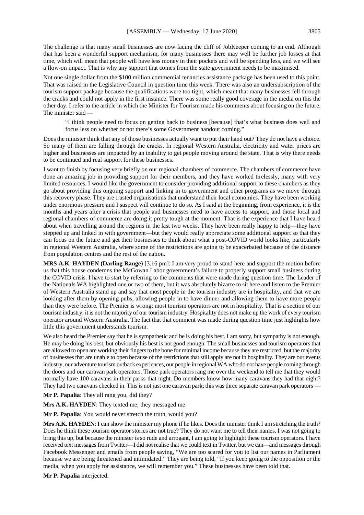The challenge is that many small businesses are now facing the cliff of JobKeeper coming to an end. Although that has been a wonderful support mechanism, for many businesses there may well be further job losses at that time, which will mean that people will have less money in their pockets and will be spending less, and we will see a flow-on impact. That is why any support that comes from the state government needs to be maximised.

Not one single dollar from the \$100 million commercial tenancies assistance package has been used to this point. That was raised in the Legislative Council in question time this week. There was also an undersubscription of the tourism support package because the qualifications were too tight, which meant that many businesses fell through the cracks and could not apply in the first instance. There was some really good coverage in the media on this the other day. I refer to the article in which the Minister for Tourism made his comments about focusing on the future. The minister said —

"I think people need to focus on getting back to business [because] that's what business does well and focus less on whether or not there's some Government handout coming."

Does the minister think that any of those businesses actually want to put their hand out? They do not have a choice. So many of them are falling through the cracks. In regional Western Australia, electricity and water prices are higher and businesses are impacted by an inability to get people moving around the state. That is why there needs to be continued and real support for these businesses.

I want to finish by focusing very briefly on our regional chambers of commerce. The chambers of commerce have done an amazing job in providing support for their members, and they have worked tirelessly, many with very limited resources. I would like the government to consider providing additional support to these chambers as they go about providing this ongoing support and linking in to government and other programs as we move through this recovery phase. They are trusted organisations that understand their local economies. They have been working under enormous pressure and I suspect will continue to do so. As I said at the beginning, from experience, it is the months and years after a crisis that people and businesses need to have access to support, and those local and regional chambers of commerce are doing it pretty tough at the moment. That is the experience that I have heard about when travelling around the regions in the last two weeks. They have been really happy to help—they have stepped up and linked in with government—but they would really appreciate some additional support so that they can focus on the future and get their businesses to think about what a post-COVID world looks like, particularly in regional Western Australia, where some of the restrictions are going to be exacerbated because of the distance from population centres and the rest of the nation.

**MRS A.K. HAYDEN (Darling Range)** [3.16 pm]: I am very proud to stand here and support the motion before us that this house condemns the McGowan Labor government's failure to properly support small business during the COVID crisis. I have to start by referring to the comments that were made during question time. The Leader of the Nationals WA highlighted one or two of them, but it was absolutely bizarre to sit here and listen to the Premier of Western Australia stand up and say that most people in the tourism industry are in hospitality, and that we are looking after them by opening pubs, allowing people in to have dinner and allowing them to have more people than they were before. The Premier is wrong: most tourism operators are not in hospitality. That is a section of our tourism industry; it is not the majority of our tourism industry. Hospitality does not make up the work of every tourism operator around Western Australia. The fact that that comment was made during question time just highlights how little this government understands tourism.

We also heard the Premier say that he is sympathetic and he is doing his best. I am sorry, but sympathy is not enough. He may be doing his best, but obviously his best is not good enough. The small businesses and tourism operators that are allowed to open are working their fingers to the bone for minimal income because they are restricted, but the majority of businesses that are unable to open because of the restrictions that still apply are not in hospitality. They are our events industry, our adventure tourism outback experiences, our people in regional WA who do not have people coming through the doors and our caravan park operators. Those park operators rang me over the weekend to tell me that they would normally have 100 caravans in their parks that night. Do members know how many caravans they had that night? They had two caravans checked in. This is not just one caravan park; this was three separate caravan park operators —

**Mr P. Papalia**: They all rang you, did they?

**Mrs A.K. HAYDEN**: They texted me; they messaged me.

**Mr P. Papalia**: You would never stretch the truth, would you?

**Mrs A.K. HAYDEN**: I can show the minister my phone if he likes. Does the minister think I am stretching the truth? Does he think these tourism operator stories are not true? They do not want me to tell their names. I was not going to bring this up, but because the minister is so rude and arrogant, I am going to highlight these tourism operators. I have received text messages from Twitter—I did not realise that we could text in Twitter, but we can—and messages through Facebook Messenger and emails from people saying, "We are too scared for you to list our names in Parliament because we are being threatened and intimidated." They are being told, "If you keep going to the opposition or the media, when you apply for assistance, we will remember you." These businesses have been told that.

**Mr P. Papalia** interjected.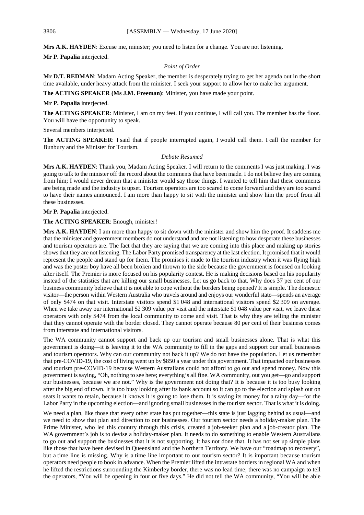**Mrs A.K. HAYDEN**: Excuse me, minister; you need to listen for a change. You are not listening.

**Mr P. Papalia** interjected.

### *Point of Order*

**Mr D.T. REDMAN**: Madam Acting Speaker, the member is desperately trying to get her agenda out in the short time available, under heavy attack from the minister. I seek your support to allow her to make her argument.

#### **The ACTING SPEAKER (Ms J.M. Freeman)**: Minister, you have made your point.

#### **Mr P. Papalia** interjected.

**The ACTING SPEAKER**: Minister, I am on my feet. If you continue, I will call you. The member has the floor. You will have the opportunity to speak.

Several members interjected.

**The ACTING SPEAKER**: I said that if people interrupted again, I would call them. I call the member for Bunbury and the Minister for Tourism.

#### *Debate Resumed*

**Mrs A.K. HAYDEN**: Thank you, Madam Acting Speaker. I will return to the comments I was just making. I was going to talk to the minister off the record about the comments that have been made. I do not believe they are coming from him; I would never dream that a minister would say those things. I wanted to tell him that these comments are being made and the industry is upset. Tourism operators are too scared to come forward and they are too scared to have their names announced. I am more than happy to sit with the minister and show him the proof from all these businesses.

**Mr P. Papalia** interjected.

#### **The ACTING SPEAKER**: Enough, minister!

**Mrs A.K. HAYDEN**: I am more than happy to sit down with the minister and show him the proof. It saddens me that the minister and government members do not understand and are not listening to how desperate these businesses and tourism operators are. The fact that they are saying that we are coming into this place and making up stories shows that they are not listening. The Labor Party promised transparency at the last election. It promised that it would represent the people and stand up for them. The promises it made to the tourism industry when it was flying high and was the poster boy have all been broken and thrown to the side because the government is focused on looking after itself. The Premier is more focused on his popularity contest. He is making decisions based on his popularity instead of the statistics that are killing our small businesses. Let us go back to that. Why does 37 per cent of our business community believe that it is not able to cope without the borders being opened? It is simple. The domestic visitor—the person within Western Australia who travels around and enjoys our wonderful state—spends an average of only \$474 on that visit. Interstate visitors spend \$1 048 and international visitors spend \$2 309 on average. When we take away our international \$2 309 value per visit and the interstate \$1 048 value per visit, we leave these operators with only \$474 from the local community to come and visit. That is why they are telling the minister that they cannot operate with the border closed. They cannot operate because 80 per cent of their business comes from interstate and international visitors.

The WA community cannot support and back up our tourism and small businesses alone. That is what this government is doing—it is leaving it to the WA community to fill in the gaps and support our small businesses and tourism operators. Why can our community not back it up? We do not have the population. Let us remember that pre-COVID-19, the cost of living went up by \$850 a year under this government. That impacted our businesses and tourism pre-COVID-19 because Western Australians could not afford to go out and spend money. Now this government is saying, "Oh, nothing to see here; everything's all fine. WA community, out you get—go and support our businesses, because we are not." Why is the government not doing that? It is because it is too busy looking after the big end of town. It is too busy looking after its bank account so it can go to the election and splash out on seats it wants to retain, because it knows it is going to lose them. It is saving its money for a rainy day—for the Labor Party in the upcoming election—and ignoring small businesses in the tourism sector. That is what it is doing.

We need a plan, like those that every other state has put together—this state is just lagging behind as usual—and we need to show that plan and direction to our businesses. Our tourism sector needs a holiday-maker plan. The Prime Minister, who led this country through this crisis, created a job-seeker plan and a job-creator plan. The WA government's job is to devise a holiday-maker plan. It needs to do something to enable Western Australians to go out and support the businesses that it is not supporting. It has not done that. It has not set up simple plans like those that have been devised in Queensland and the Northern Territory. We have our "roadmap to recovery", but a time line is missing. Why is a time line important to our tourism sector? It is important because tourism operators need people to book in advance. When the Premier lifted the intrastate borders in regional WA and when he lifted the restrictions surrounding the Kimberley border, there was no lead time; there was no campaign to tell the operators, "You will be opening in four or five days." He did not tell the WA community, "You will be able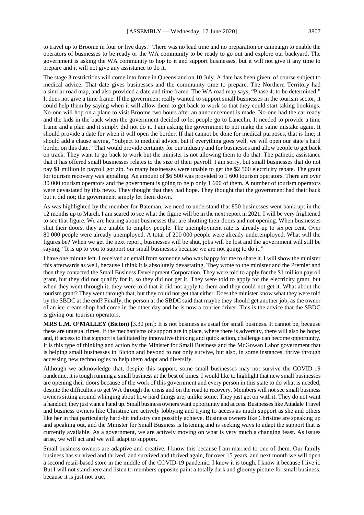to travel up to Broome in four or five days." There was no lead time and no preparation or campaign to enable the operators of businesses to be ready or the WA community to be ready to go out and explore our backyard. The government is asking the WA community to hop to it and support businesses, but it will not give it any time to prepare and it will not give any assistance to do it.

The stage 3 restrictions will come into force in Queensland on 10 July. A date has been given, of course subject to medical advice. That date gives businesses and the community time to prepare. The Northern Territory had a similar road map, and also provided a date and time frame. The WA road map says, "Phase 4: to be determined." It does not give a time frame. If the government really wanted to support small businesses in the tourism sector, it could help them by saying when it will allow them to get back to work so that they could start taking bookings. No-one will hop on a plane to visit Broome two hours after an announcement is made. No-one had the car ready and the kids in the back when the government decided to let people go to Lancelin. It needed to provide a time frame and a plan and it simply did not do it. I am asking the government to not make the same mistake again. It should provide a date for when it will open the border. If that cannot be done for medical purposes, that is fine; it should add a clause saying, "Subject to medical advice, but if everything goes well, we will open our state's hard border on this date." That would provide certainty for our industry and for businesses and allow people to get back on track. They want to go back to work but the minister is not allowing them to do that. The pathetic assistance that it has offered small businesses relates to the size of their payroll. I am sorry, but small businesses that do not pay \$1 million in payroll got zip. So many businesses were unable to get the \$2 500 electricity rebate. The grant for tourism recovery was appalling. An amount of \$6 500 was provided to 1 600 tourism operators. There are over 30 000 tourism operators and the government is going to help only 1 600 of them. A number of tourism operators were devastated by this news. They thought that they had hope. They thought that the government had their back but it did not; the government simply let them down.

As was highlighted by the member for Bateman, we need to understand that 850 businesses went bankrupt in the 12 months up to March. I am scared to see what the figure will be in the next report in 2021. I will be very frightened to see that figure. We are hearing about businesses that are shutting their doors and not opening. When businesses shut their doors, they are unable to employ people. The unemployment rate is already up to six per cent. Over 80 000 people were already unemployed. A total of 200 000 people were already underemployed. What will the figures be? When we get the next report, businesses will be shut, jobs will be lost and the government will still be saying, "It is up to you to support our small businesses because we are not going to do it."

I have one minute left. I received an email from someone who was happy for me to share it. I will show the minister this afterwards as well, because I think it is absolutely devastating. They wrote to the minister and the Premier and then they contacted the Small Business Development Corporation. They were told to apply for the \$1 million payroll grant, but they did not qualify for it, so they did not get it. They were told to apply for the electricity grant, but when they went through it, they were told that it did not apply to them and they could not get it. What about the tourism grant? They went through that, but they could not get that either. Does the minister know what they were told by the SBDC at the end? Finally, the person at the SBDC said that maybe they should get another job, as the owner of an ice-cream shop had come in the other day and he is now a courier driver. This is the advice that the SBDC is giving our tourism operators.

**MRS L.M. O'MALLEY (Bicton)** [3.30 pm]: It is not business as usual for small business. It cannot be, because these are unusual times. If the mechanisms of support are in place, where there is adversity, there will also be hope; and, if access to that support is facilitated by innovative thinking and quick action, challenge can become opportunity. It is this type of thinking and action by the Minister for Small Business and the McGowan Labor government that is helping small businesses in Bicton and beyond to not only survive, but also, in some instances, thrive through accessing new technologies to help them adapt and diversify.

Although we acknowledge that, despite this support, some small businesses may not survive the COVID-19 pandemic, it is tough running a small business at the best of times. I would like to highlight that new small businesses are opening their doors because of the work of this government and every person in this state to do what is needed, despite the difficulties to get WA through the crisis and on the road to recovery. Members will not see small business owners sitting around whinging about how hard things are, unlike some. They just get on with it. They do not want a handout; they just want a hand up. Small business owners want opportunity and access. Businesses like Attadale Travel and business owners like Christine are actively lobbying and trying to access as much support as she and others like her in that particularly hard-hit industry can possibly achieve. Business owners like Christine are speaking up and speaking out, and the Minister for Small Business is listening and is seeking ways to adapt the support that is currently available. As a government, we are actively moving on what is very much a changing feast. As issues arise, we will act and we will adapt to support.

Small business owners are adaptive and creative. I know this because I am married to one of them. Our family business has survived and thrived, and survived and thrived again, for over 15 years, and next month we will open a second retail-based store in the middle of the COVID-19 pandemic. I know it is tough. I know it because I live it. But I will not stand here and listen to members opposite paint a totally dark and gloomy picture for small business, because it is just not true.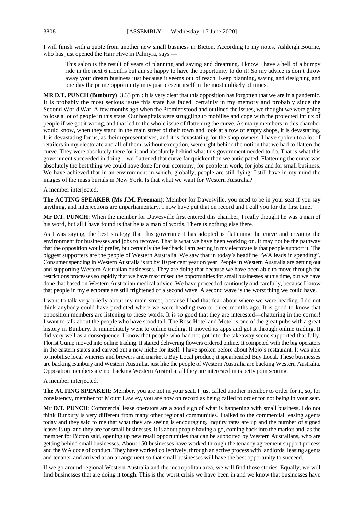I will finish with a quote from another new small business in Bicton. According to my notes, Ashleigh Bourne, who has just opened the Hair Hive in Palmyra, says -

This salon is the result of years of planning and saving and dreaming. I know I have a hell of a bumpy ride in the next 6 months but am so happy to have the opportunity to do it! So my advice is don't throw away your dream business just because it seems out of reach. Keep planning, saving and designing and one day the prime opportunity may just present itself in the most unlikely of times.

**MR D.T. PUNCH (Bunbury)** [3.33 pm]: It is very clear that this opposition has forgotten that we are in a pandemic. It is probably the most serious issue this state has faced, certainly in my memory and probably since the Second World War. A few months ago when the Premier stood and outlined the issues, we thought we were going to lose a lot of people in this state. Our hospitals were struggling to mobilise and cope with the projected influx of people if we got it wrong, and that led to the whole issue of flattening the curve. As many members in this chamber would know, when they stand in the main street of their town and look at a row of empty shops, it is devastating. It is devastating for us, as their representatives, and it is devastating for the shop owners. I have spoken to a lot of retailers in my electorate and all of them, without exception, were right behind the notion that we had to flatten the curve. They were absolutely there for it and absolutely behind what this government needed to do. That is what this government succeeded in doing—we flattened that curve far quicker than we anticipated. Flattening the curve was absolutely the best thing we could have done for our economy, for people in work, for jobs and for small business. We have achieved that in an environment in which, globally, people are still dying. I still have in my mind the images of the mass burials in New York. Is that what we want for Western Australia?

A member interjected.

**The ACTING SPEAKER (Ms J.M. Freeman)**: Member for Dawesville, you need to be in your seat if you say anything, and interjections are unparliamentary. I now have put that on record and I call you for the first time.

**Mr D.T. PUNCH**: When the member for Dawesville first entered this chamber, I really thought he was a man of his word, but all I have found is that he is a man of words. There is nothing else there.

As I was saying, the best strategy that this government has adopted is flattening the curve and creating the environment for businesses and jobs to recover. That is what we have been working on. It may not be the pathway that the opposition would prefer, but certainly the feedback I am getting in my electorate is that people support it. The biggest supporters are the people of Western Australia. We saw that in today's headline "WA leads in spending". Consumer spending in Western Australia is up by 10 per cent year on year. People in Western Australia are getting out and supporting Western Australian businesses. They are doing that because we have been able to move through the restrictions processes so rapidly that we have maximised the opportunities for small businesses at this time, but we have done that based on Western Australian medical advice. We have proceeded cautiously and carefully, because I know that people in my electorate are still frightened of a second wave. A second wave is the worst thing we could have.

I want to talk very briefly about my main street, because I had that fear about where we were heading. I do not think anybody could have predicted where we were heading two or three months ago. It is good to know that opposition members are listening to these words. It is so good that they are interested—chattering in the corner! I want to talk about the people who have stood tall. The Rose Hotel and Motel is one of the great pubs with a great history in Bunbury. It immediately went to online trading. It moved its apps and got it through online trading. It did very well as a consequence. I know that people who had not got into the takeaway scene supported that fully. Florist Gump moved into online trading. It started delivering flowers ordered online. It competed with the big operators in the eastern states and carved out a new niche for itself. I have spoken before about Mojo's restaurant. It was able to mobilise local wineries and brewers and market a Buy Local product; it spearheaded Buy Local. These businesses are backing Bunbury and Western Australia, just like the people of Western Australia are backing Western Australia. Opposition members are not backing Western Australia; all they are interested in is petty pointscoring.

A member interjected.

**The ACTING SPEAKER**: Member, you are not in your seat. I just called another member to order for it, so, for consistency, member for Mount Lawley, you are now on record as being called to order for not being in your seat.

**Mr D.T. PUNCH**: Commercial lease operators are a good sign of what is happening with small business. I do not think Bunbury is very different from many other regional communities. I talked to the commercial leasing agents today and they said to me that what they are seeing is encouraging. Inquiry rates are up and the number of signed leases is up, and they are for small businesses. It is about people having a go, coming back into the market and, as the member for Bicton said, opening up new retail opportunities that can be supported by Western Australians, who are getting behind small businesses. About 150 businesses have worked through the tenancy agreement support process and the WA code of conduct. They have worked collectively, through an active process with landlords, leasing agents and tenants, and arrived at an arrangement so that small businesses will have the best opportunity to succeed.

If we go around regional Western Australia and the metropolitan area, we will find those stories. Equally, we will find businesses that are doing it tough. This is the worst crisis we have been in and we know that businesses have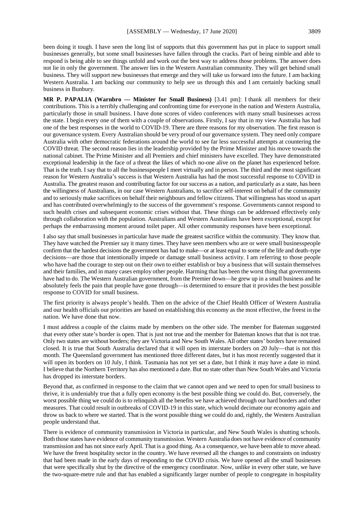been doing it tough. I have seen the long list of supports that this government has put in place to support small businesses generally, but some small businesses have fallen through the cracks. Part of being nimble and able to respond is being able to see things unfold and work out the best way to address those problems. The answer does not lie in only the government. The answer lies in the Western Australian community. They will get behind small business. They will support new businesses that emerge and they will take us forward into the future. I am backing Western Australia. I am backing our community to help see us through this and I am certainly backing small business in Bunbury.

**MR P. PAPALIA (Warnbro — Minister for Small Business)** [3.41 pm]: I thank all members for their contributions. This is a terribly challenging and confronting time for everyone in the nation and Western Australia, particularly those in small business. I have done scores of video conferences with many small businesses across the state. I begin every one of them with a couple of observations. Firstly, I say that in my view Australia has had one of the best responses in the world to COVID-19. There are three reasons for my observation. The first reason is our governance system. Every Australian should be very proud of our governance system. They need only compare Australia with other democratic federations around the world to see far less successful attempts at countering the COVID threat. The second reason lies in the leadership provided by the Prime Minister and his move towards the national cabinet. The Prime Minister and all Premiers and chief ministers have excelled. They have demonstrated exceptional leadership in the face of a threat the likes of which no-one alive on the planet has experienced before. That is the truth. I say that to all the businesspeople I meet virtually and in person. The third and the most significant reason for Western Australia's success is that Western Australia has had the most successful response to COVID in Australia. The greatest reason and contributing factor for our success as a nation, and particularly as a state, has been the willingness of Australians, in our case Western Australians, to sacrifice self-interest on behalf of the community and to seriously make sacrifices on behalf their neighbours and fellow citizens. That willingness has stood us apart and has contributed overwhelmingly to the success of the government's response. Governments cannot respond to such health crises and subsequent economic crises without that. These things can be addressed effectively only through collaboration with the population. Australians and Western Australians have been exceptional, except for perhaps the embarrassing moment around toilet paper. All other community responses have been exceptional.

I also say that small businesses in particular have made the greatest sacrifice within the community. They know that. They have watched the Premier say it many times. They have seen members who are or were small businesspeople confirm that the hardest decisions the government has had to make—or at least equal to some of the life and death–type decisions—are those that intentionally impede or damage small business activity. I am referring to those people who have had the courage to step out on their own to either establish or buy a business that will sustain themselves and their families, and in many cases employ other people. Harming that has been the worst thing that governments have had to do. The Western Australian government, from the Premier down—he grew up in a small business and he absolutely feels the pain that people have gone through—is determined to ensure that it provides the best possible response to COVID for small business.

The first priority is always people's health. Then on the advice of the Chief Health Officer of Western Australia and our health officials our priorities are based on establishing this economy as the most effective, the freest in the nation. We have done that now.

I must address a couple of the claims made by members on the other side. The member for Bateman suggested that every other state's border is open. That is just not true and the member for Bateman knows that that is not true. Only two states are without borders; they are Victoria and New South Wales. All other states' borders have remained closed. It is true that South Australia declared that it will open its interstate borders on 20 July—that is not this month. The Queensland government has mentioned three different dates, but it has most recently suggested that it will open its borders on 10 July, I think. Tasmania has not yet set a date, but I think it may have a date in mind. I believe that the Northern Territory has also mentioned a date. But no state other than New South Wales and Victoria has dropped its interstate borders.

Beyond that, as confirmed in response to the claim that we cannot open and we need to open for small business to thrive, it is undeniably true that a fully open economy is the best possible thing we could do. But, conversely, the worst possible thing we could do is to relinquish all the benefits we have achieved through our hard borders and other measures. That could result in outbreaks of COVID-19 in this state, which would decimate our economy again and throw us back to where we started. That is the worst possible thing we could do and, rightly, the Western Australian people understand that.

There is evidence of community transmission in Victoria in particular, and New South Wales is shutting schools. Both those states have evidence of community transmission. Western Australia does not have evidence of community transmission and has not since early April. That is a good thing. As a consequence, we have been able to move ahead. We have the freest hospitality sector in the country. We have reversed all the changes to and constraints on industry that had been made in the early days of responding to the COVID crisis. We have opened all the small businesses that were specifically shut by the directive of the emergency coordinator. Now, unlike in every other state, we have the two-square-metre rule and that has enabled a significantly larger number of people to congregate in hospitality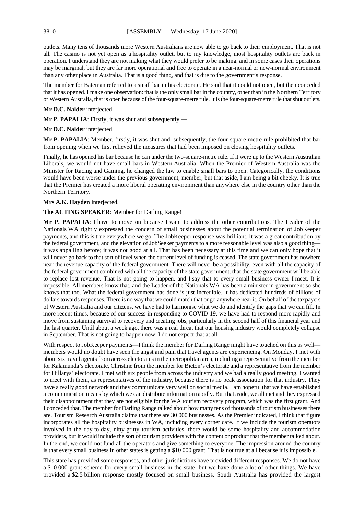outlets. Many tens of thousands more Western Australians are now able to go back to their employment. That is not all. The casino is not yet open as a hospitality outlet, but to my knowledge, most hospitality outlets are back in operation. I understand they are not making what they would prefer to be making, and in some cases their operations may be marginal, but they are far more operational and free to operate in a near-normal or new-normal environment than any other place in Australia. That is a good thing, and that is due to the government's response.

The member for Bateman referred to a small bar in his electorate. He said that it could not open, but then conceded that it has opened. I make one observation: that is the only small bar in the country, other than in the Northern Territory or Western Australia, that is open because of the four-square-metre rule. It is the four-square-metre rule that shut outlets.

#### **Mr D.C. Nalder** interjected.

**Mr P. PAPALIA**: Firstly, it was shut and subsequently —

#### **Mr D.C. Nalder** interjected.

**Mr P. PAPALIA**: Member, firstly, it was shut and, subsequently, the four-square-metre rule prohibited that bar from opening when we first relieved the measures that had been imposed on closing hospitality outlets.

Finally, he has opened his bar because he can under the two-square-metre rule. If it were up to the Western Australian Liberals, we would not have small bars in Western Australia. When the Premier of Western Australia was the Minister for Racing and Gaming, he changed the law to enable small bars to open. Categorically, the conditions would have been worse under the previous government, member, but that aside, I am being a bit cheeky. It is true that the Premier has created a more liberal operating environment than anywhere else in the country other than the Northern Territory.

#### **Mrs A.K. Hayden** interjected.

#### **The ACTING SPEAKER**: Member for Darling Range!

**Mr P. PAPALIA**: I have to move on because I want to address the other contributions. The Leader of the Nationals WA rightly expressed the concern of small businesses about the potential termination of JobKeeper payments, and this is true everywhere we go. The JobKeeper response was brilliant. It was a great contribution by the federal government, and the elevation of JobSeeker payments to a more reasonable level was also a good thing it was appalling before; it was not good at all. That has been necessary at this time and we can only hope that it will never go back to that sort of level when the current level of funding is ceased. The state government has nowhere near the revenue capacity of the federal government. There will never be a possibility, even with all the capacity of the federal government combined with all the capacity of the state government, that the state government will be able to replace lost revenue. That is not going to happen, and I say that to every small business owner I meet. It is impossible. All members know that, and the Leader of the Nationals WA has been a minister in government so she knows that too. What the federal government has done is just incredible. It has dedicated hundreds of billions of dollars towards responses. There is no way that we could match that or go anywhere near it. On behalf of the taxpayers of Western Australia and our citizens, we have had to harmonise what we do and identify the gaps that we can fill. In more recent times, because of our success in responding to COVID-19, we have had to respond more rapidly and move from sustaining survival to recovery and creating jobs, particularly in the second half of this financial year and the last quarter. Until about a week ago, there was a real threat that our housing industry would completely collapse in September. That is not going to happen now; I do not expect that at all.

With respect to JobKeeper payments—I think the member for Darling Range might have touched on this as well members would no doubt have seen the angst and pain that travel agents are experiencing. On Monday, I met with about six travel agents from across electorates in the metropolitan area, including a representative from the member for Kalamunda's electorate, Christine from the member for Bicton's electorate and a representative from the member for Hillarys' electorate. I met with six people from across the industry and we had a really good meeting. I wanted to meet with them, as representatives of the industry, because there is no peak association for that industry. They have a really good network and they communicate very well on social media. I am hopeful that we have established a communication means by which we can distribute information rapidly. But that aside, we all met and they expressed their disappointment that they are not eligible for the WA tourism recovery program, which was the first grant. And I conceded that. The member for Darling Range talked about how many tens of thousands of tourism businesses there are. Tourism Research Australia claims that there are 30 000 businesses. As the Premier indicated, I think that figure incorporates all the hospitality businesses in WA, including every corner cafe. If we include the tourism operators involved in the day-to-day, nitty-gritty tourism activities, there would be some hospitality and accommodation providers, but it would include the sort of tourism providers with the content or product that the member talked about. In the end, we could not fund all the operators and give something to everyone. The impression around the country is that every small business in other states is getting a \$10 000 grant. That is not true at all because it is impossible.

This state has provided some responses, and other jurisdictions have provided different responses. We do not have a \$10 000 grant scheme for every small business in the state, but we have done a lot of other things. We have provided a \$2.5 billion response mostly focused on small business. South Australia has provided the largest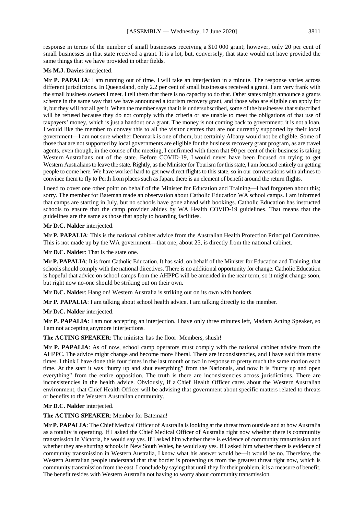response in terms of the number of small businesses receiving a \$10 000 grant; however, only 20 per cent of small businesses in that state received a grant. It is a lot, but, conversely, that state would not have provided the same things that we have provided in other fields.

# **Ms M.J. Davies** interjected.

**Mr P. PAPALIA**: I am running out of time. I will take an interjection in a minute. The response varies across different jurisdictions. In Queensland, only 2.2 per cent of small businesses received a grant. I am very frank with the small business owners I meet. I tell them that there is no capacity to do that. Other states might announce a grants scheme in the same way that we have announced a tourism recovery grant, and those who are eligible can apply for it, but they will not all get it. When the member says that it is undersubscribed, some of the businesses that subscribed will be refused because they do not comply with the criteria or are unable to meet the obligations of that use of taxpayers' money, which is just a handout or a grant. The money is not coming back to government; it is not a loan. I would like the member to convey this to all the visitor centres that are not currently supported by their local government—I am not sure whether Denmark is one of them, but certainly Albany would not be eligible. Some of those that are not supported by local governments are eligible for the business recovery grant program, as are travel agents, even though, in the course of the meeting, I confirmed with them that 90 per cent of their business is taking Western Australians out of the state. Before COVID-19, I would never have been focused on trying to get Western Australians to leave the state. Rightly, as the Minister for Tourism for this state, I am focused entirely on getting people to come here. We have worked hard to get new direct flights to this state, so in our conversations with airlines to convince them to fly to Perth from places such as Japan, there is an element of benefit around the return flights.

I need to cover one other point on behalf of the Minister for Education and Training—I had forgotten about this; sorry. The member for Bateman made an observation about Catholic Education WA school camps. I am informed that camps are starting in July, but no schools have gone ahead with bookings. Catholic Education has instructed schools to ensure that the camp provider abides by WA Health COVID-19 guidelines. That means that the guidelines are the same as those that apply to boarding facilities.

**Mr D.C. Nalder** interjected.

**Mr P. PAPALIA**: This is the national cabinet advice from the Australian Health Protection Principal Committee. This is not made up by the WA government—that one, about 25, is directly from the national cabinet.

**Mr D.C. Nalder**: That is the state one.

**Mr P. PAPALIA**: It is from Catholic Education. It has said, on behalf of the Minister for Education and Training, that schools should comply with the national directives. There is no additional opportunity for change. Catholic Education is hopeful that advice on school camps from the AHPPC will be amended in the near term, so it might change soon, but right now no-one should be striking out on their own.

**Mr D.C. Nalder**: Hang on! Western Australia is striking out on its own with borders.

**Mr P. PAPALIA**: I am talking about school health advice. I am talking directly to the member.

**Mr D.C. Nalder** interjected.

**Mr P. PAPALIA**: I am not accepting an interjection. I have only three minutes left, Madam Acting Speaker, so I am not accepting anymore interjections.

**The ACTING SPEAKER**: The minister has the floor. Members, shush!

**Mr P. PAPALIA**: As of now, school camp operators must comply with the national cabinet advice from the AHPPC. The advice might change and become more liberal. There are inconsistencies, and I have said this many times. I think I have done this four times in the last month or two in response to pretty much the same motion each time. At the start it was "hurry up and shut everything" from the Nationals, and now it is "hurry up and open everything" from the entire opposition. The truth is there are inconsistencies across jurisdictions. There are inconsistencies in the health advice. Obviously, if a Chief Health Officer cares about the Western Australian environment, that Chief Health Officer will be advising that government about specific matters related to threats or benefits to the Western Australian community.

**Mr D.C. Nalder** interjected.

**The ACTING SPEAKER**: Member for Bateman!

**Mr P. PAPALIA**: The Chief Medical Officer of Australia is looking at the threat from outside and at how Australia as a totality is operating. If I asked the Chief Medical Officer of Australia right now whether there is community transmission in Victoria, he would say yes. If I asked him whether there is evidence of community transmission and whether they are shutting schools in New South Wales, he would say yes. If I asked him whether there is evidence of community transmission in Western Australia, I know what his answer would be—it would be no. Therefore, the Western Australian people understand that that border is protecting us from the greatest threat right now, which is community transmission from the east. I conclude by saying that until they fix their problem, it is a measure of benefit. The benefit resides with Western Australia not having to worry about community transmission.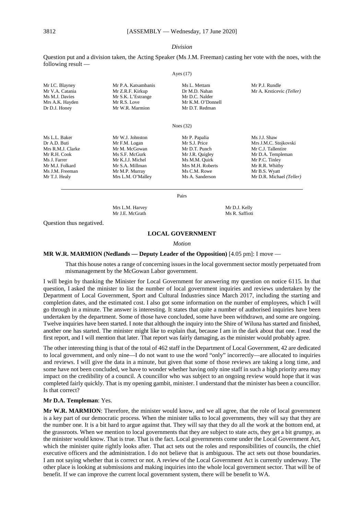#### *Division*

Question put and a division taken, the Acting Speaker (Ms J.M. Freeman) casting her vote with the noes, with the following result —  $\lambda$  (17)

| Mr I.C. Blayney   | Mr P.A. Katsambanis | Ms L. Mettam      | Mr P.J. Rundle            |
|-------------------|---------------------|-------------------|---------------------------|
| Mr V.A. Catania   | Mr Z.R.F. Kirkup    | Dr M.D. Nahan     | Mr A. Krsticevic (Teller) |
| Ms M.J. Davies    | Mr S.K. L'Estrange  | Mr D.C. Nalder    |                           |
| Mrs A.K. Hayden   | Mr R.S. Love        | Mr K.M. O'Donnell |                           |
| Dr D.J. Honey     | Mr W.R. Marmion     | Mr D.T. Redman    |                           |
|                   |                     | Noes $(32)$       |                           |
| Ms L.L. Baker     | Mr W.J. Johnston    | Mr P. Papalia     | Ms J.J. Shaw              |
| Dr A.D. Buti      | Mr F.M. Logan       | Mr S.J. Price     | Mrs J.M.C. Stojkovski     |
| Mrs R.M.J. Clarke | Mr M. McGowan       | Mr D.T. Punch     | Mr C.J. Tallentire        |
| Mr R.H. Cook      | Ms S.F. McGurk      | Mr J.R. Quigley   | Mr D.A. Templeman         |
| Ms J. Farrer      | Mr K.J.J. Michel    | Ms M.M. Quirk     | Mr P.C. Tinley            |
| Mr M.J. Folkard   | Mr S.A. Millman     | Mrs M.H. Roberts  | Mr R.R. Whitby            |
| Ms J.M. Freeman   | Mr M.P. Murray      | Ms C.M. Rowe      | Mr B.S. Wyatt             |
| Mr T.J. Healy     | Mrs L.M. O'Malley   | Ms A. Sanderson   | Mr D.R. Michael (Teller)  |

Pairs

Mrs L.M. Harvey Mr D.J. Kelly<br>Mr J.E. McGrath Ms R. Saffioti Mr J.E. McGrath

Question thus negatived.

# **LOCAL GOVERNMENT**

#### *Motion*

#### **MR W.R. MARMION (Nedlands — Deputy Leader of the Opposition)** [4.05 pm]: I move —

That this house notes a range of concerning issues in the local government sector mostly perpetuated from mismanagement by the McGowan Labor government.

I will begin by thanking the Minister for Local Government for answering my question on notice 6115. In that question, I asked the minister to list the number of local government inquiries and reviews undertaken by the Department of Local Government, Sport and Cultural Industries since March 2017, including the starting and completion dates, and the estimated cost. I also got some information on the number of employees, which I will go through in a minute. The answer is interesting. It states that quite a number of authorised inquiries have been undertaken by the department. Some of those have concluded, some have been withdrawn, and some are ongoing. Twelve inquiries have been started. I note that although the inquiry into the Shire of Wiluna has started and finished, another one has started. The minister might like to explain that, because I am in the dark about that one. I read the first report, and I will mention that later. That report was fairly damaging, as the minister would probably agree.

The other interesting thing is that of the total of 462 staff in the Department of Local Government, 42 are dedicated to local government, and only nine—I do not want to use the word "only" incorrectly—are allocated to inquiries and reviews. I will give the data in a minute, but given that some of those reviews are taking a long time, and some have not been concluded, we have to wonder whether having only nine staff in such a high priority area may impact on the credibility of a council. A councillor who was subject to an ongoing review would hope that it was completed fairly quickly. That is my opening gambit, minister. I understand that the minister has been a councillor. Is that correct?

#### **Mr D.A. Templeman**: Yes.

**Mr W.R. MARMION**: Therefore, the minister would know, and we all agree, that the role of local government is a key part of our democratic process. When the minister talks to local governments, they will say that they are the number one. It is a bit hard to argue against that. They will say that they do all the work at the bottom end, at the grassroots. When we mention to local governments that they are subject to state acts, they get a bit grumpy, as the minister would know. That is true. That is the fact. Local governments come under the Local Government Act, which the minister quite rightly looks after. That act sets out the roles and responsibilities of councils, the chief executive officers and the administration. I do not believe that is ambiguous. The act sets out those boundaries. I am not saying whether that is correct or not. A review of the Local Government Act is currently underway. The other place is looking at submissions and making inquiries into the whole local government sector. That will be of benefit. If we can improve the current local government system, there will be benefit to WA.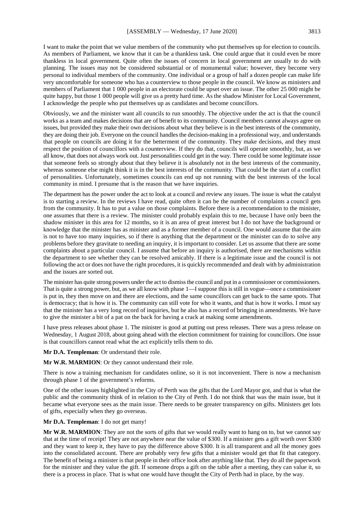I want to make the point that we value members of the community who put themselves up for election to councils. As members of Parliament, we know that it can be a thankless task. One could argue that it could even be more thankless in local government. Quite often the issues of concern in local government are usually to do with planning. The issues may not be considered substantial or of monumental value; however, they become very personal to individual members of the community. One individual or a group of half a dozen people can make life very uncomfortable for someone who has a counterview to those people in the council. We know as ministers and members of Parliament that 1 000 people in an electorate could be upset over an issue. The other 25 000 might be quite happy, but those 1 000 people will give us a pretty hard time. As the shadow Minister for Local Government, I acknowledge the people who put themselves up as candidates and become councillors.

Obviously, we and the minister want all councils to run smoothly. The objective under the act is that the council works as a team and makes decisions that are of benefit to its community. Council members cannot always agree on issues, but provided they make their own decisions about what they believe is in the best interests of the community, they are doing their job. Everyone on the council handles the decision-making in a professional way, and understands that people on councils are doing it for the betterment of the community. They make decisions, and they must respect the position of councillors with a counterview. If they do that, councils will operate smoothly, but, as we all know, that does not always work out. Just personalities could get in the way. There could be some legitimate issue that someone feels so strongly about that they believe it is absolutely not in the best interests of the community, whereas someone else might think it is in the best interests of the community. That could be the start of a conflict of personalities. Unfortunately, sometimes councils can end up not running with the best interests of the local community in mind. I presume that is the reason that we have inquiries.

The department has the power under the act to look at a council and review any issues. The issue is what the catalyst is to starting a review. In the reviews I have read, quite often it can be the number of complaints a council gets from the community. It has to put a value on those complaints. Before there is a recommendation to the minister, one assumes that there is a review. The minister could probably explain this to me, because I have only been the shadow minister in this area for 12 months, so it is an area of great interest but I do not have the background or knowledge that the minister has as minister and as a former member of a council. One would assume that the aim is not to have too many inquiries, so if there is anything that the department or the minister can do to solve any problems before they gravitate to needing an inquiry, it is important to consider. Let us assume that there are some complaints about a particular council. I assume that before an inquiry is authorised, there are mechanisms within the department to see whether they can be resolved amicably. If there is a legitimate issue and the council is not following the act or does not have the right procedures, it is quickly recommended and dealt with by administration and the issues are sorted out.

The minister has quite strong powers under the act to dismiss the council and put in a commissioner or commissioners. That is quite a strong power, but, as we all know with phase 1—I suppose this is still in vogue—once a commissioner is put in, they then move on and there are elections, and the same councillors can get back to the same spots. That is democracy; that is how it is. The community can still vote for who it wants, and that is how it works. I must say that the minister has a very long record of inquiries, but he also has a record of bringing in amendments. We have to give the minister a bit of a pat on the back for having a crack at making some amendments.

I have press releases about phase 1. The minister is good at putting out press releases. There was a press release on Wednesday, 1 August 2018, about going ahead with the election commitment for training for councillors. One issue is that councillors cannot read what the act explicitly tells them to do.

**Mr D.A. Templeman**: Or understand their role.

**Mr W.R. MARMION**: Or they cannot understand their role.

There is now a training mechanism for candidates online, so it is not inconvenient. There is now a mechanism through phase 1 of the government's reforms.

One of the other issues highlighted in the City of Perth was the gifts that the Lord Mayor got, and that is what the public and the community think of in relation to the City of Perth. I do not think that was the main issue, but it became what everyone sees as the main issue. There needs to be greater transparency on gifts. Ministers get lots of gifts, especially when they go overseas.

#### **Mr D.A. Templeman**: I do not get many!

**Mr W.R. MARMION**: They are not the sorts of gifts that we would really want to hang on to, but we cannot say that at the time of receipt! They are not anywhere near the value of \$300. If a minister gets a gift worth over \$300 and they want to keep it, they have to pay the difference above \$300. It is all transparent and all the money goes into the consolidated account. There are probably very few gifts that a minister would get that fit that category. The benefit of being a minister is that people in their office look after anything like that. They do all the paperwork for the minister and they value the gift. If someone drops a gift on the table after a meeting, they can value it, so there is a process in place. That is what one would have thought the City of Perth had in place, by the way.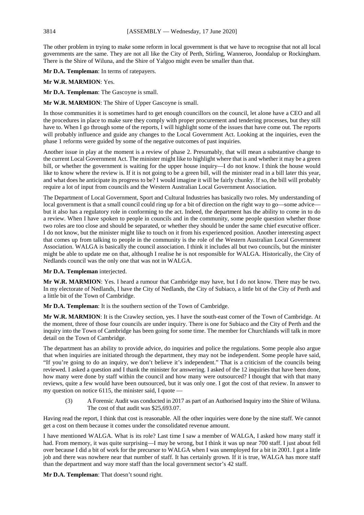The other problem in trying to make some reform in local government is that we have to recognise that not all local governments are the same. They are not all like the City of Perth, Stirling, Wanneroo, Joondalup or Rockingham. There is the Shire of Wiluna, and the Shire of Yalgoo might even be smaller than that.

**Mr D.A. Templeman**: In terms of ratepayers.

# **Mr W.R. MARMION**: Yes.

**Mr D.A. Templeman**: The Gascoyne is small.

**Mr W.R. MARMION**: The Shire of Upper Gascoyne is small.

In those communities it is sometimes hard to get enough councillors on the council, let alone have a CEO and all the procedures in place to make sure they comply with proper procurement and tendering processes, but they still have to. When I go through some of the reports, I will highlight some of the issues that have come out. The reports will probably influence and guide any changes to the Local Government Act. Looking at the inquiries, even the phase 1 reforms were guided by some of the negative outcomes of past inquiries.

Another issue in play at the moment is a review of phase 2. Presumably, that will mean a substantive change to the current Local Government Act. The minister might like to highlight where that is and whether it may be a green bill, or whether the government is waiting for the upper house inquiry—I do not know. I think the house would like to know where the review is. If it is not going to be a green bill, will the minister read in a bill later this year, and what does he anticipate its progress to be? I would imagine it will be fairly chunky. If so, the bill will probably require a lot of input from councils and the Western Australian Local Government Association.

The Department of Local Government, Sport and Cultural Industries has basically two roles. My understanding of local government is that a small council could ring up for a bit of direction on the right way to go—some advice but it also has a regulatory role in conforming to the act. Indeed, the department has the ability to come in to do a review. When I have spoken to people in councils and in the community, some people question whether those two roles are too close and should be separated, or whether they should be under the same chief executive officer. I do not know, but the minister might like to touch on it from his experienced position. Another interesting aspect that comes up from talking to people in the community is the role of the Western Australian Local Government Association. WALGA is basically the council association. I think it includes all but two councils, but the minister might be able to update me on that, although I realise he is not responsible for WALGA. Historically, the City of Nedlands council was the only one that was not in WALGA.

**Mr D.A. Templeman** interjected.

**Mr W.R. MARMION**: Yes. I heard a rumour that Cambridge may have, but I do not know. There may be two. In my electorate of Nedlands, I have the City of Nedlands, the City of Subiaco, a little bit of the City of Perth and a little bit of the Town of Cambridge.

**Mr D.A. Templeman**: It is the southern section of the Town of Cambridge.

**Mr W.R. MARMION**: It is the Crawley section, yes. I have the south-east corner of the Town of Cambridge. At the moment, three of those four councils are under inquiry. There is one for Subiaco and the City of Perth and the inquiry into the Town of Cambridge has been going for some time. The member for Churchlands will talk in more detail on the Town of Cambridge.

The department has an ability to provide advice, do inquiries and police the regulations. Some people also argue that when inquiries are initiated through the department, they may not be independent. Some people have said, "If you're going to do an inquiry, we don't believe it's independent." That is a criticism of the councils being reviewed. I asked a question and I thank the minister for answering. I asked of the 12 inquiries that have been done, how many were done by staff within the council and how many were outsourced? I thought that with that many reviews, quite a few would have been outsourced, but it was only one. I got the cost of that review. In answer to my question on notice 6115, the minister said, I quote —

(3) A Forensic Audit was conducted in 2017 as part of an Authorised Inquiry into the Shire of Wiluna. The cost of that audit was \$25,693.07.

Having read the report, I think that cost is reasonable. All the other inquiries were done by the nine staff. We cannot get a cost on them because it comes under the consolidated revenue amount.

I have mentioned WALGA. What is its role? Last time I saw a member of WALGA, I asked how many staff it had. From memory, it was quite surprising—I may be wrong, but I think it was up near 700 staff. I just about fell over because I did a bit of work for the precursor to WALGA when I was unemployed for a bit in 2001. I got a little job and there was nowhere near that number of staff. It has certainly grown. If it is true, WALGA has more staff than the department and way more staff than the local government sector's 42 staff.

**Mr D.A. Templeman**: That doesn't sound right.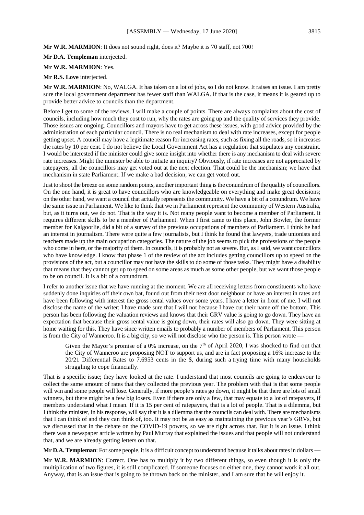**Mr W.R. MARMION**: It does not sound right, does it? Maybe it is 70 staff, not 700!

**Mr D.A. Templeman** interjected.

#### **Mr W.R. MARMION**: Yes.

#### **Mr R.S. Love** interjected.

**Mr W.R. MARMION**: No, WALGA. It has taken on a lot of jobs, so I do not know. It raises an issue. I am pretty sure the local government department has fewer staff than WALGA. If that is the case, it means it is geared up to provide better advice to councils than the department.

Before I get to some of the reviews, I will make a couple of points. There are always complaints about the cost of councils, including how much they cost to run, why the rates are going up and the quality of services they provide. Those issues are ongoing. Councillors and mayors have to get across these issues, with good advice provided by the administration of each particular council. There is no real mechanism to deal with rate increases, except for people getting upset. A council may have a legitimate reason for increasing rates, such as fixing all the roads, so it increases the rates by 10 per cent. I do not believe the Local Government Act has a regulation that stipulates any constraint. I would be interested if the minister could give some insight into whether there is any mechanism to deal with severe rate increases. Might the minister be able to initiate an inquiry? Obviously, if rate increases are not appreciated by ratepayers, all the councillors may get voted out at the next election. That could be the mechanism; we have that mechanism in state Parliament. If we make a bad decision, we can get voted out.

Just to shoot the breeze on some random points, another important thing is the conundrum of the quality of councillors. On the one hand, it is great to have councillors who are knowledgeable on everything and make great decisions; on the other hand, we want a council that actually represents the community. We have a bit of a conundrum. We have the same issue in Parliament. We like to think that we in Parliament represent the community of Western Australia, but, as it turns out, we do not. That is the way it is. Not many people want to become a member of Parliament. It requires different skills to be a member of Parliament. When I first came to this place, John Bowler, the former member for Kalgoorlie, did a bit of a survey of the previous occupations of members of Parliament. I think he had an interest in journalism. There were quite a few journalists, but I think he found that lawyers, trade unionists and teachers made up the main occupation categories. The nature of the job seems to pick the professions of the people who come in here, or the majority of them. In councils, it is probably not as severe. But, as I said, we want councillors who have knowledge. I know that phase 1 of the review of the act includes getting councillors up to speed on the provisions of the act, but a councillor may not have the skills to do some of those tasks. They might have a disability that means that they cannot get up to speed on some areas as much as some other people, but we want those people to be on council. It is a bit of a conundrum.

I refer to another issue that we have running at the moment. We are all receiving letters from constituents who have suddenly done inquiries off their own bat, found out from their next door neighbour or have an interest in rates and have been following with interest the gross rental values over some years. I have a letter in front of me. I will not disclose the name of the writer; I have made sure that I will not because I have cut their name off the bottom. This person has been following the valuation reviews and knows that their GRV value is going to go down. They have an expectation that because their gross rental value is going down, their rates will also go down. They were sitting at home waiting for this. They have since written emails to probably a number of members of Parliament. This person is from the City of Wanneroo. It is a big city, so we will not disclose who the person is. This person wrote -

Given the Mayor's promise of a 0% increase, on the  $7<sup>th</sup>$  of April 2020, I was shocked to find out that the City of Wanneroo are proposing NOT to support us, and are in fact proposing a 16% increase to the 20/21 Differential Rates to 7.6953 cents in the \$, during such a trying time with many households struggling to cope financially.

That is a specific issue; they have looked at the rate. I understand that most councils are going to endeavour to collect the same amount of rates that they collected the previous year. The problem with that is that some people will win and some people will lose. Generally, if more people's rates go down, it might be that there are lots of small winners, but there might be a few big losers. Even if there are only a few, that may equate to a lot of ratepayers, if members understand what I mean. If it is 15 per cent of ratepayers, that is a lot of people. That is a dilemma, but I think the minister, in his response, will say that it is a dilemma that the councils can deal with. There are mechanisms that I can think of and they can think of, too. It may not be as easy as maintaining the previous year's GRVs, but we discussed that in the debate on the COVID-19 powers, so we are right across that. But it is an issue. I think there was a newspaper article written by Paul Murray that explained the issues and that people will not understand that, and we are already getting letters on that.

**Mr D.A. Templeman**: For some people, it is a difficult concept to understand because it talks about rates in dollars —

**Mr W.R. MARMION**: Correct. One has to multiply it by two different things, so even though it is only the multiplication of two figures, it is still complicated. If someone focuses on either one, they cannot work it all out. Anyway, that is an issue that is going to be thrown back on the minister, and I am sure that he will enjoy it.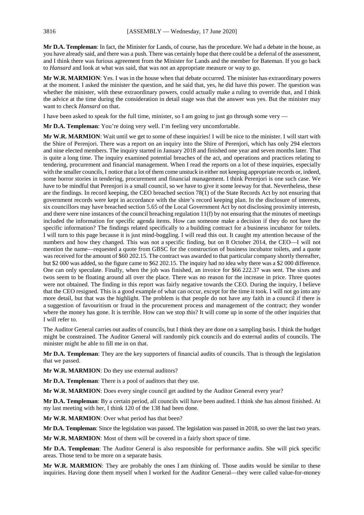**Mr D.A. Templeman**: In fact, the Minister for Lands, of course, has the procedure. We had a debate in the house, as you have already said, and there was a push. There was certainly hope that there could be a deferral of the assessment, and I think there was furious agreement from the Minister for Lands and the member for Bateman. If you go back to *Hansard* and look at what was said, that was not an appropriate measure or way to go.

**Mr W.R. MARMION**: Yes. I was in the house when that debate occurred. The minister has extraordinary powers at the moment. I asked the minister the question, and he said that, yes, he did have this power. The question was whether the minister, with these extraordinary powers, could actually make a ruling to override that, and I think the advice at the time during the consideration in detail stage was that the answer was yes. But the minister may want to check *Hansard* on that.

I have been asked to speak for the full time, minister, so I am going to just go through some very —

**Mr D.A. Templeman**: You're doing very well. I'm feeling very uncomfortable.

**Mr W.R. MARMION**: Wait until we get to some of these inquiries! I will be nice to the minister. I will start with the Shire of Perenjori. There was a report on an inquiry into the Shire of Perenjori, which has only 294 electors and nine elected members. The inquiry started in January 2018 and finished one year and seven months later. That is quite a long time. The inquiry examined potential breaches of the act, and operations and practices relating to tendering, procurement and financial management. When I read the reports on a lot of these inquiries, especially with the smaller councils, I notice that a lot of them come unstuck in either not keeping appropriate records or, indeed, some horror stories in tendering, procurement and financial management. I think Perenjori is one such case. We have to be mindful that Perenjori is a small council, so we have to give it some leeway for that. Nevertheless, these are the findings. In record keeping, the CEO breached section 78(1) of the State Records Act by not ensuring that government records were kept in accordance with the shire's record keeping plan. In the disclosure of interests, six councillors may have breached section 5.65 of the Local Government Act by not disclosing proximity interests, and there were nine instances of the council breaching regulation  $11(f)$  by not ensuring that the minutes of meetings included the information for specific agenda items. How can someone make a decision if they do not have the specific information? The findings related specifically to a building contract for a business incubator for toilets. I will turn to this page because it is just mind-boggling. I will read this out. It caught my attention because of the numbers and how they changed. This was not a specific finding, but on 8 October 2014, the CEO—I will not mention the name—requested a quote from GBSC for the construction of business incubator toilets, and a quote was received for the amount of \$60 202.15. The contract was awarded to that particular company shortly thereafter, but \$2 000 was added, so the figure came to \$62 202.15. The inquiry had no idea why there was a \$2 000 difference. One can only speculate. Finally, when the job was finished, an invoice for \$66 222.37 was sent. The sixes and twos seem to be floating around all over the place. There was no reason for the increase in price. Three quotes were not obtained. The finding in this report was fairly negative towards the CEO. During the inquiry, I believe that the CEO resigned. This is a good example of what can occur, except for the time it took. I will not go into any more detail, but that was the highlight. The problem is that people do not have any faith in a council if there is a suggestion of favouritism or fraud in the procurement process and management of the contract; they wonder where the money has gone. It is terrible. How can we stop this? It will come up in some of the other inquiries that I will refer to.

The Auditor General carries out audits of councils, but I think they are done on a sampling basis. I think the budget might be constrained. The Auditor General will randomly pick councils and do external audits of councils. The minister might be able to fill me in on that.

**Mr D.A. Templeman**: They are the key supporters of financial audits of councils. That is through the legislation that we passed.

**Mr W.R. MARMION**: Do they use external auditors?

**Mr D.A. Templeman**: There is a pool of auditors that they use.

**Mr W.R. MARMION**: Does every single council get audited by the Auditor General every year?

**Mr D.A. Templeman**: By a certain period, all councils will have been audited. I think she has almost finished. At my last meeting with her, I think 120 of the 138 had been done.

**Mr W.R. MARMION**: Over what period has that been?

**Mr D.A. Templeman**: Since the legislation was passed. The legislation was passed in 2018, so over the last two years.

**Mr W.R. MARMION**: Most of them will be covered in a fairly short space of time.

**Mr D.A. Templeman**: The Auditor General is also responsible for performance audits. She will pick specific areas. Those tend to be more on a separate basis.

**Mr W.R. MARMION**: They are probably the ones I am thinking of. Those audits would be similar to these inquiries. Having done them myself when I worked for the Auditor General—they were called value-for-money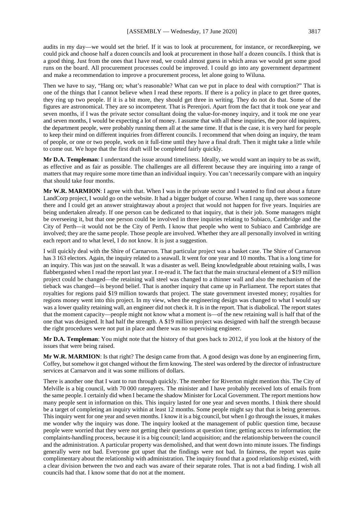audits in my day—we would set the brief. If it was to look at procurement, for instance, or recordkeeping, we could pick and choose half a dozen councils and look at procurement in those half a dozen councils. I think that is a good thing. Just from the ones that I have read, we could almost guess in which areas we would get some good runs on the board. All procurement processes could be improved. I could go into any government department and make a recommendation to improve a procurement process, let alone going to Wiluna.

Then we have to say, "Hang on; what's reasonable? What can we put in place to deal with corruption?" That is one of the things that I cannot believe when I read these reports. If there is a policy in place to get three quotes, they ring up two people. If it is a bit more, they should get three in writing. They do not do that. Some of the figures are astronomical. They are so incompetent. That is Perenjori. Apart from the fact that it took one year and seven months, if I was the private sector consultant doing the value-for-money inquiry, and it took me one year and seven months, I would be expecting a lot of money. I assume that with all these inquiries, the poor old inquirers, the department people, were probably running them all at the same time. If that is the case, it is very hard for people to keep their mind on different inquiries from different councils. I recommend that when doing an inquiry, the team of people, or one or two people, work on it full-time until they have a final draft. Then it might take a little while to come out. We hope that the first draft will be completed fairly quickly.

**Mr D.A. Templeman**: I understand the issue around timeliness. Ideally, we would want an inquiry to be as swift, as effective and as fair as possible. The challenges are all different because they are inquiring into a range of matters that may require some more time than an individual inquiry. You can't necessarily compare with an inquiry that should take four months.

**Mr W.R. MARMION**: I agree with that. When I was in the private sector and I wanted to find out about a future LandCorp project, I would go on the website. It had a bigger budget of course. When I rang up, there was someone there and I could get an answer straightaway about a project that would not happen for five years. Inquiries are being undertaken already. If one person can be dedicated to that inquiry, that is their job. Some managers might be overseeing it, but that one person could be involved in three inquiries relating to Subiaco, Cambridge and the City of Perth—it would not be the City of Perth. I know that people who went to Subiaco and Cambridge are involved; they are the same people. Those people are involved. Whether they are all personally involved in writing each report and to what level, I do not know. It is just a suggestion.

I will quickly deal with the Shire of Carnarvon. That particular project was a basket case. The Shire of Carnarvon has 3 163 electors. Again, the inquiry related to a seawall. It went for one year and 10 months. That is a long time for an inquiry. This was just on the seawall. It was a disaster as well. Being knowledgeable about retaining walls, I was flabbergasted when I read the report last year. I re-read it. The fact that the main structural element of a \$19 million project could be changed—the retaining wall steel was changed to a thinner wall and also the mechanism of the tieback was changed—is beyond belief. That is another inquiry that came up in Parliament. The report states that royalties for regions paid \$19 million towards that project. The state government invested money; royalties for regions money went into this project. In my view, when the engineering design was changed to what I would say was a lower quality retaining wall, an engineer did not check it. It is in the report. That is diabolical. The report states that the moment capacity—people might not know what a moment is—of the new retaining wall is half that of the one that was designed. It had half the strength. A \$19 million project was designed with half the strength because the right procedures were not put in place and there was no supervising engineer.

**Mr D.A. Templeman**: You might note that the history of that goes back to 2012, if you look at the history of the issues that were being raised.

**Mr W.R. MARMION**: Is that right? The design came from that. A good design was done by an engineering firm, Coffey, but somehow it got changed without the firm knowing. The steel was ordered by the director of infrastructure services at Carnarvon and it was some millions of dollars.

There is another one that I want to run through quickly. The member for Riverton might mention this. The City of Melville is a big council, with 70 000 ratepayers. The minister and I have probably received lots of emails from the same people. I certainly did when I became the shadow Minister for Local Government. The report mentions how many people sent in information on this. This inquiry lasted for one year and seven months. I think there should be a target of completing an inquiry within at least 12 months. Some people might say that that is being generous. This inquiry went for one year and seven months. I know it is a big council, but when I go through the issues, it makes me wonder why the inquiry was done. The inquiry looked at the management of public question time, because people were worried that they were not getting their questions at question time; getting access to information; the complaints-handling process, because it is a big council; land acquisition; and the relationship between the council and the administration. A particular property was demolished, and that went down into minute issues. The findings generally were not bad. Everyone got upset that the findings were not bad. In fairness, the report was quite complimentary about the relationship with administration. The inquiry found that a good relationship existed, with a clear division between the two and each was aware of their separate roles. That is not a bad finding. I wish all councils had that. I know some that do not at the moment.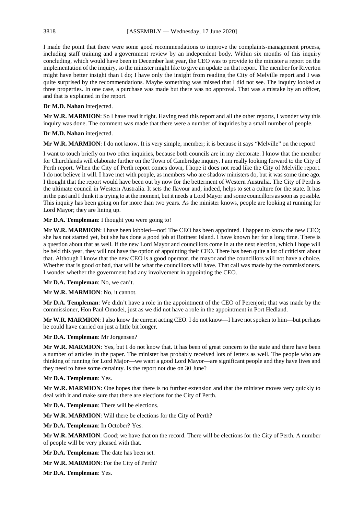I made the point that there were some good recommendations to improve the complaints-management process, including staff training and a government review by an independent body. Within six months of this inquiry concluding, which would have been in December last year, the CEO was to provide to the minister a report on the implementation of the inquiry, so the minister might like to give an update on that report. The member for Riverton might have better insight than I do; I have only the insight from reading the City of Melville report and I was quite surprised by the recommendations. Maybe something was missed that I did not see. The inquiry looked at three properties. In one case, a purchase was made but there was no approval. That was a mistake by an officer, and that is explained in the report.

# **Dr M.D. Nahan** interjected.

**Mr W.R. MARMION**: So I have read it right. Having read this report and all the other reports, I wonder why this inquiry was done. The comment was made that there were a number of inquiries by a small number of people.

# **Dr M.D. Nahan** interjected.

**Mr W.R. MARMION**: I do not know. It is very simple, member; it is because it says "Melville" on the report!

I want to touch briefly on two other inquiries, because both councils are in my electorate. I know that the member for Churchlands will elaborate further on the Town of Cambridge inquiry. I am really looking forward to the City of Perth report. When the City of Perth report comes down, I hope it does not read like the City of Melville report. I do not believe it will. I have met with people, as members who are shadow ministers do, but it was some time ago. I thought that the report would have been out by now for the betterment of Western Australia. The City of Perth is the ultimate council in Western Australia. It sets the flavour and, indeed, helps to set a culture for the state. It has in the past and I think it is trying to at the moment, but it needs a Lord Mayor and some councillors as soon as possible. This inquiry has been going on for more than two years. As the minister knows, people are looking at running for Lord Mayor; they are lining up.

# **Mr D.A. Templeman**: I thought you were going to!

**Mr W.R. MARMION**: I have been lobbied—not! The CEO has been appointed. I happen to know the new CEO; she has not started yet, but she has done a good job at Rottnest Island. I have known her for a long time. There is a question about that as well. If the new Lord Mayor and councillors come in at the next election, which I hope will be held this year, they will not have the option of appointing their CEO. There has been quite a lot of criticism about that. Although I know that the new CEO is a good operator, the mayor and the councillors will not have a choice. Whether that is good or bad, that will be what the councillors will have. That call was made by the commissioners. I wonder whether the government had any involvement in appointing the CEO.

**Mr D.A. Templeman**: No, we can't.

**Mr W.R. MARMION**: No, it cannot.

**Mr D.A. Templeman**: We didn't have a role in the appointment of the CEO of Perenjori; that was made by the commissioner, Hon Paul Omodei, just as we did not have a role in the appointment in Port Hedland.

**Mr W.R. MARMION**: I also know the current acting CEO. I do not know—I have not spoken to him—but perhaps he could have carried on just a little bit longer.

# **Mr D.A. Templeman**: Mr Jorgensen?

**Mr W.R. MARMION**: Yes, but I do not know that. It has been of great concern to the state and there have been a number of articles in the paper. The minister has probably received lots of letters as well. The people who are thinking of running for Lord Major—we want a good Lord Mayor—are significant people and they have lives and they need to have some certainty. Is the report not due on 30 June?

# **Mr D.A. Templeman**: Yes.

**Mr W.R. MARMION**: One hopes that there is no further extension and that the minister moves very quickly to deal with it and make sure that there are elections for the City of Perth.

**Mr D.A. Templeman**: There will be elections.

**Mr W.R. MARMION**: Will there be elections for the City of Perth?

**Mr D.A. Templeman**: In October? Yes.

**Mr W.R. MARMION**: Good; we have that on the record. There will be elections for the City of Perth. A number of people will be very pleased with that.

**Mr D.A. Templeman**: The date has been set.

**Mr W.R. MARMION**: For the City of Perth?

**Mr D.A. Templeman**: Yes.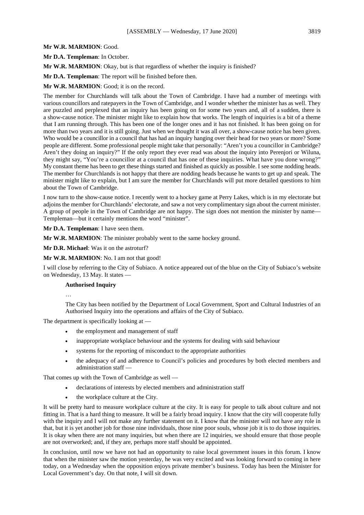# **Mr W.R. MARMION**: Good.

**Mr D.A. Templeman**: In October.

**Mr W.R. MARMION**: Okay, but is that regardless of whether the inquiry is finished?

**Mr D.A. Templeman**: The report will be finished before then.

**Mr W.R. MARMION**: Good; it is on the record.

The member for Churchlands will talk about the Town of Cambridge. I have had a number of meetings with various councillors and ratepayers in the Town of Cambridge, and I wonder whether the minister has as well. They are puzzled and perplexed that an inquiry has been going on for some two years and, all of a sudden, there is a show-cause notice. The minister might like to explain how that works. The length of inquiries is a bit of a theme that I am running through. This has been one of the longer ones and it has not finished. It has been going on for more than two years and it is still going. Just when we thought it was all over, a show-cause notice has been given. Who would be a councillor in a council that has had an inquiry hanging over their head for two years or more? Some people are different. Some professional people might take that personally: "Aren't you a councillor in Cambridge? Aren't they doing an inquiry?" If the only report they ever read was about the inquiry into Perenjori or Wiluna, they might say, "You're a councillor at a council that has one of these inquiries. What have you done wrong?" My constant theme has been to get these things started and finished as quickly as possible. I see some nodding heads. The member for Churchlands is not happy that there are nodding heads because he wants to get up and speak. The minister might like to explain, but I am sure the member for Churchlands will put more detailed questions to him about the Town of Cambridge.

I now turn to the show-cause notice. I recently went to a hockey game at Perry Lakes, which is in my electorate but adjoins the member for Churchlands' electorate, and saw a not very complimentary sign about the current minister. A group of people in the Town of Cambridge are not happy. The sign does not mention the minister by name— Templeman—but it certainly mentions the word "minister".

**Mr D.A. Templeman**: I have seen them.

**Mr W.R. MARMION**: The minister probably went to the same hockey ground.

**Mr D.R. Michael**: Was it on the astroturf?

**Mr W.R. MARMION**: No. I am not that good!

I will close by referring to the City of Subiaco. A notice appeared out of the blue on the City of Subiaco's website on Wednesday, 13 May. It states —

#### **Authorised Inquiry**

…

The City has been notified by the Department of Local Government, Sport and Cultural Industries of an Authorised Inquiry into the operations and affairs of the City of Subiaco.

The department is specifically looking at —

- the employment and management of staff
- inappropriate workplace behaviour and the systems for dealing with said behaviour
- systems for the reporting of misconduct to the appropriate authorities
- the adequacy of and adherence to Council's policies and procedures by both elected members and administration staff —

That comes up with the Town of Cambridge as well —

- declarations of interests by elected members and administration staff
- the workplace culture at the City.

It will be pretty hard to measure workplace culture at the city. It is easy for people to talk about culture and not fitting in. That is a hard thing to measure. It will be a fairly broad inquiry. I know that the city will cooperate fully with the inquiry and I will not make any further statement on it. I know that the minister will not have any role in that, but it is yet another job for those nine individuals, those nine poor souls, whose job it is to do those inquiries. It is okay when there are not many inquiries, but when there are 12 inquiries, we should ensure that those people are not overworked; and, if they are, perhaps more staff should be appointed.

In conclusion, until now we have not had an opportunity to raise local government issues in this forum. I know that when the minister saw the motion yesterday, he was very excited and was looking forward to coming in here today, on a Wednesday when the opposition enjoys private member's business. Today has been the Minister for Local Government's day. On that note, I will sit down.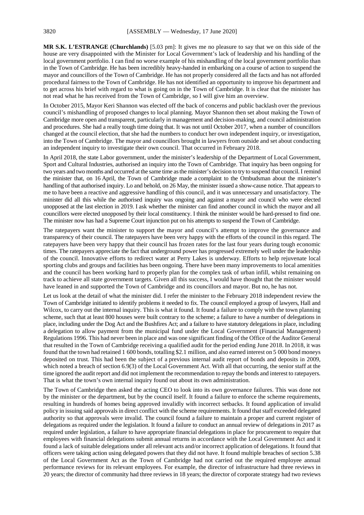**MR S.K. L'ESTRANGE (Churchlands)** [5.03 pm]: It gives me no pleasure to say that we on this side of the house are very disappointed with the Minister for Local Government's lack of leadership and his handling of the local government portfolio. I can find no worse example of his mishandling of the local government portfolio than in the Town of Cambridge. He has been incredibly heavy-handed in embarking on a course of action to suspend the mayor and councillors of the Town of Cambridge. He has not properly considered all the facts and has not afforded procedural fairness to the Town of Cambridge. He has not identified an opportunity to improve his department and to get across his brief with regard to what is going on in the Town of Cambridge. It is clear that the minister has not read what he has received from the Town of Cambridge, so I will give him an overview.

In October 2015, Mayor Keri Shannon was elected off the back of concerns and public backlash over the previous council's mishandling of proposed changes to local planning. Mayor Shannon then set about making the Town of Cambridge more open and transparent, particularly in management and decision-making, and council administration and procedures. She had a really tough time doing that. It was not until October 2017, when a number of councillors changed at the council election, that she had the numbers to conduct her own independent inquiry, or investigation, into the Town of Cambridge. The mayor and councillors brought in lawyers from outside and set about conducting an independent inquiry to investigate their own council. That occurred in February 2018.

In April 2018, the state Labor government, under the minister's leadership of the Department of Local Government, Sport and Cultural Industries, authorised an inquiry into the Town of Cambridge. That inquiry has been ongoing for two years and two months and occurred at the same time as the minister's decision to try to suspend that council.I remind the minister that, on 16 April, the Town of Cambridge made a complaint to the Ombudsman about the minister's handling of that authorised inquiry. Lo and behold, on 26 May, the minister issued a show-cause notice. That appears to me to have been a reactive and aggressive handling of this council, and it was unnecessary and unsatisfactory. The minister did all this while the authorised inquiry was ongoing and against a mayor and council who were elected unopposed at the last election in 2019. I ask whether the minister can find another council in which the mayor and all councillors were elected unopposed by their local constituency. I think the minister would be hard-pressed to find one. The minister now has had a Supreme Court injunction put on his attempts to suspend the Town of Cambridge.

The ratepayers want the minister to support the mayor and council's attempt to improve the governance and transparency of their council. The ratepayers have been very happy with the efforts of the council in this regard. The ratepayers have been very happy that their council has frozen rates for the last four years during tough economic times. The ratepayers appreciate the fact that underground power has progressed extremely well under the leadership of the council. Innovative efforts to redirect water at Perry Lakes is underway. Efforts to help rejuvenate local sporting clubs and groups and facilities has been ongoing. There have been many improvements to local amenities and the council has been working hard to properly plan for the complex task of urban infill, whilst remaining on track to achieve all state government targets. Given all this success, I would have thought that the minister would have leaned in and supported the Town of Cambridge and its councillors and mayor. But no, he has not.

Let us look at the detail of what the minister did. I refer the minister to the February 2018 independent review the Town of Cambridge initiated to identify problems it needed to fix. The council employed a group of lawyers, Hall and Wilcox, to carry out the internal inquiry. This is what it found. It found a failure to comply with the town planning scheme, such that at least 800 houses were built contrary to the scheme; a failure to have a number of delegations in place, including under the Dog Act and the Bushfires Act; and a failure to have statutory delegations in place, including a delegation to allow payment from the municipal fund under the Local Government (Financial Management) Regulations 1996. This had never been in place and was one significant finding of the Office of the Auditor General that resulted in the Town of Cambridge receiving a qualified audit for the period ending June 2018. In 2018, it was found that the town had retained 1 600 bonds, totalling \$2.1 million, and also earned interest on 5 000 bond moneys deposited on trust. This had been the subject of a previous internal audit report of bonds and deposits in 2009, which noted a breach of section 6.9(3) of the Local Government Act. With all that occurring, the senior staff at the time ignored the audit report and did not implement the recommendation to repay the bonds and interest to ratepayers. That is what the town's own internal inquiry found out about its own administration.

The Town of Cambridge then asked the acting CEO to look into its own governance failures. This was done not by the minister or the department, but by the council itself. It found a failure to enforce the scheme requirements, resulting in hundreds of homes being approved invalidly with incorrect setbacks. It found application of invalid policy in issuing said approvals in direct conflict with the scheme requirements. It found that staff exceeded delegated authority so that approvals were invalid. The council found a failure to maintain a proper and current register of delegations as required under the legislation. It found a failure to conduct an annual review of delegations in 2017 as required under legislation, a failure to have appropriate financial delegations in place for procurement to require that employees with financial delegations submit annual returns in accordance with the Local Government Act and it found a lack of suitable delegations under all relevant acts and/or incorrect application of delegations. It found that officers were taking action using delegated powers that they did not have. It found multiple breaches of section 5.38 of the Local Government Act as the Town of Cambridge had not carried out the required employee annual performance reviews for its relevant employees. For example, the director of infrastructure had three reviews in 20 years; the director of community had three reviews in 18 years; the director of corporate strategy had two reviews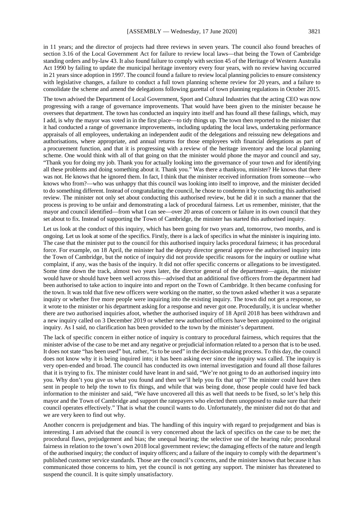in 11 years; and the director of projects had three reviews in seven years. The council also found breaches of section 3.16 of the Local Government Act for failure to review local laws—that being the Town of Cambridge standing orders and by-law 43. It also found failure to comply with section 45 of the Heritage of Western Australia Act 1990 by failing to update the municipal heritage inventory every four years, with no review having occurred in 21 years since adoption in 1997. The council found a failure to review local planning policies to ensure consistency with legislative changes, a failure to conduct a full town planning scheme review for 20 years, and a failure to consolidate the scheme and amend the delegations following gazettal of town planning regulations in October 2015.

The town advised the Department of Local Government, Sport and Cultural Industries that the acting CEO was now progressing with a range of governance improvements. That would have been given to the minister because he oversees that department. The town has conducted an inquiry into itself and has found all these failings, which, may I add, is why the mayor was voted in in the first place—to tidy things up. The town then reported to the minister that it had conducted a range of governance improvements, including updating the local laws, undertaking performance appraisals of all employees, undertaking an independent audit of the delegations and reissuing new delegations and authorisations, where appropriate, and annual returns for those employees with financial delegations as part of a procurement function, and that it is progressing with a review of the heritage inventory and the local planning scheme. One would think with all of that going on that the minister would phone the mayor and council and say, "Thank you for doing my job. Thank you for actually looking into the governance of your town and for identifying all these problems and doing something about it. Thank you." Was there a thankyou, minister? He knows that there was not. He knows that he ignored them. In fact, I think that the minister received information from someone—who knows who from?—who was unhappy that this council was looking into itself to improve, and the minister decided to do something different. Instead of congratulating the council, he chose to condemn it by conducting this authorised review. The minister not only set about conducting this authorised review, but he did it in such a manner that the process is proving to be unfair and demonstrating a lack of procedural fairness. Let us remember, minister, that the mayor and council identified—from what I can see—over 20 areas of concern or failure in its own council that they set about to fix. Instead of supporting the Town of Cambridge, the minister has started this authorised inquiry.

Let us look at the conduct of this inquiry, which has been going for two years and, tomorrow, two months, and is ongoing. Let us look at some of the specifics. Firstly, there is a lack of specifics in what the minister is inquiring into. The case that the minister put to the council for this authorised inquiry lacks procedural fairness; it has procedural force. For example, on 18 April, the minister had the deputy director general approve the authorised inquiry into the Town of Cambridge, but the notice of inquiry did not provide specific reasons for the inquiry or outline what complaint, if any, was the basis of the inquiry. It did not offer specific concerns or allegations to be investigated. Some time down the track, almost two years later, the director general of the department—again, the minister would have or should have been well across this—advised that an additional five officers from the department had been authorised to take action to inquire into and report on the Town of Cambridge. It then became confusing for the town. It was told that five new officers were working on the matter, so the town asked whether it was a separate inquiry or whether five more people were inquiring into the existing inquiry. The town did not get a response, so it wrote to the minister or his department asking for a response and never got one. Procedurally, it is unclear whether there are two authorised inquiries afoot, whether the authorised inquiry of 18 April 2018 has been withdrawn and a new inquiry called on 3 December 2019 or whether new authorised officers have been appointed to the original inquiry. As I said, no clarification has been provided to the town by the minister's department.

The lack of specific concern in either notice of inquiry is contrary to procedural fairness, which requires that the minister advise of the case to be met and any negative or prejudicial information related to a person that is to be used. It does not state "has been used" but, rather, "is to be used" in the decision-making process. To this day, the council does not know why it is being inquired into; it has been asking ever since the inquiry was called. The inquiry is very open-ended and broad. The council has conducted its own internal investigation and found all those failures that it is trying to fix. The minister could have leant in and said, "We're not going to do an authorised inquiry into you. Why don't you give us what you found and then we'll help you fix that up?" The minister could have then sent in people to help the town to fix things, and while that was being done, those people could have fed back information to the minister and said, "We have uncovered all this as well that needs to be fixed, so let's help this mayor and the Town of Cambridge and support the ratepayers who elected them unopposed to make sure that their council operates effectively." That is what the council wants to do. Unfortunately, the minister did not do that and we are very keen to find out why.

Another concern is prejudgement and bias. The handling of this inquiry with regard to prejudgement and bias is interesting. I am advised that the council is very concerned about the lack of specifics on the case to be met; the procedural flaws, prejudgement and bias; the unequal hearing; the selective use of the hearing rule; procedural fairness in relation to the town's own 2018 local government review; the damaging effects of the nature and length of the authorised inquiry; the conduct of inquiry officers; and a failure of the inquiry to comply with the department's published customer service standards. Those are the council's concerns, and the minister knows that because it has communicated those concerns to him, yet the council is not getting any support. The minister has threatened to suspend the council. It is quite simply unsatisfactory.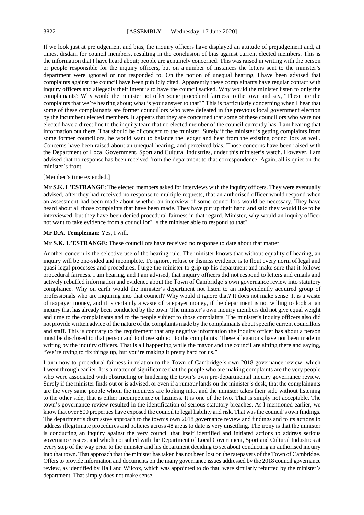If we look just at prejudgement and bias, the inquiry officers have displayed an attitude of prejudgement and, at times, disdain for council members, resulting in the conclusion of bias against current elected members. This is the information that I have heard about; people are genuinely concerned. This was raised in writing with the person or people responsible for the inquiry officers, but on a number of instances the letters sent to the minister's department were ignored or not responded to. On the notion of unequal hearing, I have been advised that complaints against the council have been publicly cited. Apparently these complainants have regular contact with inquiry officers and allegedly their intent is to have the council sacked. Why would the minister listen to only the complainants? Why would the minister not offer some procedural fairness to the town and say, "These are the complaints that we're hearing about; what is your answer to that?" This is particularly concerning when I hear that some of these complainants are former councillors who were defeated in the previous local government election by the incumbent elected members. It appears that they are concerned that some of these councillors who were not elected have a direct line to the inquiry team that no elected member of the council currently has. I am hearing that information out there. That should be of concern to the minister. Surely if the minister is getting complaints from some former councillors, he would want to balance the ledger and hear from the existing councillors as well. Concerns have been raised about an unequal hearing, and perceived bias. Those concerns have been raised with the Department of Local Government, Sport and Cultural Industries, under this minister's watch. However, I am advised that no response has been received from the department to that correspondence. Again, all is quiet on the minister's front.

# [Member's time extended.]

**Mr S.K. L'ESTRANGE**: The elected members asked for interviews with the inquiry officers. They were eventually advised, after they had received no response to multiple requests, that an authorised officer would respond when an assessment had been made about whether an interview of some councillors would be necessary. They have heard about all those complaints that have been made. They have put up their hand and said they would like to be interviewed, but they have been denied procedural fairness in that regard. Minister, why would an inquiry officer not want to take evidence from a councillor? Is the minister able to respond to that?

#### **Mr D.A. Templeman**: Yes, I will.

**Mr S.K. L'ESTRANGE**: These councillors have received no response to date about that matter.

Another concern is the selective use of the hearing rule. The minister knows that without equality of hearing, an inquiry will be one-sided and incomplete. To ignore, refuse or dismiss evidence is to flout every norm of legal and quasi-legal processes and procedures. I urge the minister to grip up his department and make sure that it follows procedural fairness. I am hearing, and I am advised, that inquiry officers did not respond to letters and emails and actively rebuffed information and evidence about the Town of Cambridge's own governance review into statutory compliance. Why on earth would the minister's department not listen to an independently acquired group of professionals who are inquiring into that council? Why would it ignore that? It does not make sense. It is a waste of taxpayer money, and it is certainly a waste of ratepayer money, if the department is not willing to look at an inquiry that has already been conducted by the town. The minister's own inquiry members did not give equal weight and time to the complainants and to the people subject to those complaints. The minister's inquiry officers also did not provide written advice of the nature of the complaints made by the complainants about specific current councillors and staff. This is contrary to the requirement that any negative information the inquiry officer has about a person must be disclosed to that person and to those subject to the complaints. These allegations have not been made in writing by the inquiry officers. That is all happening while the mayor and the council are sitting there and saying, "We're trying to fix things up, but you're making it pretty hard for us."

I turn now to procedural fairness in relation to the Town of Cambridge's own 2018 governance review, which I went through earlier. It is a matter of significance that the people who are making complaints are the very people who were associated with obstructing or hindering the town's own pre-departmental inquiry governance review. Surely if the minister finds out or is advised, or even if a rumour lands on the minister's desk, that the complainants are the very same people whom the inquirers are looking into, and the minister takes their side without listening to the other side, that is either incompetence or laziness. It is one of the two. That is simply not acceptable. The town's governance review resulted in the identification of serious statutory breaches. As I mentioned earlier, we know that over 800 properties have exposed the council to legal liability and risk. That was the council's own findings. The department's dismissive approach to the town's own 2018 governance review and findings and to its actions to address illegitimate procedures and policies across 48 areas to date is very unsettling. The irony is that the minister is conducting an inquiry against the very council that itself identified and initiated actions to address serious governance issues, and which consulted with the Department of Local Government, Sport and Cultural Industries at every step of the way prior to the minister and his department deciding to set about conducting an authorised inquiry into that town. That approach that the minister has taken has not been lost on the ratepayers of the Town of Cambridge. Offers to provide information and documents on the many governance issues addressed by the 2018 council governance review, as identified by Hall and Wilcox, which was appointed to do that, were similarly rebuffed by the minister's department. That simply does not make sense.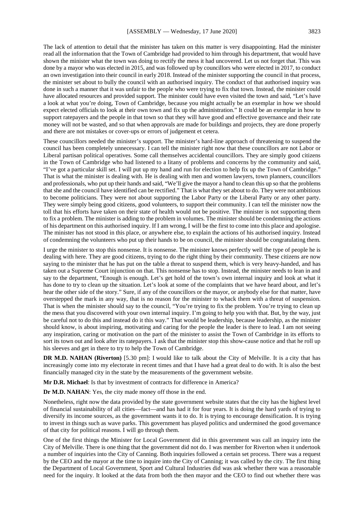The lack of attention to detail that the minister has taken on this matter is very disappointing. Had the minister read all the information that the Town of Cambridge had provided to him through his department, that would have shown the minister what the town was doing to rectify the mess it had uncovered. Let us not forget that. This was done by a mayor who was elected in 2015, and was followed up by councillors who were elected in 2017, to conduct an own investigation into their council in early 2018. Instead of the minister supporting the council in that process, the minister set about to bully the council with an authorised inquiry. The conduct of that authorised inquiry was done in such a manner that it was unfair to the people who were trying to fix that town. Instead, the minister could have allocated resources and provided support. The minister could have even visited the town and said, "Let's have a look at what you're doing, Town of Cambridge, because you might actually be an exemplar in how we should expect elected officials to look at their own town and fix up the administration." It could be an exemplar in how to support ratepayers and the people in that town so that they will have good and effective governance and their rate money will not be wasted, and so that when approvals are made for buildings and projects, they are done properly and there are not mistakes or cover-ups or errors of judgement et cetera.

These councillors needed the minister's support. The minister's hard-line approach of threatening to suspend the council has been completely unnecessary. I can tell the minister right now that these councillors are not Labor or Liberal partisan political operatives. Some call themselves accidental councillors. They are simply good citizens in the Town of Cambridge who had listened to a litany of problems and concerns by the community and said, "I've got a particular skill set. I will put up my hand and run for election to help fix up the Town of Cambridge." That is what the minister is dealing with. He is dealing with men and women lawyers, town planners, councillors and professionals, who put up their hands and said, "We'll give the mayor a hand to clean this up so that the problems that she and the council have identified can be rectified." That is what they set about to do. They were not ambitious to become politicians. They were not about supporting the Labor Party or the Liberal Party or any other party. They were simply being good citizens, good volunteers, to support their community. I can tell the minister now the toll that his efforts have taken on their state of health would not be positive. The minister is not supporting them to fix a problem. The minister is adding to the problem in volumes. The minister should be condemning the actions of his department on this authorised inquiry. If I am wrong, I will be the first to come into this place and apologise. The minister has not stood in this place, or anywhere else, to explain the actions of his authorised inquiry. Instead of condemning the volunteers who put up their hands to be on council, the minister should be congratulating them.

I urge the minister to stop this nonsense. It is nonsense. The minister knows perfectly well the type of people he is dealing with here. They are good citizens, trying to do the right thing by their community. These citizens are now saying to the minister that he has put on the table a threat to suspend them, which is very heavy-handed, and has taken out a Supreme Court injunction on that. This nonsense has to stop. Instead, the minister needs to lean in and say to the department, "Enough is enough. Let's get hold of the town's own internal inquiry and look at what it has done to try to clean up the situation. Let's look at some of the complaints that we have heard about, and let's hear the other side of the story." Sure, if any of the councillors or the mayor, or anybody else for that matter, have overstepped the mark in any way, that is no reason for the minister to whack them with a threat of suspension. That is when the minister should say to the council, "You're trying to fix the problem. You're trying to clean up the mess that you discovered with your own internal inquiry. I'm going to help you with that. But, by the way, just be careful not to do this and instead do it this way." That would be leadership, because leadership, as the minister should know, is about inspiring, motivating and caring for the people the leader is there to lead. I am not seeing any inspiration, caring or motivation on the part of the minister to assist the Town of Cambridge in its efforts to sort its town out and look after its ratepayers. I ask that the minister stop this show-cause notice and that he roll up his sleeves and get in there to try to help the Town of Cambridge.

**DR M.D. NAHAN (Riverton)** [5.30 pm]: I would like to talk about the City of Melville. It is a city that has increasingly come into my electorate in recent times and that I have had a great deal to do with. It is also the best financially managed city in the state by the measurements of the government website.

**Mr D.R. Michael**: Is that by investment of contracts for difference in America?

**Dr M.D. NAHAN**: Yes, the city made money off those in the end.

Nonetheless, right now the data provided by the state government website states that the city has the highest level of financial sustainability of all cities—fact—and has had it for four years. It is doing the hard yards of trying to diversify its income sources, as the government wants it to do. It is trying to encourage densification. It is trying to invest in things such as wave parks. This government has played politics and undermined the good governance of that city for political reasons. I will go through them.

One of the first things the Minister for Local Government did in this government was call an inquiry into the City of Melville. There is one thing that the government did not do. I was member for Riverton when it undertook a number of inquiries into the City of Canning. Both inquiries followed a certain set process. There was a request by the CEO and the mayor at the time to inquire into the City of Canning; it was called by the city. The first thing the Department of Local Government, Sport and Cultural Industries did was ask whether there was a reasonable need for the inquiry. It looked at the data from both the then mayor and the CEO to find out whether there was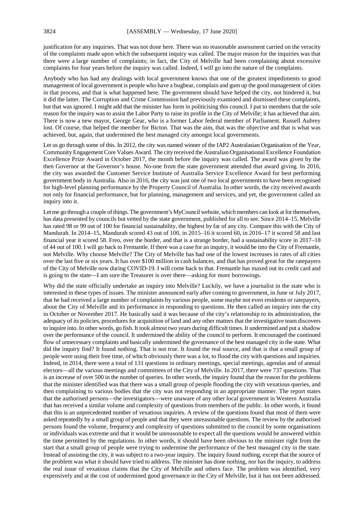justification for any inquiries. That was not done here. There was no reasonable assessment carried on the veracity of the complaints made upon which the subsequent inquiry was called. The major reason for the inquiries was that there were a large number of complaints; in fact, the City of Melville had been complaining about excessive complaints for four years before the inquiry was called. Indeed, I will go into the nature of the complaints.

Anybody who has had any dealings with local government knows that one of the greatest impediments to good management of local government is people who have a bugbear, complain and gum up the good management of cities in that process, and that is what happened here. The government should have helped the city, not hindered it, but it did the latter. The Corruption and Crime Commission had previously examined and dismissed these complaints, but that was ignored. I might add that the minister has form in politicising this council. I put to members that the sole reason for the inquiry was to assist the Labor Party to raise its profile in the City of Melville; it has achieved that aim. There is now a new mayor, George Gear, who is a former Labor federal member of Parliament. Russell Aubrey lost. Of course, that helped the member for Bicton. That was the aim, that was the objective and that is what was achieved, but, again, that undermined the best managed city amongst local governments.

Let us go through some of this. In 2012, the city was named winner of the IAP2 Australasian Organisation of the Year, Community Engagement Core Values Award. The city received the Australian Organisational Excellence Foundation Excellence Prize Award in October 2017, the month before the inquiry was called. The award was given by the then Governor at the Governor's house. No-one from the state government attended that award giving. In 2016, the city was awarded the Customer Service Institute of Australia Service Excellence Award for best performing government body in Australia. Also in 2016, the city was just one of two local governments to have been recognised for high-level planning performance by the Property Council of Australia. In other words, the city received awards not only for financial performance, but for planning, management and services, and yet, the government called an inquiry into it.

Let me go through a couple of things. The government's MyCouncil website, which members can look at for themselves, has data presented by councils but vetted by the state government, published for all to see. Since 2014–15, Melville has rated 98 or 99 out of 100 for financial sustainability, the highest by far of any city. Compare this with the City of Mandurah. In 2014–15, Mandurah scored 43 out of 100, in 2015–16 it scored 60, in 2016–17 it scored 58 and last financial year it scored 58. Freo, over the border, and that is a strange border, had a sustainability score in 2017–18 of 44 out of 100. I will go back to Fremantle. If there was a case for an inquiry, it would be into the City of Fremantle, not Melville. Why choose Melville? The City of Melville has had one of the lowest increases in rates of all cities over the last five or six years. It has over \$100 million in cash balances, and that has proved great for the ratepayers of the City of Melville now during COVID-19. I will come back to that. Fremantle has maxed out its credit card and is going to the state—I am sure the Treasurer is over there—asking for more borrowings.

Why did the state officially undertake an inquiry into Melville? Luckily, we have a journalist in the state who is interested in these types of issues. The minister announced early after coming to government, in June or July 2017, that he had received a large number of complaints by various people, some maybe not even residents or ratepayers, about the City of Melville and its performance in responding to questions. He then called an inquiry into the city in October or November 2017. He basically said it was because of the city's relationship to its administration, the adequacy of its policies, procedures for acquisition of land and any other matters that the investigative team discovers to inquire into. In other words, go fish. It took almost two years during difficult times. It undermined and put a shadow over the performance of the council. It undermined the ability of the council to perform. It encouraged the continued flow of unnecessary complaints and basically undermined the governance of the best managed city in the state. What did the inquiry find? It found nothing. That is not true. It found the real source, and that is that a small group of people were using their free time, of which obviously there was a lot, to flood the city with questions and inquiries. Indeed, in 2014, there were a total of 131 questions in ordinary meetings, special meetings, agendas and of annual electors—all the various meetings and committees of the City of Melville. In 2017, there were 737 questions. That is an increase of over 500 in the number of queries. In other words, the inquiry found that the reason for the problems that the minister identified was that there was a small group of people flooding the city with vexatious queries, and then complaining to various bodies that the city was not responding in an appropriate manner. The report states that the authorised persons—the investigators—were unaware of any other local government in Western Australia that has received a similar volume and complexity of questions from members of the public. In other words, it found that this is an unprecedented number of vexatious inquiries. A review of the questions found that most of them were asked repeatedly by a small group of people and that they were unreasonable questions. The review by the authorised persons found the volume, frequency and complexity of questions submitted to the council by some organisations or individuals was extreme and that it would be unreasonable to expect all the questions would be answered within the time permitted by the regulations. In other words, it should have been obvious to the minister right from the start that a small group of people were trying to undermine the performance of the best managed city in the state. Instead of assisting the city, it was subject to a two-year inquiry. The inquiry found nothing, except that the source of the problem was what it should have tried to address. The minister has done nothing, nor has the inquiry, to address the real issue of vexatious claims that the City of Melville and others face. The problem was identified, very expensively and at the cost of undermined good governance in the City of Melville, but it has not been addressed.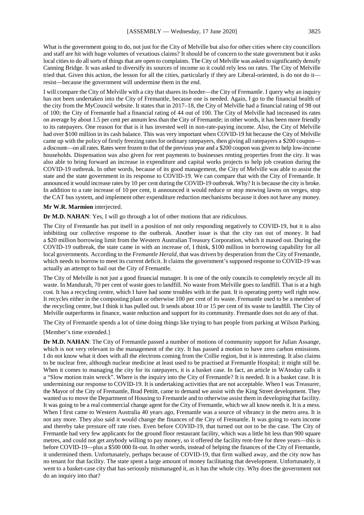What is the government going to do, not just for the City of Melville but also for other cities where city councillors and staff are hit with huge volumes of vexatious claims? It should be of concern to the state government but it asks local cities to do all sorts of things that are open to complaints. The City of Melville was asked to significantly densify Canning Bridge. It was asked to diversify its sources of income so it could rely less on rates. The City of Melville tried that. Given this action, the lesson for all the cities, particularly if they are Liberal-oriented, is do not do it—

I will compare the City of Melville with a city that shares its border—the City of Fremantle. I query why an inquiry has not been undertaken into the City of Fremantle, because one is needed. Again, I go to the financial health of the city from the MyCouncil website. It states that in 2017–18, the City of Melville had a financial rating of 98 out of 100; the City of Fremantle had a financial rating of 44 out of 100. The City of Melville had increased its rates on average by about 1.5 per cent per annum less than the City of Fremantle; in other words, it has been more friendly to its ratepayers. One reason for that is it has invested well in non-rate-paying income. Also, the City of Melville had over \$100 million in its cash balance. This was very important when COVID-19 hit because the City of Melville came up with the policy of firstly freezing rates for ordinary ratepayers, then giving all ratepayers a \$200 coupon a discount—on all rates. Rates were frozen to that of the previous year and a \$200 coupon was given to help low-income households. Dispensation was also given for rent payments to businesses renting properties from the city. It was also able to bring forward an increase in expenditure and capital works projects to help job creation during the COVID-19 outbreak. In other words, because of its good management, the City of Melville was able to assist the state and the state government in its response to COVID-19. We can compare that with the City of Fremantle. It announced it would increase rates by 10 per cent during the COVID-19 outbreak. Why? It is because the city is broke. In addition to a rate increase of 10 per cent, it announced it would reduce or stop mowing lawns on verges, stop the CAT bus system, and implement other expenditure reduction mechanisms because it does not have any money.

#### **Mr W.R. Marmion** interjected.

**Dr M.D. NAHAN**: Yes, I will go through a lot of other motions that are ridiculous.

resist—because the government will undermine them in the end.

The City of Fremantle has put itself in a position of not only responding negatively to COVID-19, but it is also inhibiting our collective response to the outbreak. Another issue is that the city ran out of money. It had a \$20 million borrowing limit from the Western Australian Treasury Corporation, which it maxed out. During the COVID-19 outbreak, the state came in with an increase of, I think, \$100 million in borrowing capability for all local governments. According to the *Fremantle Herald*, that was driven by desperation from the City of Fremantle, which needs to borrow to meet its current deficit. It claims the government's supposed response to COVID-19 was actually an attempt to bail out the City of Fremantle.

The City of Melville is not just a good financial manager. It is one of the only councils to completely recycle all its waste. In Mandurah, 70 per cent of waste goes to landfill. No waste from Melville goes to landfill. That is at a high cost. It has a recycling centre, which I have had some troubles with in the past. It is operating pretty well right now. It recycles either in the composting plant or otherwise 100 per cent of its waste. Fremantle used to be a member of the recycling centre, but I think it has pulled out. It sends about 10 or 15 per cent of its waste to landfill. The City of Melville outperforms in finance, waste reduction and support for its community. Fremantle does not do any of that.

The City of Fremantle spends a lot of time doing things like trying to ban people from parking at Wilson Parking.

[Member's time extended.]

**Dr M.D. NAHAN**: The City of Fremantle passed a number of motions of community support for Julian Assange, which is not very relevant to the management of the city. It has passed a motion to have zero carbon emissions. I do not know what it does with all the electrons coming from the Collie region, but it is interesting. It also claims to be nuclear free, although nuclear medicine at least used to be practised at Fremantle Hospital; it might still be. When it comes to managing the city for its ratepayers, it is a basket case. In fact, an article in WAtoday calls it a "Slow motion train wreck". Where is the inquiry into the City of Fremantle? It is needed. It is a basket case. It is undermining our response to COVID-19. It is undertaking activities that are not acceptable. When I was Treasurer, the Mayor of the City of Fremantle, Brad Pettitt, came to demand we assist with the King Street development. They wanted us to move the Department of Housing to Fremantle and to otherwise assist them in developing that facility. It was going to be a real commercial change agent for the City of Fremantle, which we all know needs it. It is a mess. When I first came to Western Australia 40 years ago, Fremantle was a source of vibrancy in the metro area. It is not any more. They also said it would change the finances of the City of Fremantle. It was going to earn income and thereby take pressure off rate rises. Even before COVID-19, that turned out not to be the case. The City of Fremantle had very few applicants for the ground floor restaurant facility, which was a little bit less than 900 square metres, and could not get anybody willing to pay money, so it offered the facility rent-free for three years—this is before COVID-19—plus a \$500 000 fit-out. In other words, instead of helping the finances of the City of Fremantle, it undermined them. Unfortunately, perhaps because of COVID-19, that firm walked away, and the city now has no tenant for that facility. The state spent a large amount of money facilitating that development. Unfortunately, it went to a basket-case city that has seriously mismanaged it, as it has the whole city. Why does the government not do an inquiry into that?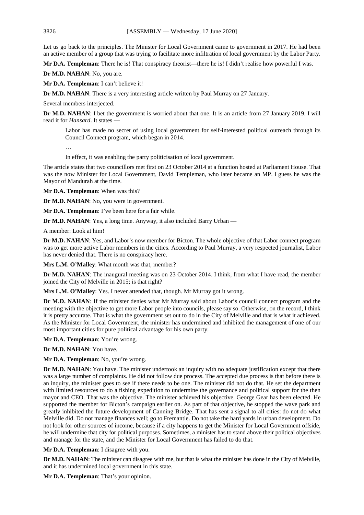Let us go back to the principles. The Minister for Local Government came to government in 2017. He had been an active member of a group that was trying to facilitate more infiltration of local government by the Labor Party.

**Mr D.A. Templeman**: There he is! That conspiracy theorist—there he is! I didn't realise how powerful I was.

**Dr M.D. NAHAN**: No, you are.

**Mr D.A. Templeman**: I can't believe it!

**Dr M.D. NAHAN**: There is a very interesting article written by Paul Murray on 27 January.

Several members interjected.

**Dr M.D. NAHAN**: I bet the government is worried about that one. It is an article from 27 January 2019. I will read it for *Hansard*. It states —

Labor has made no secret of using local government for self-interested political outreach through its Council Connect program, which began in 2014.

…

In effect, it was enabling the party politicisation of local government.

The article states that two councillors met first on 23 October 2014 at a function hosted at Parliament House. That was the now Minister for Local Government, David Templeman, who later became an MP. I guess he was the Mayor of Mandurah at the time.

**Mr D.A. Templeman**: When was this?

**Dr M.D. NAHAN**: No, you were in government.

**Mr D.A. Templeman**: I've been here for a fair while.

**Dr M.D. NAHAN**: Yes, a long time. Anyway, it also included Barry Urban —

A member: Look at him!

**Dr M.D. NAHAN**: Yes, and Labor's now member for Bicton. The whole objective of that Labor connect program was to get more active Labor members in the cities. According to Paul Murray, a very respected journalist, Labor has never denied that. There is no conspiracy here.

**Mrs L.M. O'Malley**: What month was that, member?

**Dr M.D. NAHAN**: The inaugural meeting was on 23 October 2014. I think, from what I have read, the member joined the City of Melville in 2015; is that right?

**Mrs L.M. O'Malley**: Yes. I never attended that, though. Mr Murray got it wrong.

**Dr M.D. NAHAN**: If the minister denies what Mr Murray said about Labor's council connect program and the meeting with the objective to get more Labor people into councils, please say so. Otherwise, on the record, I think it is pretty accurate. That is what the government set out to do in the City of Melville and that is what it achieved. As the Minister for Local Government, the minister has undermined and inhibited the management of one of our most important cities for pure political advantage for his own party.

**Mr D.A. Templeman**: You're wrong.

**Dr M.D. NAHAN**: You have.

**Mr D.A. Templeman**: No, you're wrong.

**Dr M.D. NAHAN:** You have. The minister undertook an inquiry with no adequate justification except that there was a large number of complaints. He did not follow due process. The accepted due process is that before there is an inquiry, the minister goes to see if there needs to be one. The minister did not do that. He set the department with limited resources to do a fishing expedition to undermine the governance and political support for the then mayor and CEO. That was the objective. The minister achieved his objective. George Gear has been elected. He supported the member for Bicton's campaign earlier on. As part of that objective, he stopped the wave park and greatly inhibited the future development of Canning Bridge. That has sent a signal to all cities: do not do what Melville did. Do not manage finances well; go to Fremantle. Do not take the hard yards in urban development. Do not look for other sources of income, because if a city happens to get the Minister for Local Government offside, he will undermine that city for political purposes. Sometimes, a minister has to stand above their political objectives and manage for the state, and the Minister for Local Government has failed to do that.

**Mr D.A. Templeman**: I disagree with you.

**Dr M.D. NAHAN**: The minister can disagree with me, but that is what the minister has done in the City of Melville, and it has undermined local government in this state.

**Mr D.A. Templeman**: That's your opinion.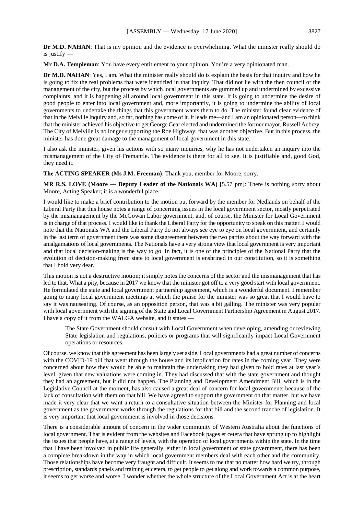is justify —

**Mr D.A. Templeman**: You have every entitlement to your opinion. You're a very opinionated man.

**Dr M.D. NAHAN:** Yes, I am. What the minister really should do is explain the basis for that inquiry and how he is going to fix the real problems that were identified in that inquiry. That did not lie with the then council or the management of the city, but the process by which local governments are gummed up and undermined by excessive complaints, and it is happening all around local government in this state. It is going to undermine the desire of good people to enter into local government and, more importantly, it is going to undermine the ability of local governments to undertake the things that this government wants them to do. The minister found clear evidence of that in the Melville inquiry and, so far, nothing has come of it. It leads me—and I am an opinionated person—to think that the minister achieved his objective to get George Gear elected and undermined the former mayor, Russell Aubrey. The City of Melville is no longer supporting the Roe Highway; that was another objective. But in this process, the minister has done great damage to the management of local government in this state.

I also ask the minister, given his actions with so many inquiries, why he has not undertaken an inquiry into the mismanagement of the City of Fremantle. The evidence is there for all to see. It is justifiable and, good God, they need it.

**The ACTING SPEAKER (Ms J.M. Freeman)**: Thank you, member for Moore, sorry.

**MR R.S. LOVE (Moore — Deputy Leader of the Nationals WA)** [5.57 pm]: There is nothing sorry about Moore, Acting Speaker; it is a wonderful place.

I would like to make a brief contribution to the motion put forward by the member for Nedlands on behalf of the Liberal Party that this house notes a range of concerning issues in the local government sector, mostly perpetrated by the mismanagement by the McGowan Labor government, and, of course, the Minister for Local Government is in charge of that process. I would like to thank the Liberal Party for the opportunity to speak on this matter. I would note that the Nationals WA and the Liberal Party do not always see eye to eye on local government, and certainly in the last term of government there was some disagreement between the two parties about the way forward with the amalgamations of local governments. The Nationals have a very strong view that local government is very important and that local decision-making is the way to go. In fact, it is one of the principles of the National Party that the evolution of decision-making from state to local government is enshrined in our constitution, so it is something that I hold very dear.

This motion is not a destructive motion; it simply notes the concerns of the sector and the mismanagement that has led to that. What a pity, because in 2017 we know that the minister got off to a very good start with local government. He formulated the state and local government partnership agreement, which is a wonderful document. I remember going to many local government meetings at which the praise for the minister was so great that I would have to say it was nauseating. Of course, as an opposition person, that was a bit galling. The minister was very popular with local government with the signing of the State and Local Government Partnership Agreement in August 2017. I have a copy of it from the WALGA website, and it states —

The State Government should consult with Local Government when developing, amending or reviewing State legislation and regulations, policies or programs that will significantly impact Local Government operations or resources.

Of course, we know that this agreement has been largely set aside. Local governments had a great number of concerns with the COVID-19 bill that went through the house and its implication for rates in the coming year. They were concerned about how they would be able to maintain the undertaking they had given to hold rates at last year's level, given that new valuations were coming in. They had discussed that with the state government and thought they had an agreement, but it did not happen. The Planning and Development Amendment Bill, which is in the Legislative Council at the moment, has also caused a great deal of concern for local governments because of the lack of consultation with them on that bill. We have agreed to support the government on that matter, but we have made it very clear that we want a return to a consultative situation between the Minister for Planning and local government as the government works through the regulations for that bill and the second tranche of legislation. It is very important that local government is involved in those decisions.

There is a considerable amount of concern in the wider community of Western Australia about the functions of local government. That is evident from the websites and Facebook pages et cetera that have sprung up to highlight the issues that people have, at a range of levels, with the operation of local governments within the state. In the time that I have been involved in public life generally, either in local government or state government, there has been a complete breakdown in the way in which local government members deal with each other and the community. Those relationships have become very fraught and difficult. It seems to me that no matter how hard we try, through prescription, standards panels and training et cetera, to get people to get along and work towards a common purpose, it seems to get worse and worse. I wonder whether the whole structure of the Local Government Act is at the heart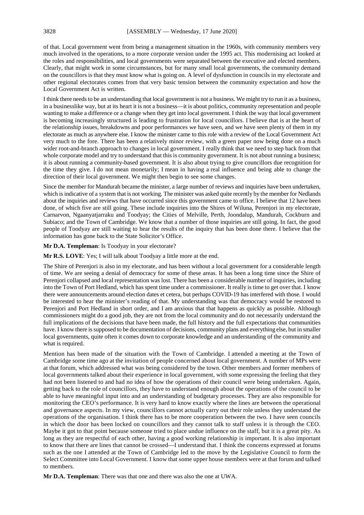of that. Local government went from being a management situation in the 1960s, with community members very much involved in the operations, to a more corporate version under the 1995 act. This modernising act looked at the roles and responsibilities, and local governments were separated between the executive and elected members. Clearly, that might work in some circumstances, but for many small local governments, the community demand on the councillors is that they must know what is going on. A level of dysfunction in councils in my electorate and other regional electorates comes from that very basic tension between the community expectation and how the Local Government Act is written.

I think there needs to be an understanding that local government is not a business. We might try to run it as a business, in a businesslike way, but at its heart it is not a business—it is about politics, community representation and people wanting to make a difference or a change when they get into local government. I think the way that local government is becoming increasingly structured is leading to frustration for local councillors. I believe that is at the heart of the relationship issues, breakdowns and poor performances we have seen, and we have seen plenty of them in my electorate as much as anywhere else. I know the minister came to this role with a review of the Local Government Act very much to the fore. There has been a relatively minor review, with a green paper now being done on a much wider root-and-branch approach to changes in local government. I really think that we need to step back from that whole corporate model and try to understand that this is community government. It is not about running a business; it is about running a community-based government. It is also about trying to give councillors due recognition for the time they give. I do not mean monetarily; I mean in having a real influence and being able to change the direction of their local government. We might then begin to see some changes.

Since the member for Mandurah became the minister, a large number of reviews and inquiries have been undertaken, which is indicative of a system that is not working. The minister was asked quite recently by the member for Nedlands about the inquiries and reviews that have occurred since this government came to office. I believe that 12 have been done, of which five are still going. These include inquiries into the Shires of Wiluna, Perenjori in my electorate, Carnarvon, Ngaanyatjarraku and Toodyay; the Cities of Melville, Perth, Joondalup, Mandurah, Cockburn and Subiaco; and the Town of Cambridge. We know that a number of those inquiries are still going. In fact, the good people of Toodyay are still waiting to hear the results of the inquiry that has been done there. I believe that the information has gone back to the State Solicitor's Office.

**Mr D.A. Templeman**: Is Toodyay in your electorate?

**Mr R.S. LOVE**: Yes; I will talk about Toodyay a little more at the end.

The Shire of Perenjori is also in my electorate, and has been without a local government for a considerable length of time. We are seeing a denial of democracy for some of these areas. It has been a long time since the Shire of Perenjori collapsed and local representation was lost. There has been a considerable number of inquiries, including into the Town of Port Hedland, which has spent time under a commissioner. It really is time to get over that. I know there were announcements around election dates et cetera, but perhaps COVID-19 has interfered with those. I would be interested to hear the minister's reading of that. My understanding was that democracy would be restored to Perenjori and Port Hedland in short order, and I am anxious that that happens as quickly as possible. Although commissioners might do a good job, they are not from the local community and do not necessarily understand the full implications of the decisions that have been made, the full history and the full expectations that communities have. I know there is supposed to be documentation of decisions, community plans and everything else, but in smaller local governments, quite often it comes down to corporate knowledge and an understanding of the community and what is required.

Mention has been made of the situation with the Town of Cambridge. I attended a meeting at the Town of Cambridge some time ago at the invitation of people concerned about local government. A number of MPs were at that forum, which addressed what was being considered by the town. Other members and former members of local governments talked about their experience in local government, with some expressing the feeling that they had not been listened to and had no idea of how the operations of their council were being undertaken. Again, getting back to the role of councillors, they have to understand enough about the operations of the council to be able to have meaningful input into and an understanding of budgetary processes. They are also responsible for monitoring the CEO's performance. It is very hard to know exactly where the lines are between the operational and governance aspects. In my view, councillors cannot actually carry out their role unless they understand the operations of the organisation. I think there has to be more cooperation between the two. I have seen councils in which the door has been locked on councillors and they cannot talk to staff unless it is through the CEO. Maybe it got to that point because someone tried to place undue influence on the staff, but it is a great pity. As long as they are respectful of each other, having a good working relationship is important. It is also important to know that there are lines that cannot be crossed—I understand that. I think the concerns expressed at forums such as the one I attended at the Town of Cambridge led to the move by the Legislative Council to form the Select Committee into Local Government. I know that some upper house members were at that forum and talked to members.

**Mr D.A. Templeman**: There was that one and there was also the one at UWA.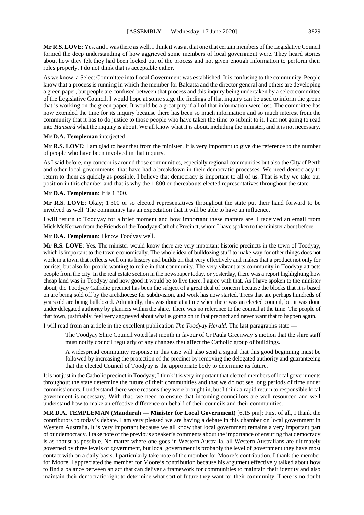**Mr R.S. LOVE**: Yes, and I was there as well. I think it was at that one that certain members of the Legislative Council formed the deep understanding of how aggrieved some members of local government were. They heard stories about how they felt they had been locked out of the process and not given enough information to perform their roles properly. I do not think that is acceptable either.

As we know, a Select Committee into Local Government was established. It is confusing to the community. People know that a process is running in which the member for Balcatta and the director general and others are developing a green paper, but people are confused between that process and this inquiry being undertaken by a select committee of the Legislative Council. I would hope at some stage the findings of that inquiry can be used to inform the group that is working on the green paper. It would be a great pity if all of that information were lost. The committee has now extended the time for its inquiry because there has been so much information and so much interest from the community that it has to do justice to those people who have taken the time to submit to it. I am not going to read into *Hansard* what the inquiry is about. We all know what it is about, including the minister, and it is not necessary.

**Mr D.A. Templeman** interjected.

**Mr R.S. LOVE**: I am glad to hear that from the minister. It is very important to give due reference to the number of people who have been involved in that inquiry.

As I said before, my concern is around those communities, especially regional communities but also the City of Perth and other local governments, that have had a breakdown in their democratic processes. We need democracy to return to them as quickly as possible. I believe that democracy is important to all of us. That is why we take our position in this chamber and that is why the 1 800 or thereabouts elected representatives throughout the state -

#### **Mr D.A. Templeman**: It is 1 300.

**Mr R.S. LOVE**: Okay; 1 300 or so elected representatives throughout the state put their hand forward to be involved as well. The community has an expectation that it will be able to have an influence.

I will return to Toodyay for a brief moment and how important these matters are. I received an email from Mick McKeown from the Friends of the Toodyay Catholic Precinct, whom I have spoken to the minister about before –

**Mr D.A. Templeman**: I know Toodyay well.

**Mr R.S. LOVE**: Yes. The minister would know there are very important historic precincts in the town of Toodyay, which is important to the town economically. The whole idea of bulldozing stuff to make way for other things does not work in a town that reflects well on its history and builds on that very effectively and makes that a product not only for tourists, but also for people wanting to retire in that community. The very vibrant arts community in Toodyay attracts people from the city. In the real estate section in the newspaper today, or yesterday, there was a report highlighting how cheap land was in Toodyay and how good it would be to live there. I agree with that. As I have spoken to the minister about, the Toodyay Catholic precinct has been the subject of a great deal of concern because the blocks that it is based on are being sold off by the archdiocese for subdivision, and work has now started. Trees that are perhaps hundreds of years old are being bulldozed. Admittedly, this was done at a time when there was an elected council, but it was done under delegated authority by planners within the shire. There was no reference to the council at the time. The people of that town, justifiably, feel very aggrieved about what is going on in that precinct and never want that to happen again.

I will read from an article in the excellent publication *The Toodyay Herald*. The last paragraphs state —

The Toodyay Shire Council voted last month in favour of Cr Paula Greenway's motion that the shire staff must notify council regularly of any changes that affect the Catholic group of buildings.

A widespread community response in this case will also send a signal that this good beginning must be followed by increasing the protection of the precinct by removing the delegated authority and guaranteeing that the elected Council of Toodyay is the appropriate body to determine its future.

It is not just in the Catholic precinct in Toodyay; I think it is very important that elected members of local governments throughout the state determine the future of their communities and that we do not see long periods of time under commissioners. I understand there were reasons they were brought in, but I think a rapid return to responsible local government is necessary. With that, we need to ensure that incoming councillors are well resourced and well understand how to make an effective difference on behalf of their councils and their communities.

**MR D.A. TEMPLEMAN (Mandurah — Minister for Local Government)** [6.15 pm]: First of all, I thank the contributors to today's debate. I am very pleased we are having a debate in this chamber on local government in Western Australia. It is very important because we all know that local government remains a very important part of our democracy. I take note of the previous speaker's comments about the importance of ensuring that democracy is as robust as possible. No matter where one goes in Western Australia, all Western Australians are ultimately governed by three levels of government, but local government is probably the level of government they have most contact with on a daily basis. I particularly take note of the member for Moore's contribution. I thank the member for Moore. I appreciated the member for Moore's contribution because his argument effectively talked about how to find a balance between an act that can deliver a framework for communities to maintain their identity and also maintain their democratic right to determine what sort of future they want for their community. There is no doubt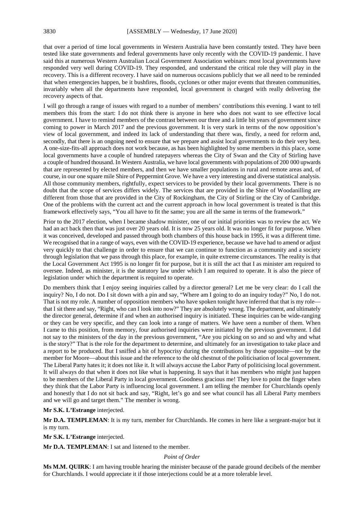that over a period of time local governments in Western Australia have been constantly tested. They have been tested like state governments and federal governments have only recently with the COVID-19 pandemic. I have said this at numerous Western Australian Local Government Association webinars: most local governments have responded very well during COVID-19. They responded, and understand the critical role they will play in the recovery. This is a different recovery. I have said on numerous occasions publicly that we all need to be reminded that when emergencies happen, be it bushfires, floods, cyclones or other major events that threaten communities, invariably when all the departments have responded, local government is charged with really delivering the recovery aspects of that.

I will go through a range of issues with regard to a number of members' contributions this evening. I want to tell members this from the start: I do not think there is anyone in here who does not want to see effective local government. I have to remind members of the contrast between our three and a little bit years of government since coming to power in March 2017 and the previous government. It is very stark in terms of the now opposition's view of local government, and indeed its lack of understanding that there was, firstly, a need for reform and, secondly, that there is an ongoing need to ensure that we prepare and assist local governments to do their very best. A one-size-fits-all approach does not work because, as has been highlighted by some members in this place, some local governments have a couple of hundred ratepayers whereas the City of Swan and the City of Stirling have a couple of hundred thousand. In Western Australia, we have local governments with populations of 200 000 upwards that are represented by elected members, and then we have smaller populations in rural and remote areas and, of course, in our one square mile Shire of Peppermint Grove. We have a very interesting and diverse statistical analysis. All those community members, rightfully, expect services to be provided by their local governments. There is no doubt that the scope of services differs widely. The services that are provided in the Shire of Woodanilling are different from those that are provided in the City of Rockingham, the City of Stirling or the City of Cambridge. One of the problems with the current act and the current approach in how local government is treated is that this framework effectively says, "You all have to fit the same; you are all the same in terms of the framework."

Prior to the 2017 election, when I became shadow minister, one of our initial priorities was to review the act. We had an act back then that was just over 20 years old. It is now 25 years old. It was no longer fit for purpose. When it was conceived, developed and passed through both chambers of this house back in 1995, it was a different time. We recognised that in a range of ways, even with the COVID-19 experience, because we have had to amend or adjust very quickly to that challenge in order to ensure that we can continue to function as a community and a society through legislation that we pass through this place, for example, in quite extreme circumstances. The reality is that the Local Government Act 1995 is no longer fit for purpose, but it is still the act that I as minister am required to oversee. Indeed, as minister, it is the statutory law under which I am required to operate. It is also the piece of legislation under which the department is required to operate.

Do members think that I enjoy seeing inquiries called by a director general? Let me be very clear: do I call the inquiry? No, I do not. Do I sit down with a pin and say, "Where am I going to do an inquiry today?" No, I do not. That is not my role. A number of opposition members who have spoken tonight have inferred that that is my role that I sit there and say, "Right, who can I look into now?" They are absolutely wrong. The department, and ultimately the director general, determine if and when an authorised inquiry is initiated. These inquiries can be wide-ranging or they can be very specific, and they can look into a range of matters. We have seen a number of them. When I came to this position, from memory, four authorised inquiries were initiated by the previous government. I did not say to the ministers of the day in the previous government, "Are you picking on so and so and why and what is the story?" That is the role for the department to determine, and ultimately for an investigation to take place and a report to be produced. But I sniffed a bit of hypocrisy during the contributions by those opposite—not by the member for Moore—about this issue and the reference to the old chestnut of the politicisation of local government. The Liberal Party hates it; it does not like it. It will always accuse the Labor Party of politicising local government. It will always do that when it does not like what is happening. It says that it has members who might just happen to be members of the Liberal Party in local government. Goodness gracious me! They love to point the finger when they think that the Labor Party is influencing local government. I am telling the member for Churchlands openly and honestly that I do not sit back and say, "Right, let's go and see what council has all Liberal Party members and we will go and target them." The member is wrong.

#### **Mr S.K. L'Estrange** interjected.

**Mr D.A. TEMPLEMAN**: It is my turn, member for Churchlands. He comes in here like a sergeant-major but it is my turn.

**Mr S.K. L'Estrange** interjected.

**Mr D.A. TEMPLEMAN**: I sat and listened to the member.

#### *Point of Order*

**Ms M.M. QUIRK**: I am having trouble hearing the minister because of the parade ground decibels of the member for Churchlands. I would appreciate it if those interjections could be at a more tolerable level.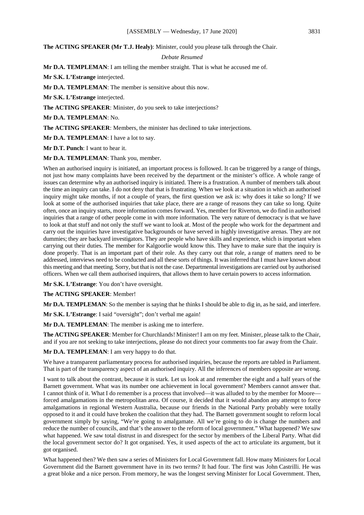#### **The ACTING SPEAKER (Mr T.J. Healy)**: Minister, could you please talk through the Chair.

# *Debate Resumed*

**Mr D.A. TEMPLEMAN**: I am telling the member straight. That is what he accused me of.

**Mr S.K. L'Estrange** interjected.

**Mr D.A. TEMPLEMAN**: The member is sensitive about this now.

**Mr S.K. L'Estrange** interjected.

**The ACTING SPEAKER**: Minister, do you seek to take interjections?

**Mr D.A. TEMPLEMAN**: No.

**The ACTING SPEAKER**: Members, the minister has declined to take interjections.

**Mr D.A. TEMPLEMAN**: I have a lot to say.

**Mr D.T. Punch**: I want to hear it.

**Mr D.A. TEMPLEMAN**: Thank you, member.

When an authorised inquiry is initiated, an important process is followed. It can be triggered by a range of things, not just how many complaints have been received by the department or the minister's office. A whole range of issues can determine why an authorised inquiry is initiated. There is a frustration. A number of members talk about the time an inquiry can take. I do not deny that that is frustrating. When we look at a situation in which an authorised inquiry might take months, if not a couple of years, the first question we ask is: why does it take so long? If we look at some of the authorised inquiries that take place, there are a range of reasons they can take so long. Quite often, once an inquiry starts, more information comes forward. Yes, member for Riverton, we do find in authorised inquiries that a range of other people come in with more information. The very nature of democracy is that we have to look at that stuff and not only the stuff we want to look at. Most of the people who work for the department and carry out the inquiries have investigative backgrounds or have served in highly investigative arenas. They are not dummies; they are backyard investigators. They are people who have skills and experience, which is important when carrying out their duties. The member for Kalgoorlie would know this. They have to make sure that the inquiry is done properly. That is an important part of their role. As they carry out that role, a range of matters need to be addressed, interviews need to be conducted and all these sorts of things. It was inferred that I must have known about this meeting and that meeting. Sorry, but that is not the case. Departmental investigations are carried out by authorised officers. When we call them authorised inquirers, that allows them to have certain powers to access information.

**Mr S.K. L'Estrange**: You don't have oversight.

**The ACTING SPEAKER**: Member!

**Mr D.A. TEMPLEMAN**: So the member is saying that he thinks I should be able to dig in, as he said, and interfere.

**Mr S.K. L'Estrange**: I said "oversight"; don't verbal me again!

**Mr D.A. TEMPLEMAN**: The member is asking me to interfere.

**The ACTING SPEAKER:** Member for Churchlands! Minister! I am on my feet. Minister, please talk to the Chair, and if you are not seeking to take interjections, please do not direct your comments too far away from the Chair.

**Mr D.A. TEMPLEMAN**: I am very happy to do that.

We have a transparent parliamentary process for authorised inquiries, because the reports are tabled in Parliament. That is part of the transparency aspect of an authorised inquiry. All the inferences of members opposite are wrong.

I want to talk about the contrast, because it is stark. Let us look at and remember the eight and a half years of the Barnett government. What was its number one achievement in local government? Members cannot answer that. I cannot think of it. What I do remember is a process that involved—it was alluded to by the member for Moore forced amalgamations in the metropolitan area. Of course, it decided that it would abandon any attempt to force amalgamations in regional Western Australia, because our friends in the National Party probably were totally opposed to it and it could have broken the coalition that they had. The Barnett government sought to reform local government simply by saying, "We're going to amalgamate. All we're going to do is change the numbers and reduce the number of councils, and that's the answer to the reform of local government." What happened? We saw what happened. We saw total distrust in and disrespect for the sector by members of the Liberal Party. What did the local government sector do? It got organised. Yes, it used aspects of the act to articulate its argument, but it got organised.

What happened then? We then saw a series of Ministers for Local Government fall. How many Ministers for Local Government did the Barnett government have in its two terms? It had four. The first was John Castrilli. He was a great bloke and a nice person. From memory, he was the longest serving Minister for Local Government. Then,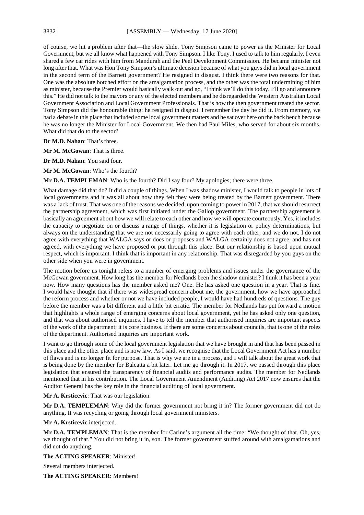of course, we hit a problem after that—the slow slide. Tony Simpson came to power as the Minister for Local Government, but we all know what happened with Tony Simpson. I like Tony. I used to talk to him regularly. I even shared a few car rides with him from Mandurah and the Peel Development Commission. He became minister not long after that. What was Hon Tony Simpson's ultimate decision because of what you guys did in local government in the second term of the Barnett government? He resigned in disgust. I think there were two reasons for that. One was the absolute botched effort on the amalgamation process, and the other was the total undermining of him as minister, because the Premier would basically walk out and go, "I think we'll do this today. I'll go and announce this." He did not talk to the mayors or any of the elected members and he disregarded the Western Australian Local Government Association and Local Government Professionals. That is how the then government treated the sector. Tony Simpson did the honourable thing: he resigned in disgust. I remember the day he did it. From memory, we had a debate in this place that included some local government matters and he sat over here on the back bench because he was no longer the Minister for Local Government. We then had Paul Miles, who served for about six months. What did that do to the sector?

**Dr M.D. Nahan**: That's three.

**Mr M. McGowan**: That is three.

**Dr M.D. Nahan**: You said four.

**Mr M. McGowan**: Who's the fourth?

**Mr D.A. TEMPLEMAN:** Who is the fourth? Did I say four? My apologies; there were three.

What damage did that do? It did a couple of things. When I was shadow minister, I would talk to people in lots of local governments and it was all about how they felt they were being treated by the Barnett government. There was a lack of trust. That was one of the reasons we decided, upon coming to power in 2017, that we should resurrect the partnership agreement, which was first initiated under the Gallop government. The partnership agreement is basically an agreement about how we will relate to each other and how we will operate courteously. Yes, it includes the capacity to negotiate on or discuss a range of things, whether it is legislation or policy determinations, but always on the understanding that we are not necessarily going to agree with each other, and we do not. I do not agree with everything that WALGA says or does or proposes and WALGA certainly does not agree, and has not agreed, with everything we have proposed or put through this place. But our relationship is based upon mutual respect, which is important. I think that is important in any relationship. That was disregarded by you guys on the other side when you were in government.

The motion before us tonight refers to a number of emerging problems and issues under the governance of the McGowan government. How long has the member for Nedlands been the shadow minister? I think it has been a year now. How many questions has the member asked me? One. He has asked one question in a year. That is fine. I would have thought that if there was widespread concern about me, the government, how we have approached the reform process and whether or not we have included people, I would have had hundreds of questions. The guy before the member was a bit different and a little bit erratic. The member for Nedlands has put forward a motion that highlights a whole range of emerging concerns about local government, yet he has asked only one question, and that was about authorised inquiries. I have to tell the member that authorised inquiries are important aspects of the work of the department; it is core business. If there are some concerns about councils, that is one of the roles of the department. Authorised inquiries are important work.

I want to go through some of the local government legislation that we have brought in and that has been passed in this place and the other place and is now law. As I said, we recognise that the Local Government Act has a number of flaws and is no longer fit for purpose. That is why we are in a process, and I will talk about the great work that is being done by the member for Balcatta a bit later. Let me go through it. In 2017, we passed through this place legislation that ensured the transparency of financial audits and performance audits. The member for Nedlands mentioned that in his contribution. The Local Government Amendment (Auditing) Act 2017 now ensures that the Auditor General has the key role in the financial auditing of local government.

#### **Mr A. Krsticevic**: That was our legislation.

**Mr D.A. TEMPLEMAN**: Why did the former government not bring it in? The former government did not do anything. It was recycling or going through local government ministers.

#### **Mr A. Krsticevic** interjected.

**Mr D.A. TEMPLEMAN**: That is the member for Carine's argument all the time: "We thought of that. Oh, yes, we thought of that." You did not bring it in, son. The former government stuffed around with amalgamations and did not do anything.

# **The ACTING SPEAKER**: Minister!

Several members interjected.

**The ACTING SPEAKER**: Members!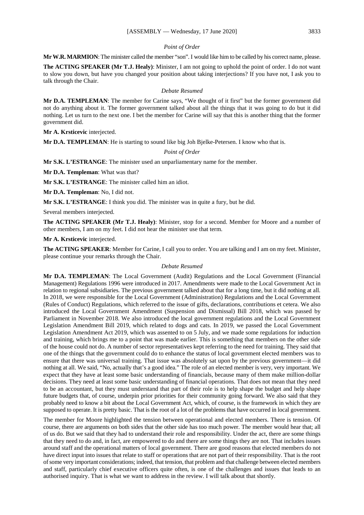# *Point of Order*

**Mr W.R. MARMION**: The minister called the member "son". I would like him to be called by his correct name, please.

**The ACTING SPEAKER (Mr T.J. Healy)**: Minister, I am not going to uphold the point of order. I do not want to slow you down, but have you changed your position about taking interjections? If you have not, I ask you to talk through the Chair.

#### *Debate Resumed*

**Mr D.A. TEMPLEMAN**: The member for Carine says, "We thought of it first" but the former government did not do anything about it. The former government talked about all the things that it was going to do but it did nothing. Let us turn to the next one. I bet the member for Carine will say that this is another thing that the former government did.

**Mr A. Krsticevic** interjected.

**Mr D.A. TEMPLEMAN**: He is starting to sound like big Joh Bjelke-Petersen. I know who that is.

#### *Point of Order*

**Mr S.K. L'ESTRANGE**: The minister used an unparliamentary name for the member.

**Mr D.A. Templeman**: What was that?

**Mr S.K. L'ESTRANGE**: The minister called him an idiot.

**Mr D.A. Templeman**: No, I did not.

**Mr S.K. L'ESTRANGE**: I think you did. The minister was in quite a fury, but he did.

Several members interjected.

**The ACTING SPEAKER (Mr T.J. Healy)**: Minister, stop for a second. Member for Moore and a number of other members, I am on my feet. I did not hear the minister use that term.

**Mr A. Krsticevic** interjected.

**The ACTING SPEAKER**: Member for Carine, I call you to order. You are talking and I am on my feet. Minister, please continue your remarks through the Chair.

#### *Debate Resumed*

**Mr D.A. TEMPLEMAN**: The Local Government (Audit) Regulations and the Local Government (Financial Management) Regulations 1996 were introduced in 2017. Amendments were made to the Local Government Act in relation to regional subsidiaries. The previous government talked about that for a long time, but it did nothing at all. In 2018, we were responsible for the Local Government (Administration) Regulations and the Local Government (Rules of Conduct) Regulations, which referred to the issue of gifts, declarations, contributions et cetera. We also introduced the Local Government Amendment (Suspension and Dismissal) Bill 2018, which was passed by Parliament in November 2018. We also introduced the local government regulations and the Local Government Legislation Amendment Bill 2019, which related to dogs and cats. In 2019, we passed the Local Government Legislation Amendment Act 2019, which was assented to on 5 July, and we made some regulations for induction and training, which brings me to a point that was made earlier. This is something that members on the other side of the house could not do. A number of sector representatives kept referring to the need for training. They said that one of the things that the government could do to enhance the status of local government elected members was to ensure that there was universal training. That issue was absolutely sat upon by the previous government—it did nothing at all. We said, "No, actually that's a good idea." The role of an elected member is very, very important. We expect that they have at least some basic understanding of financials, because many of them make million-dollar decisions. They need at least some basic understanding of financial operations. That does not mean that they need to be an accountant, but they must understand that part of their role is to help shape the budget and help shape future budgets that, of course, underpin prior priorities for their community going forward. We also said that they probably need to know a bit about the Local Government Act, which, of course, is the framework in which they are supposed to operate. It is pretty basic. That is the root of a lot of the problems that have occurred in local government.

The member for Moore highlighted the tension between operational and elected members. There is tension. Of course, there are arguments on both sides that the other side has too much power. The member would hear that; all of us do. But we said that they had to understand their role and responsibility. Under the act, there are some things that they need to do and, in fact, are empowered to do and there are some things they are not. That includes issues around staff and the operational matters of local government. There are good reasons that elected members do not have direct input into issues that relate to staff or operations that are not part of their responsibility. That is the root of some very important considerations; indeed, that tension, that problem and that challenge between elected members and staff, particularly chief executive officers quite often, is one of the challenges and issues that leads to an authorised inquiry. That is what we want to address in the review. I will talk about that shortly.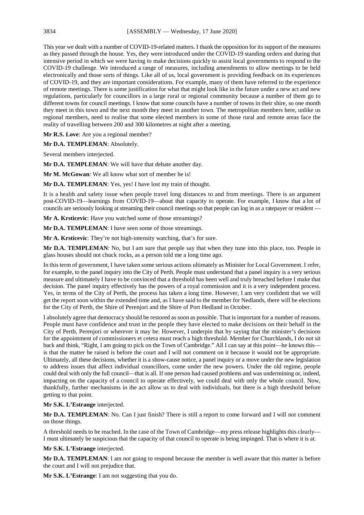This year we dealt with a number of COVID-19-related matters. I thank the opposition for its support of the measures as they passed through the house. Yes, they were introduced under the COVID-19 standing orders and during that intensive period in which we were having to make decisions quickly to assist local governments to respond to the COVID-19 challenge. We introduced a range of measures, including amendments to allow meetings to be held electronically and those sorts of things. Like all of us, local government is providing feedback on its experiences of COVID-19, and they are important considerations. For example, many of them have referred to the experience of remote meetings. There is some justification for what that might look like in the future under a new act and new regulations, particularly for councillors in a large rural or regional community because a number of them go to different towns for council meetings. I know that some councils have a number of towns in their shire, so one month they meet in this town and the next month they meet in another town. The metropolitan members here, unlike us regional members, need to realise that some elected members in some of those rural and remote areas face the reality of travelling between 200 and 300 kilometres at night after a meeting.

**Mr R.S. Love**: Are you a regional member?

**Mr D.A. TEMPLEMAN**: Absolutely.

Several members interjected.

**Mr D.A. TEMPLEMAN**: We will have that debate another day.

**Mr M. McGowan**: We all know what sort of member he is!

**Mr D.A. TEMPLEMAN**: Yes, yes! I have lost my train of thought.

It is a health and safety issue when people travel long distances to and from meetings. There is an argument post-COVID-19—learnings from COVID-19—about that capacity to operate. For example, I know that a lot of councils are seriously looking at streaming their council meetings so that people can log in as a ratepayer or resident —

**Mr A. Krsticevic**: Have you watched some of those streamings?

**Mr D.A. TEMPLEMAN**: I have seen some of those streamings.

**Mr A. Krsticevic**: They're not high-intensity watching, that's for sure.

**Mr D.A. TEMPLEMAN**: No, but I am sure that people say that when they tune into this place, too. People in glass houses should not chuck rocks, as a person told me a long time ago.

In this term of government, I have taken some serious actions ultimately as Minister for Local Government. I refer, for example, to the panel inquiry into the City of Perth. People must understand that a panel inquiry is a very serious measure and ultimately I have to be convinced that a threshold has been well and truly breached before I make that decision. The panel inquiry effectively has the powers of a royal commission and it is a very independent process. Yes, in terms of the City of Perth, the process has taken a long time. However, I am very confident that we will get the report soon within the extended time and, as I have said to the member for Nedlands, there will be elections for the City of Perth, the Shire of Perenjori and the Shire of Port Hedland in October.

I absolutely agree that democracy should be restored as soon as possible. That is important for a number of reasons. People must have confidence and trust in the people they have elected to make decisions on their behalf in the City of Perth, Perenjori or wherever it may be. However, I underpin that by saying that the minister's decisions for the appointment of commissioners et cetera must reach a high threshold. Member for Churchlands, I do not sit back and think, "Right, I am going to pick on the Town of Cambridge." All I can say at this point—he knows this is that the matter he raised is before the court and I will not comment on it because it would not be appropriate. Ultimately, all these decisions, whether it is a show-cause notice, a panel inquiry or a move under the new legislation to address issues that affect individual councillors, come under the new powers. Under the old regime, people could deal with only the full council—that is all. If one person had caused problems and was undermining or, indeed, impacting on the capacity of a council to operate effectively, we could deal with only the whole council. Now, thankfully, further mechanisms in the act allow us to deal with individuals, but there is a high threshold before getting to that point.

#### **Mr S.K. L'Estrange** interjected.

**Mr D.A. TEMPLEMAN**: No. Can I just finish? There is still a report to come forward and I will not comment on those things.

A threshold needs to be reached. In the case of the Town of Cambridge—my press release highlights this clearly— I must ultimately be suspicious that the capacity of that council to operate is being impinged. That is where it is at.

**Mr S.K. L'Estrange** interjected.

**Mr D.A. TEMPLEMAN**: I am not going to respond because the member is well aware that this matter is before the court and I will not prejudice that.

**Mr S.K. L'Estrange**: I am not suggesting that you do.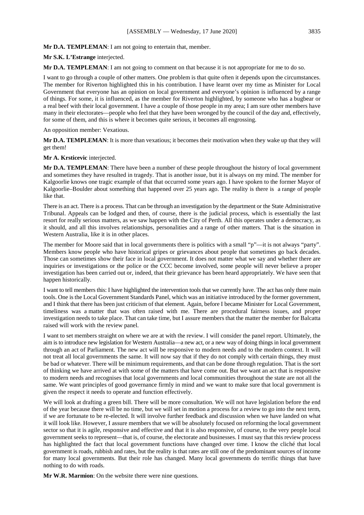#### **Mr S.K. L'Estrange** interjected.

**Mr D.A. TEMPLEMAN**: I am not going to comment on that because it is not appropriate for me to do so.

I want to go through a couple of other matters. One problem is that quite often it depends upon the circumstances. The member for Riverton highlighted this in his contribution. I have learnt over my time as Minister for Local Government that everyone has an opinion on local government and everyone's opinion is influenced by a range of things. For some, it is influenced, as the member for Riverton highlighted, by someone who has a bugbear or a real beef with their local government. I have a couple of those people in my area; I am sure other members have many in their electorates—people who feel that they have been wronged by the council of the day and, effectively, for some of them, and this is where it becomes quite serious, it becomes all engrossing.

An opposition member: Vexatious.

**Mr D.A. TEMPLEMAN**: It is more than vexatious; it becomes their motivation when they wake up that they will get them!

#### **Mr A. Krsticevic** interjected.

**Mr D.A. TEMPLEMAN**: There have been a number of these people throughout the history of local government and sometimes they have resulted in tragedy. That is another issue, but it is always on my mind. The member for Kalgoorlie knows one tragic example of that that occurred some years ago. I have spoken to the former Mayor of Kalgoorlie–Boulder about something that happened over 25 years ago. The reality is there is a range of people like that.

There is an act. There is a process. That can be through an investigation by the department or the State Administrative Tribunal. Appeals can be lodged and then, of course, there is the judicial process, which is essentially the last resort for really serious matters, as we saw happen with the City of Perth. All this operates under a democracy, as it should, and all this involves relationships, personalities and a range of other matters. That is the situation in Western Australia, like it is in other places.

The member for Moore said that in local governments there is politics with a small "p"—it is not always "party". Members know people who have historical gripes or grievances about people that sometimes go back decades. Those can sometimes show their face in local government. It does not matter what we say and whether there are inquiries or investigations or the police or the CCC become involved, some people will never believe a proper investigation has been carried out or, indeed, that their grievance has been heard appropriately. We have seen that happen historically.

I want to tell members this: I have highlighted the intervention tools that we currently have. The act has only three main tools. One is the Local Government Standards Panel, which was an initiative introduced by the former government, and I think that there has been just criticism of that element. Again, before I became Minister for Local Government, timeliness was a matter that was often raised with me. There are procedural fairness issues, and proper investigation needs to take place. That can take time, but I assure members that the matter the member for Balcatta raised will work with the review panel.

I want to set members straight on where we are at with the review. I will consider the panel report. Ultimately, the aim is to introduce new legislation for Western Australia—a new act, or a new way of doing things in local government through an act of Parliament. The new act will be responsive to modern needs and to the modern context. It will not treat all local governments the same. It will now say that if they do not comply with certain things, they must be bad or whatever. There will be minimum requirements, and that can be done through regulation. That is the sort of thinking we have arrived at with some of the matters that have come out. But we want an act that is responsive to modern needs and recognises that local governments and local communities throughout the state are not all the same. We want principles of good governance firmly in mind and we want to make sure that local government is given the respect it needs to operate and function effectively.

We will look at drafting a green bill. There will be more consultation. We will not have legislation before the end of the year because there will be no time, but we will set in motion a process for a review to go into the next term, if we are fortunate to be re-elected. It will involve further feedback and discussion when we have landed on what it will look like. However, I assure members that we will be absolutely focused on reforming the local government sector so that it is agile, responsive and effective and that it is also responsive, of course, to the very people local government seeks to represent—that is, of course, the electorate and businesses. I must say that this review process has highlighted the fact that local government functions have changed over time. I know the cliché that local government is roads, rubbish and rates, but the reality is that rates are still one of the predominant sources of income for many local governments. But their role has changed. Many local governments do terrific things that have nothing to do with roads.

**Mr W.R. Marmion**: On the website there were nine questions.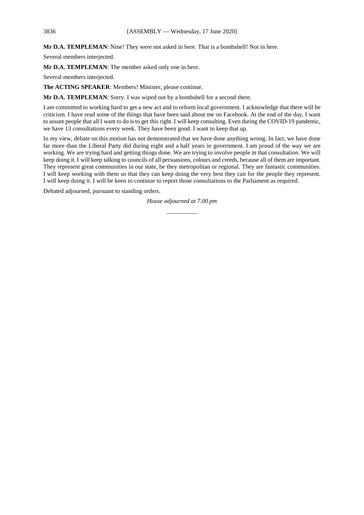**Mr D.A. TEMPLEMAN**: Nine! They were not asked in here. That is a bombshell! Not in here.

Several members interjected.

**Mr D.A. TEMPLEMAN**: The member asked only one in here.

Several members interjected.

**The ACTING SPEAKER**: Members! Minister, please continue.

**Mr D.A. TEMPLEMAN**: Sorry. I was wiped out by a bombshell for a second there.

I am committed to working hard to get a new act and to reform local government. I acknowledge that there will be criticism. I have read some of the things that have been said about me on Facebook. At the end of the day, I want to assure people that all I want to do is to get this right. I will keep consulting. Even during the COVID-19 pandemic, we have 13 consultations every week. They have been good. I want to keep that up.

In my view, debate on this motion has not demonstrated that we have done anything wrong. In fact, we have done far more than the Liberal Party did during eight and a half years in government. I am proud of the way we are working. We are trying hard and getting things done. We are trying to involve people in that consultation. We will keep doing it. I will keep talking to councils of all persuasions, colours and creeds, because all of them are important. They represent great communities in our state, be they metropolitan or regional. They are fantastic communities. I will keep working with them so that they can keep doing the very best they can for the people they represent. I will keep doing it. I will be keen to continue to report those consultations to the Parliament as required.

Debated adjourned, pursuant to standing orders.

*House adjourned at 7.00 pm \_\_\_\_\_\_\_\_\_\_*